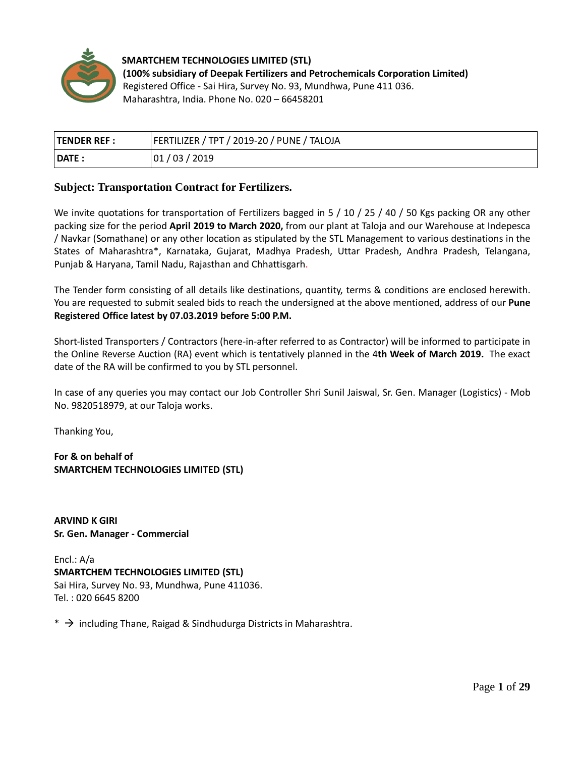

**SMARTCHEM TECHNOLOGIES LIMITED (STL) (100% subsidiary of Deepak Fertilizers and Petrochemicals Corporation Limited)** Registered Office - Sai Hira, Survey No. 93, Mundhwa, Pune 411 036. Maharashtra, India. Phone No. 020 – 66458201

| <b>TENDER REF :</b> | FERTILIZER / TPT / 2019-20 / PUNE / TALOJA |
|---------------------|--------------------------------------------|
| <b>DATE</b>         | 01<br>/ 03 / 2019                          |

## **Subject: Transportation Contract for Fertilizers.**

We invite quotations for transportation of Fertilizers bagged in 5 / 10 / 25 / 40 / 50 Kgs packing OR any other packing size for the period **April 2019 to March 2020,** from our plant at Taloja and our Warehouse at Indepesca / Navkar (Somathane) or any other location as stipulated by the STL Management to various destinations in the States of Maharashtra\*, Karnataka, Gujarat, Madhya Pradesh, Uttar Pradesh, Andhra Pradesh, Telangana, Punjab & Haryana, Tamil Nadu, Rajasthan and Chhattisgarh.

The Tender form consisting of all details like destinations, quantity, terms & conditions are enclosed herewith. You are requested to submit sealed bids to reach the undersigned at the above mentioned, address of our **Pune Registered Office latest by 07.03.2019 before 5:00 P.M.**

Short-listed Transporters / Contractors (here-in-after referred to as Contractor) will be informed to participate in the Online Reverse Auction (RA) event which is tentatively planned in the 4**th Week of March 2019.** The exact date of the RA will be confirmed to you by STL personnel.

In case of any queries you may contact our Job Controller Shri Sunil Jaiswal, Sr. Gen. Manager (Logistics) - Mob No. 9820518979, at our Taloja works.

Thanking You,

**For & on behalf of SMARTCHEM TECHNOLOGIES LIMITED (STL)**

**ARVIND K GIRI Sr. Gen. Manager - Commercial**

Encl.: A/a **SMARTCHEM TECHNOLOGIES LIMITED (STL)** Sai Hira, Survey No. 93, Mundhwa, Pune 411036. Tel. : 020 6645 8200

 $*$   $\rightarrow$  including Thane, Raigad & Sindhudurga Districts in Maharashtra.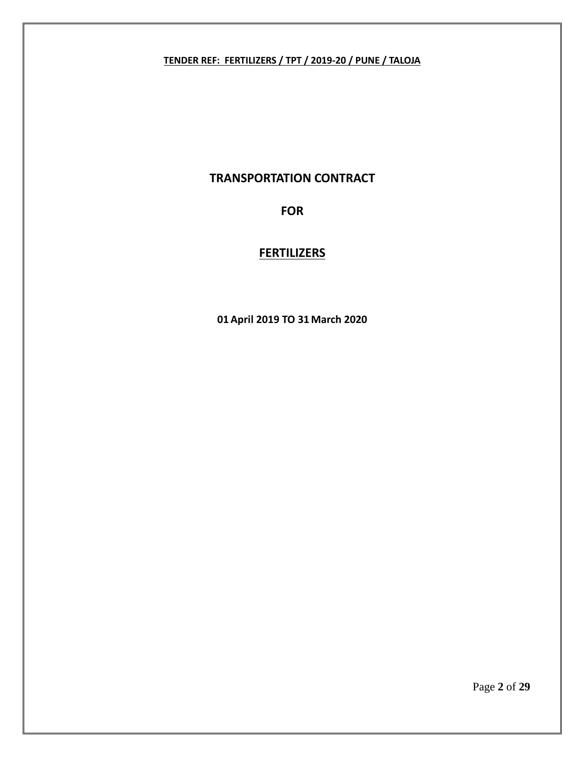# **TENDER REF: FERTILIZERS / TPT / 2019-20 / PUNE / TALOJA**

# **TRANSPORTATION CONTRACT**

# **FOR**

# **FERTILIZERS**

**01 April 2019 TO 31 March 2020**

Page **2** of **29**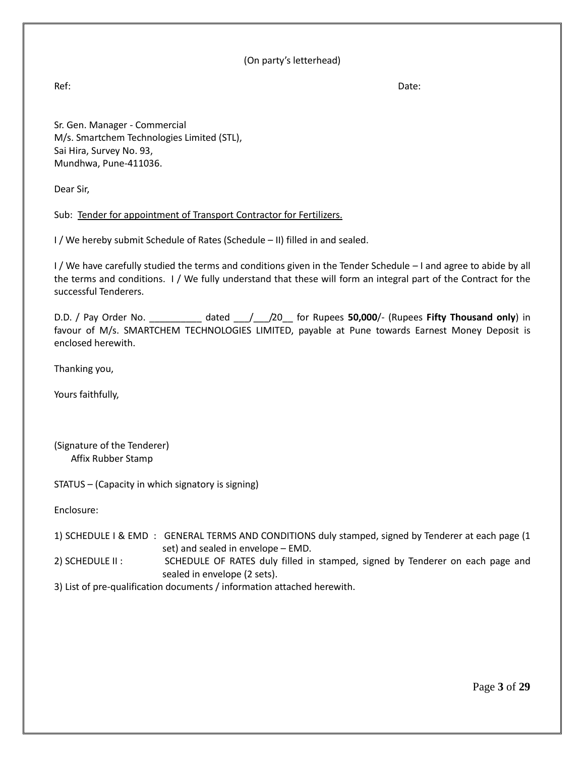## (On party's letterhead)

Ref: Date:

Sr. Gen. Manager - Commercial M/s. Smartchem Technologies Limited (STL), Sai Hira, Survey No. 93, Mundhwa, Pune-411036.

Dear Sir,

## Sub: Tender for appointment of Transport Contractor for Fertilizers.

I / We hereby submit Schedule of Rates (Schedule – II) filled in and sealed.

I / We have carefully studied the terms and conditions given in the Tender Schedule – I and agree to abide by all the terms and conditions. I / We fully understand that these will form an integral part of the Contract for the successful Tenderers.

D.D. / Pay Order No. \_\_\_\_\_\_\_\_\_\_ dated \_\_\_/\_\_\_/20\_\_ for Rupees **50,000**/- (Rupees **Fifty Thousand only**) in favour of M/s. SMARTCHEM TECHNOLOGIES LIMITED, payable at Pune towards Earnest Money Deposit is enclosed herewith.

Thanking you,

Yours faithfully,

(Signature of the Tenderer) Affix Rubber Stamp

STATUS – (Capacity in which signatory is signing)

Enclosure:

|                                                                         | 1) SCHEDULE I & EMD : GENERAL TERMS AND CONDITIONS duly stamped, signed by Tenderer at each page (1 |  |  |  |  |  |
|-------------------------------------------------------------------------|-----------------------------------------------------------------------------------------------------|--|--|--|--|--|
|                                                                         | set) and sealed in envelope – EMD.                                                                  |  |  |  |  |  |
| $2)$ SCHEDULE II :                                                      | SCHEDULE OF RATES duly filled in stamped, signed by Tenderer on each page and                       |  |  |  |  |  |
|                                                                         | sealed in envelope (2 sets).                                                                        |  |  |  |  |  |
| 2) List of pro-qualification documents / information attached becausith |                                                                                                     |  |  |  |  |  |

3) List of pre-qualification documents / information attached herewith.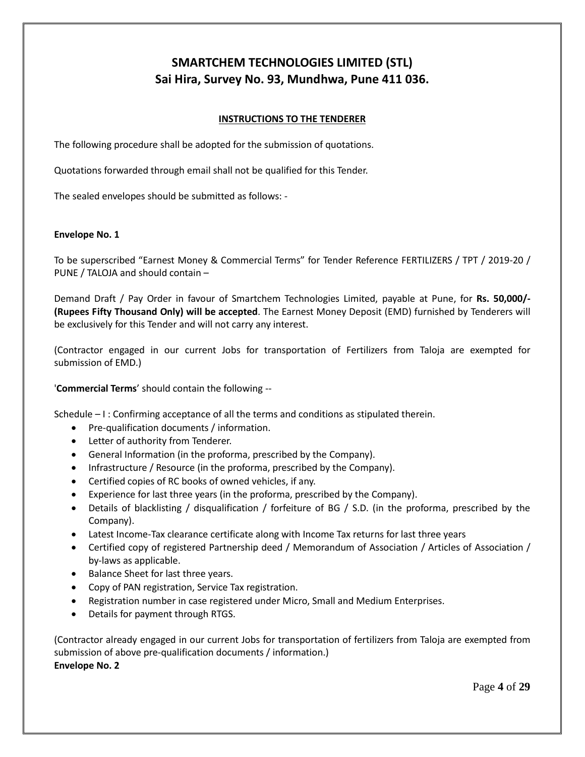# **SMARTCHEM TECHNOLOGIES LIMITED (STL) Sai Hira, Survey No. 93, Mundhwa, Pune 411 036.**

### **INSTRUCTIONS TO THE TENDERER**

The following procedure shall be adopted for the submission of quotations.

Quotations forwarded through email shall not be qualified for this Tender.

The sealed envelopes should be submitted as follows: -

### **Envelope No. 1**

To be superscribed "Earnest Money & Commercial Terms" for Tender Reference FERTILIZERS / TPT / 2019-20 / PUNE / TALOJA and should contain –

Demand Draft / Pay Order in favour of Smartchem Technologies Limited, payable at Pune, for **Rs. 50,000/- (Rupees Fifty Thousand Only) will be accepted**. The Earnest Money Deposit (EMD) furnished by Tenderers will be exclusively for this Tender and will not carry any interest.

(Contractor engaged in our current Jobs for transportation of Fertilizers from Taloja are exempted for submission of EMD.)

'**Commercial Terms**' should contain the following --

Schedule – I : Confirming acceptance of all the terms and conditions as stipulated therein.

- Pre-qualification documents / information.
- Letter of authority from Tenderer.
- General Information (in the proforma, prescribed by the Company).
- Infrastructure / Resource (in the proforma, prescribed by the Company).
- Certified copies of RC books of owned vehicles, if any.
- Experience for last three years (in the proforma, prescribed by the Company).
- Details of blacklisting / disqualification / forfeiture of BG / S.D. (in the proforma, prescribed by the Company).
- Latest Income-Tax clearance certificate along with Income Tax returns for last three years
- Certified copy of registered Partnership deed / Memorandum of Association / Articles of Association / by-laws as applicable.
- Balance Sheet for last three years.
- Copy of PAN registration, Service Tax registration.
- Registration number in case registered under Micro, Small and Medium Enterprises.
- Details for payment through RTGS.

(Contractor already engaged in our current Jobs for transportation of fertilizers from Taloja are exempted from submission of above pre-qualification documents / information.) **Envelope No. 2**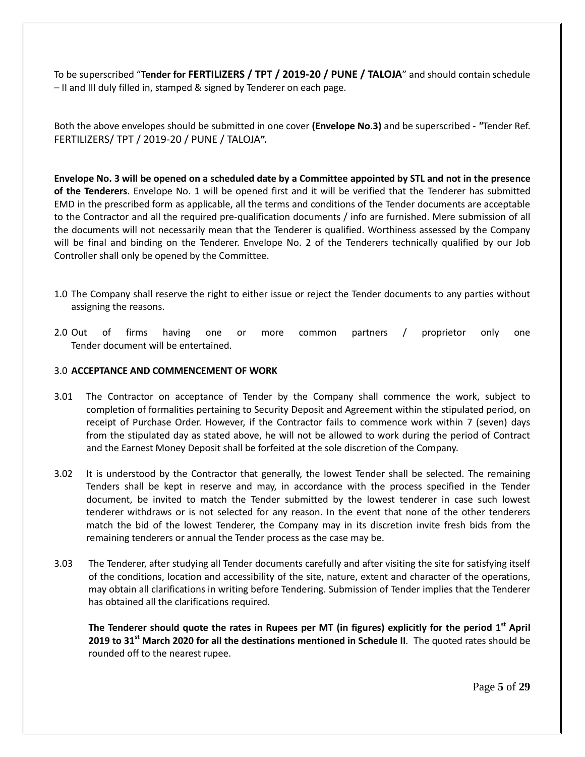To be superscribed "**Tender for FERTILIZERS / TPT / 2019-20 / PUNE / TALOJA**" and should contain schedule – II and III duly filled in, stamped & signed by Tenderer on each page.

Both the above envelopes should be submitted in one cover **(Envelope No.3)** and be superscribed - *"*Tender Ref. FERTILIZERS/ TPT / 2019-20 / PUNE / TALOJA**".**

**Envelope No. 3 will be opened on a scheduled date by a Committee appointed by STL and not in the presence of the Tenderers**. Envelope No. 1 will be opened first and it will be verified that the Tenderer has submitted EMD in the prescribed form as applicable, all the terms and conditions of the Tender documents are acceptable to the Contractor and all the required pre-qualification documents / info are furnished. Mere submission of all the documents will not necessarily mean that the Tenderer is qualified. Worthiness assessed by the Company will be final and binding on the Tenderer. Envelope No. 2 of the Tenderers technically qualified by our Job Controller shall only be opened by the Committee.

- 1.0 The Company shall reserve the right to either issue or reject the Tender documents to any parties without assigning the reasons.
- 2.0 Out of firms having one or more common partners / proprietor only one Tender document will be entertained.

### 3.0 **ACCEPTANCE AND COMMENCEMENT OF WORK**

- 3.01 The Contractor on acceptance of Tender by the Company shall commence the work, subject to completion of formalities pertaining to Security Deposit and Agreement within the stipulated period, on receipt of Purchase Order. However, if the Contractor fails to commence work within 7 (seven) days from the stipulated day as stated above, he will not be allowed to work during the period of Contract and the Earnest Money Deposit shall be forfeited at the sole discretion of the Company.
- 3.02 It is understood by the Contractor that generally, the lowest Tender shall be selected. The remaining Tenders shall be kept in reserve and may, in accordance with the process specified in the Tender document, be invited to match the Tender submitted by the lowest tenderer in case such lowest tenderer withdraws or is not selected for any reason. In the event that none of the other tenderers match the bid of the lowest Tenderer, the Company may in its discretion invite fresh bids from the remaining tenderers or annual the Tender process as the case may be.
- 3.03 The Tenderer, after studying all Tender documents carefully and after visiting the site for satisfying itself of the conditions, location and accessibility of the site, nature, extent and character of the operations, may obtain all clarifications in writing before Tendering. Submission of Tender implies that the Tenderer has obtained all the clarifications required.

**The Tenderer should quote the rates in Rupees per MT (in figures) explicitly for the period 1 st April 2019 to 31 st March 2020 for all the destinations mentioned in Schedule II***.* The quoted rates should be rounded off to the nearest rupee.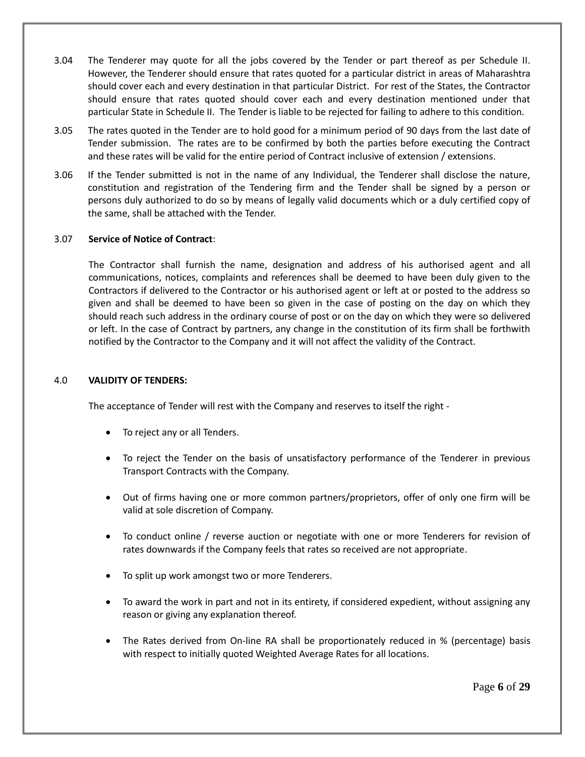- 3.04 The Tenderer may quote for all the jobs covered by the Tender or part thereof as per Schedule II. However, the Tenderer should ensure that rates quoted for a particular district in areas of Maharashtra should cover each and every destination in that particular District. For rest of the States, the Contractor should ensure that rates quoted should cover each and every destination mentioned under that particular State in Schedule II. The Tender is liable to be rejected for failing to adhere to this condition*.*
- 3.05 The rates quoted in the Tender are to hold good for a minimum period of 90 days from the last date of Tender submission. The rates are to be confirmed by both the parties before executing the Contract and these rates will be valid for the entire period of Contract inclusive of extension / extensions.
- 3.06 If the Tender submitted is not in the name of any Individual, the Tenderer shall disclose the nature, constitution and registration of the Tendering firm and the Tender shall be signed by a person or persons duly authorized to do so by means of legally valid documents which or a duly certified copy of the same, shall be attached with the Tender.

## 3.07 **Service of Notice of Contract**:

The Contractor shall furnish the name, designation and address of his authorised agent and all communications, notices, complaints and references shall be deemed to have been duly given to the Contractors if delivered to the Contractor or his authorised agent or left at or posted to the address so given and shall be deemed to have been so given in the case of posting on the day on which they should reach such address in the ordinary course of post or on the day on which they were so delivered or left. In the case of Contract by partners, any change in the constitution of its firm shall be forthwith notified by the Contractor to the Company and it will not affect the validity of the Contract.

#### 4.0 **VALIDITY OF TENDERS:**

The acceptance of Tender will rest with the Company and reserves to itself the right -

- To reject any or all Tenders.
- To reject the Tender on the basis of unsatisfactory performance of the Tenderer in previous Transport Contracts with the Company.
- Out of firms having one or more common partners/proprietors, offer of only one firm will be valid at sole discretion of Company.
- To conduct online / reverse auction or negotiate with one or more Tenderers for revision of rates downwards if the Company feels that rates so received are not appropriate.
- To split up work amongst two or more Tenderers.
- To award the work in part and not in its entirety, if considered expedient, without assigning any reason or giving any explanation thereof.
- The Rates derived from On-line RA shall be proportionately reduced in % (percentage) basis with respect to initially quoted Weighted Average Rates for all locations.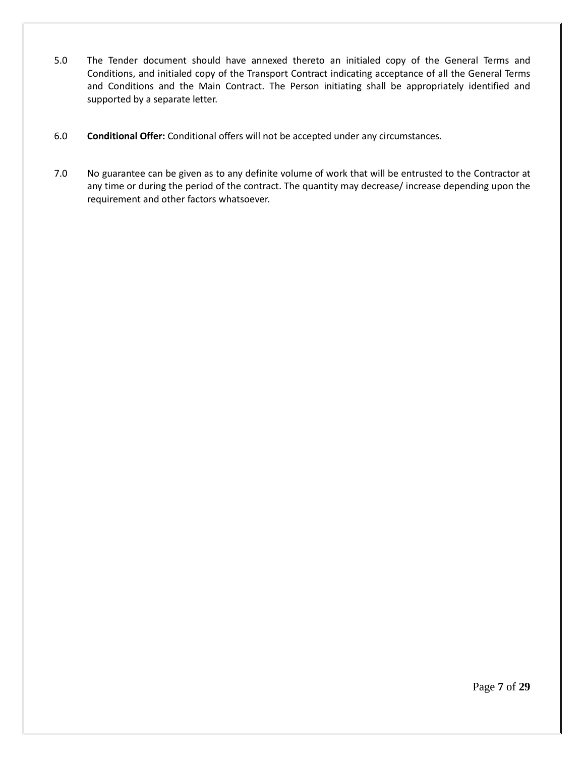- 5.0 The Tender document should have annexed thereto an initialed copy of the General Terms and Conditions, and initialed copy of the Transport Contract indicating acceptance of all the General Terms and Conditions and the Main Contract. The Person initiating shall be appropriately identified and supported by a separate letter.
- 6.0 **Conditional Offer:** Conditional offers will not be accepted under any circumstances.
- 7.0 No guarantee can be given as to any definite volume of work that will be entrusted to the Contractor at any time or during the period of the contract. The quantity may decrease/ increase depending upon the requirement and other factors whatsoever.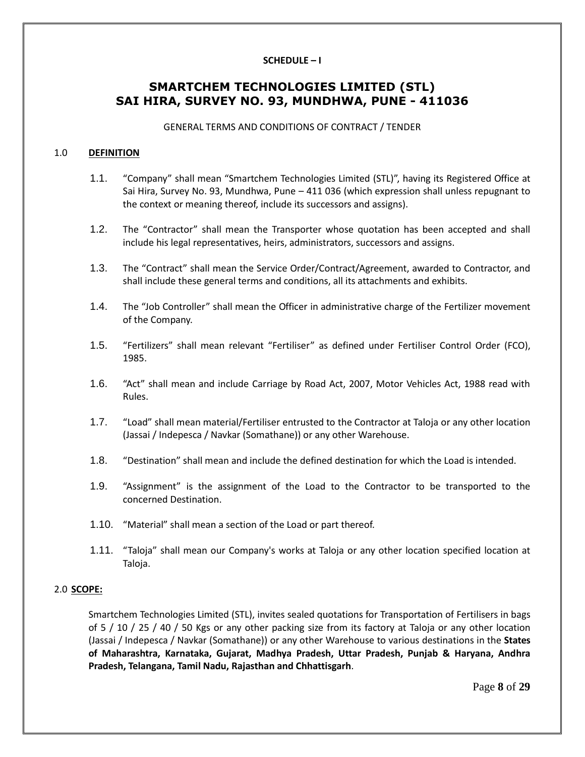### **SCHEDULE – I**

# **SMARTCHEM TECHNOLOGIES LIMITED (STL) SAI HIRA, SURVEY NO. 93, MUNDHWA, PUNE - 411036**

GENERAL TERMS AND CONDITIONS OF CONTRACT / TENDER

#### 1.0 **DEFINITION**

- 1.1. "Company" shall mean "Smartchem Technologies Limited (STL)", having its Registered Office at Sai Hira, Survey No. 93, Mundhwa, Pune – 411 036 (which expression shall unless repugnant to the context or meaning thereof, include its successors and assigns).
- 1.2. The "Contractor" shall mean the Transporter whose quotation has been accepted and shall include his legal representatives, heirs, administrators, successors and assigns.
- 1.3. The "Contract" shall mean the Service Order/Contract/Agreement, awarded to Contractor, and shall include these general terms and conditions, all its attachments and exhibits.
- 1.4. The "Job Controller" shall mean the Officer in administrative charge of the Fertilizer movement of the Company.
- 1.5. "Fertilizers" shall mean relevant "Fertiliser" as defined under Fertiliser Control Order (FCO), 1985.
- 1.6. "Act" shall mean and include Carriage by Road Act, 2007, Motor Vehicles Act, 1988 read with Rules.
- 1.7. "Load" shall mean material/Fertiliser entrusted to the Contractor at Taloja or any other location (Jassai / Indepesca / Navkar (Somathane)) or any other Warehouse.
- 1.8. "Destination" shall mean and include the defined destination for which the Load is intended.
- 1.9. "Assignment" is the assignment of the Load to the Contractor to be transported to the concerned Destination.
- 1.10. "Material" shall mean a section of the Load or part thereof.
- 1.11. "Taloja" shall mean our Company's works at Taloja or any other location specified location at Taloja.

#### 2.0 **SCOPE:**

Smartchem Technologies Limited (STL), invites sealed quotations for Transportation of Fertilisers in bags of 5 / 10 / 25 / 40 / 50 Kgs or any other packing size from its factory at Taloja or any other location (Jassai / Indepesca / Navkar (Somathane)) or any other Warehouse to various destinations in the **States of Maharashtra, Karnataka, Gujarat, Madhya Pradesh, Uttar Pradesh, Punjab & Haryana, Andhra Pradesh, Telangana, Tamil Nadu, Rajasthan and Chhattisgarh**.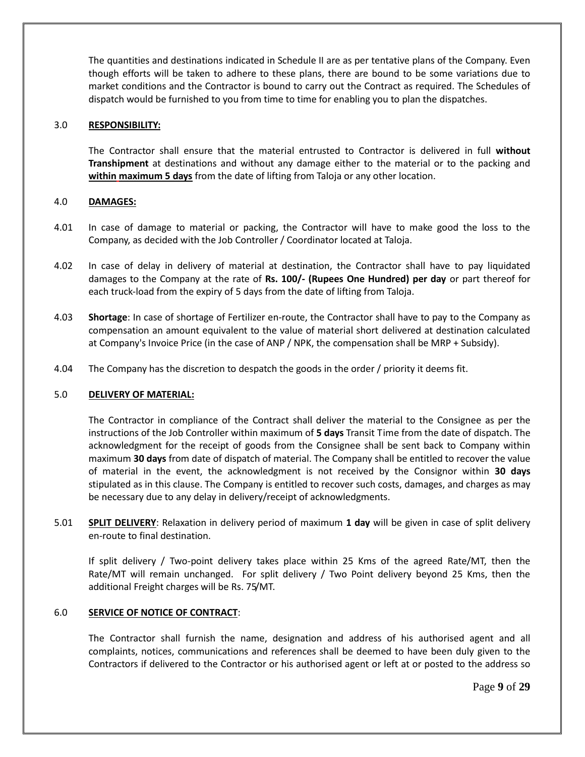The quantities and destinations indicated in Schedule II are as per tentative plans of the Company. Even though efforts will be taken to adhere to these plans, there are bound to be some variations due to market conditions and the Contractor is bound to carry out the Contract as required. The Schedules of dispatch would be furnished to you from time to time for enabling you to plan the dispatches.

#### 3.0 **RESPONSIBILITY:**

The Contractor shall ensure that the material entrusted to Contractor is delivered in full **without Transhipment** at destinations and without any damage either to the material or to the packing and **within maximum 5 days** from the date of lifting from Taloja or any other location.

### 4.0 **DAMAGES:**

- 4.01 In case of damage to material or packing, the Contractor will have to make good the loss to the Company, as decided with the Job Controller / Coordinator located at Taloja.
- 4.02 In case of delay in delivery of material at destination, the Contractor shall have to pay liquidated damages to the Company at the rate of **Rs. 100/- (Rupees One Hundred) per day** or part thereof for each truck-load from the expiry of 5 days from the date of lifting from Taloja.
- 4.03 **Shortage**: In case of shortage of Fertilizer en-route, the Contractor shall have to pay to the Company as compensation an amount equivalent to the value of material short delivered at destination calculated at Company's Invoice Price (in the case of ANP / NPK, the compensation shall be MRP + Subsidy).
- 4.04 The Company has the discretion to despatch the goods in the order / priority it deems fit.

#### 5.0 **DELIVERY OF MATERIAL:**

The Contractor in compliance of the Contract shall deliver the material to the Consignee as per the instructions of the Job Controller within maximum of **5 days** Transit Time from the date of dispatch. The acknowledgment for the receipt of goods from the Consignee shall be sent back to Company within maximum **30 days** from date of dispatch of material. The Company shall be entitled to recover the value of material in the event, the acknowledgment is not received by the Consignor within **30 days** stipulated as in this clause. The Company is entitled to recover such costs, damages, and charges as may be necessary due to any delay in delivery/receipt of acknowledgments.

5.01 **SPLIT DELIVERY**: Relaxation in delivery period of maximum **1 day** will be given in case of split delivery en-route to final destination.

If split delivery / Two-point delivery takes place within 25 Kms of the agreed Rate/MT, then the Rate/MT will remain unchanged. For split delivery / Two Point delivery beyond 25 Kms, then the additional Freight charges will be Rs. 75/MT.

#### 6.0 **SERVICE OF NOTICE OF CONTRACT**:

The Contractor shall furnish the name, designation and address of his authorised agent and all complaints, notices, communications and references shall be deemed to have been duly given to the Contractors if delivered to the Contractor or his authorised agent or left at or posted to the address so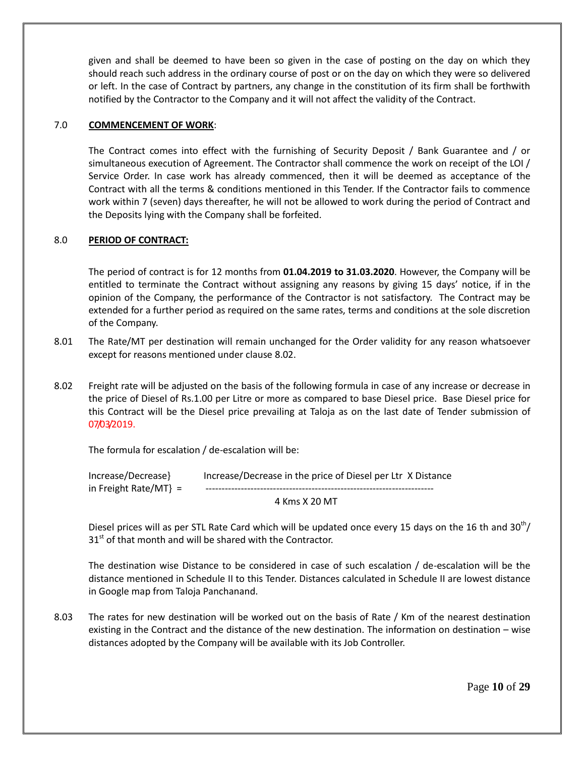given and shall be deemed to have been so given in the case of posting on the day on which they should reach such address in the ordinary course of post or on the day on which they were so delivered or left. In the case of Contract by partners, any change in the constitution of its firm shall be forthwith notified by the Contractor to the Company and it will not affect the validity of the Contract.

### 7.0 **COMMENCEMENT OF WORK**:

The Contract comes into effect with the furnishing of Security Deposit / Bank Guarantee and / or simultaneous execution of Agreement. The Contractor shall commence the work on receipt of the LOI / Service Order. In case work has already commenced, then it will be deemed as acceptance of the Contract with all the terms & conditions mentioned in this Tender. If the Contractor fails to commence work within 7 (seven) days thereafter, he will not be allowed to work during the period of Contract and the Deposits lying with the Company shall be forfeited.

### 8.0 **PERIOD OF CONTRACT:**

The period of contract is for 12 months from **01.04.2019 to 31.03.2020**. However, the Company will be entitled to terminate the Contract without assigning any reasons by giving 15 days' notice, if in the opinion of the Company, the performance of the Contractor is not satisfactory. The Contract may be extended for a further period as required on the same rates, terms and conditions at the sole discretion of the Company.

- 8.01 The Rate/MT per destination will remain unchanged for the Order validity for any reason whatsoever except for reasons mentioned under clause 8.02.
- 8.02 Freight rate will be adjusted on the basis of the following formula in case of any increase or decrease in the price of Diesel of Rs.1.00 per Litre or more as compared to base Diesel price. Base Diesel price for this Contract will be the Diesel price prevailing at Taloja as on the last date of Tender submission of 07/03/2019.

The formula for escalation / de-escalation will be:

| Increase/Decrease}    | Increase/Decrease in the price of Diesel per Ltr X Distance |
|-----------------------|-------------------------------------------------------------|
| in Freight Rate/MT} = |                                                             |
|                       | $1 \times 2 = 1$                                            |

4 Kms X 20 MT

Diesel prices will as per STL Rate Card which will be updated once every 15 days on the 16 th and  $30^{th}$ /  $31<sup>st</sup>$  of that month and will be shared with the Contractor.

The destination wise Distance to be considered in case of such escalation / de-escalation will be the distance mentioned in Schedule II to this Tender. Distances calculated in Schedule II are lowest distance in Google map from Taloja Panchanand.

8.03 The rates for new destination will be worked out on the basis of Rate / Km of the nearest destination existing in the Contract and the distance of the new destination. The information on destination – wise distances adopted by the Company will be available with its Job Controller.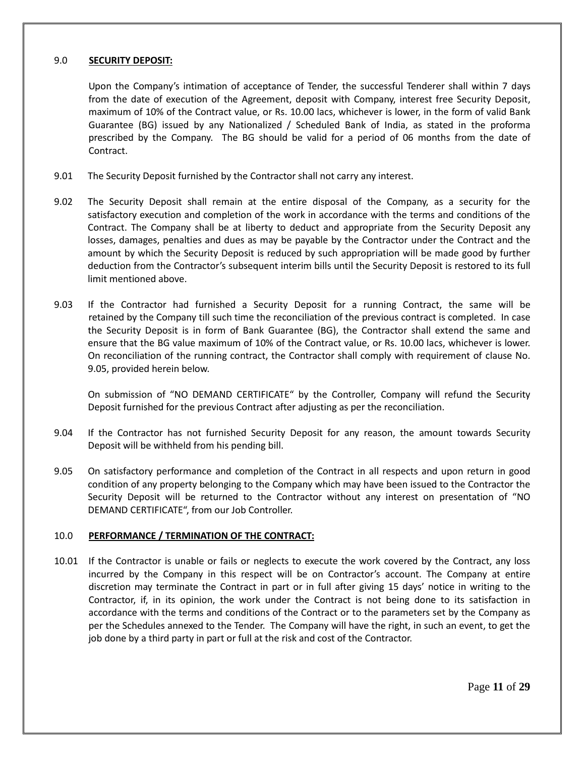### 9.0 **SECURITY DEPOSIT:**

Upon the Company's intimation of acceptance of Tender, the successful Tenderer shall within 7 days from the date of execution of the Agreement, deposit with Company, interest free Security Deposit, maximum of 10% of the Contract value, or Rs. 10.00 lacs, whichever is lower, in the form of valid Bank Guarantee (BG) issued by any Nationalized / Scheduled Bank of India, as stated in the proforma prescribed by the Company. The BG should be valid for a period of 06 months from the date of Contract.

- 9.01 The Security Deposit furnished by the Contractor shall not carry any interest.
- 9.02 The Security Deposit shall remain at the entire disposal of the Company, as a security for the satisfactory execution and completion of the work in accordance with the terms and conditions of the Contract. The Company shall be at liberty to deduct and appropriate from the Security Deposit any losses, damages, penalties and dues as may be payable by the Contractor under the Contract and the amount by which the Security Deposit is reduced by such appropriation will be made good by further deduction from the Contractor's subsequent interim bills until the Security Deposit is restored to its full limit mentioned above.
- 9.03 If the Contractor had furnished a Security Deposit for a running Contract, the same will be retained by the Company till such time the reconciliation of the previous contract is completed. In case the Security Deposit is in form of Bank Guarantee (BG), the Contractor shall extend the same and ensure that the BG value maximum of 10% of the Contract value, or Rs. 10.00 lacs, whichever is lower. On reconciliation of the running contract, the Contractor shall comply with requirement of clause No. 9.05, provided herein below.

On submission of "NO DEMAND CERTIFICATE" by the Controller, Company will refund the Security Deposit furnished for the previous Contract after adjusting as per the reconciliation.

- 9.04 If the Contractor has not furnished Security Deposit for any reason, the amount towards Security Deposit will be withheld from his pending bill.
- 9.05 On satisfactory performance and completion of the Contract in all respects and upon return in good condition of any property belonging to the Company which may have been issued to the Contractor the Security Deposit will be returned to the Contractor without any interest on presentation of "NO DEMAND CERTIFICATE", from our Job Controller.

## 10.0 **PERFORMANCE / TERMINATION OF THE CONTRACT:**

10.01 If the Contractor is unable or fails or neglects to execute the work covered by the Contract, any loss incurred by the Company in this respect will be on Contractor's account. The Company at entire discretion may terminate the Contract in part or in full after giving 15 days' notice in writing to the Contractor, if, in its opinion, the work under the Contract is not being done to its satisfaction in accordance with the terms and conditions of the Contract or to the parameters set by the Company as per the Schedules annexed to the Tender. The Company will have the right, in such an event, to get the job done by a third party in part or full at the risk and cost of the Contractor.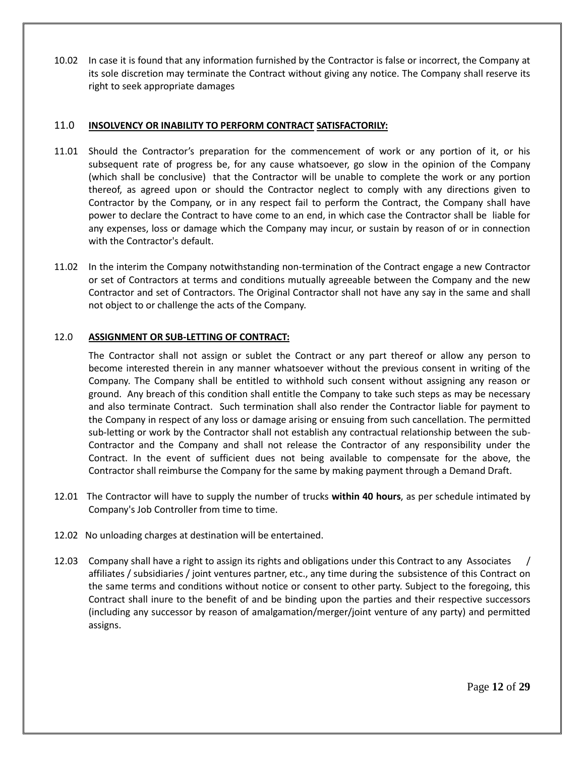10.02 In case it is found that any information furnished by the Contractor is false or incorrect, the Company at its sole discretion may terminate the Contract without giving any notice. The Company shall reserve its right to seek appropriate damages

## 11.0 **INSOLVENCY OR INABILITY TO PERFORM CONTRACT SATISFACTORILY:**

- 11.01 Should the Contractor's preparation for the commencement of work or any portion of it, or his subsequent rate of progress be, for any cause whatsoever, go slow in the opinion of the Company (which shall be conclusive) that the Contractor will be unable to complete the work or any portion thereof, as agreed upon or should the Contractor neglect to comply with any directions given to Contractor by the Company, or in any respect fail to perform the Contract, the Company shall have power to declare the Contract to have come to an end, in which case the Contractor shall be liable for any expenses, loss or damage which the Company may incur, or sustain by reason of or in connection with the Contractor's default.
- 11.02 In the interim the Company notwithstanding non-termination of the Contract engage a new Contractor or set of Contractors at terms and conditions mutually agreeable between the Company and the new Contractor and set of Contractors. The Original Contractor shall not have any say in the same and shall not object to or challenge the acts of the Company.

## 12.0 **ASSIGNMENT OR SUB-LETTING OF CONTRACT:**

The Contractor shall not assign or sublet the Contract or any part thereof or allow any person to become interested therein in any manner whatsoever without the previous consent in writing of the Company. The Company shall be entitled to withhold such consent without assigning any reason or ground. Any breach of this condition shall entitle the Company to take such steps as may be necessary and also terminate Contract. Such termination shall also render the Contractor liable for payment to the Company in respect of any loss or damage arising or ensuing from such cancellation. The permitted sub-letting or work by the Contractor shall not establish any contractual relationship between the sub-Contractor and the Company and shall not release the Contractor of any responsibility under the Contract. In the event of sufficient dues not being available to compensate for the above, the Contractor shall reimburse the Company for the same by making payment through a Demand Draft.

- 12.01 The Contractor will have to supply the number of trucks **within 40 hours**, as per schedule intimated by Company's Job Controller from time to time.
- 12.02 No unloading charges at destination will be entertained.
- 12.03 Company shall have a right to assign its rights and obligations under this Contract to any Associates / affiliates / subsidiaries / joint ventures partner, etc., any time during the subsistence of this Contract on the same terms and conditions without notice or consent to other party. Subject to the foregoing, this Contract shall inure to the benefit of and be binding upon the parties and their respective successors (including any successor by reason of amalgamation/merger/joint venture of any party) and permitted assigns.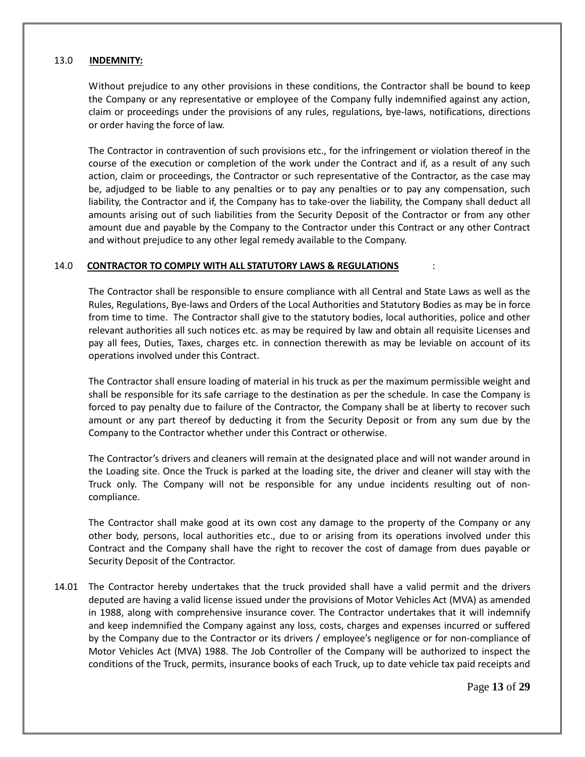#### 13.0 **INDEMNITY:**

Without prejudice to any other provisions in these conditions, the Contractor shall be bound to keep the Company or any representative or employee of the Company fully indemnified against any action, claim or proceedings under the provisions of any rules, regulations, bye-laws, notifications, directions or order having the force of law.

The Contractor in contravention of such provisions etc., for the infringement or violation thereof in the course of the execution or completion of the work under the Contract and if, as a result of any such action, claim or proceedings, the Contractor or such representative of the Contractor, as the case may be, adjudged to be liable to any penalties or to pay any penalties or to pay any compensation, such liability, the Contractor and if, the Company has to take-over the liability, the Company shall deduct all amounts arising out of such liabilities from the Security Deposit of the Contractor or from any other amount due and payable by the Company to the Contractor under this Contract or any other Contract and without prejudice to any other legal remedy available to the Company.

### 14.0 **CONTRACTOR TO COMPLY WITH ALL STATUTORY LAWS & REGULATIONS** :

The Contractor shall be responsible to ensure compliance with all Central and State Laws as well as the Rules, Regulations, Bye-laws and Orders of the Local Authorities and Statutory Bodies as may be in force from time to time. The Contractor shall give to the statutory bodies, local authorities, police and other relevant authorities all such notices etc. as may be required by law and obtain all requisite Licenses and pay all fees, Duties, Taxes, charges etc. in connection therewith as may be leviable on account of its operations involved under this Contract.

The Contractor shall ensure loading of material in his truck as per the maximum permissible weight and shall be responsible for its safe carriage to the destination as per the schedule. In case the Company is forced to pay penalty due to failure of the Contractor, the Company shall be at liberty to recover such amount or any part thereof by deducting it from the Security Deposit or from any sum due by the Company to the Contractor whether under this Contract or otherwise.

The Contractor's drivers and cleaners will remain at the designated place and will not wander around in the Loading site. Once the Truck is parked at the loading site, the driver and cleaner will stay with the Truck only. The Company will not be responsible for any undue incidents resulting out of noncompliance.

The Contractor shall make good at its own cost any damage to the property of the Company or any other body, persons, local authorities etc., due to or arising from its operations involved under this Contract and the Company shall have the right to recover the cost of damage from dues payable or Security Deposit of the Contractor.

14.01 The Contractor hereby undertakes that the truck provided shall have a valid permit and the drivers deputed are having a valid license issued under the provisions of Motor Vehicles Act (MVA) as amended in 1988, along with comprehensive insurance cover. The Contractor undertakes that it will indemnify and keep indemnified the Company against any loss, costs, charges and expenses incurred or suffered by the Company due to the Contractor or its drivers / employee's negligence or for non-compliance of Motor Vehicles Act (MVA) 1988. The Job Controller of the Company will be authorized to inspect the conditions of the Truck, permits, insurance books of each Truck, up to date vehicle tax paid receipts and

Page **13** of **29**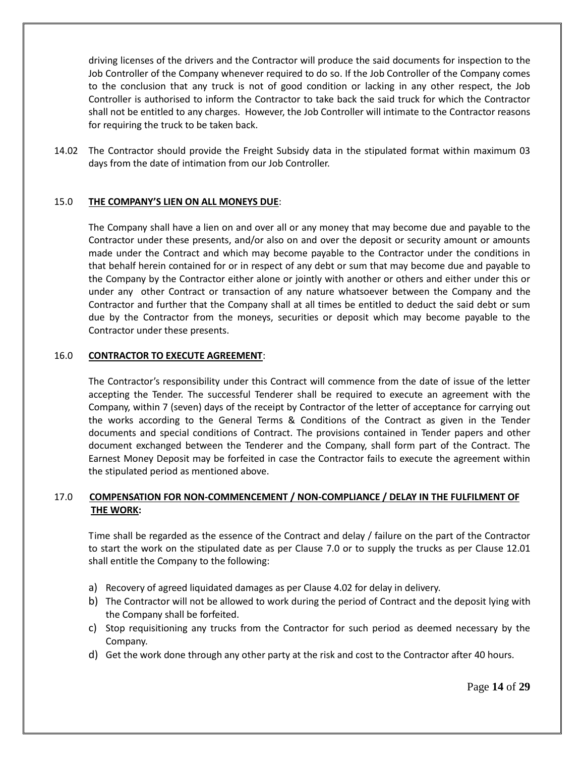driving licenses of the drivers and the Contractor will produce the said documents for inspection to the Job Controller of the Company whenever required to do so. If the Job Controller of the Company comes to the conclusion that any truck is not of good condition or lacking in any other respect, the Job Controller is authorised to inform the Contractor to take back the said truck for which the Contractor shall not be entitled to any charges. However, the Job Controller will intimate to the Contractor reasons for requiring the truck to be taken back.

14.02 The Contractor should provide the Freight Subsidy data in the stipulated format within maximum 03 days from the date of intimation from our Job Controller.

### 15.0 **THE COMPANY'S LIEN ON ALL MONEYS DUE**:

The Company shall have a lien on and over all or any money that may become due and payable to the Contractor under these presents, and/or also on and over the deposit or security amount or amounts made under the Contract and which may become payable to the Contractor under the conditions in that behalf herein contained for or in respect of any debt or sum that may become due and payable to the Company by the Contractor either alone or jointly with another or others and either under this or under any other Contract or transaction of any nature whatsoever between the Company and the Contractor and further that the Company shall at all times be entitled to deduct the said debt or sum due by the Contractor from the moneys, securities or deposit which may become payable to the Contractor under these presents.

#### 16.0 **CONTRACTOR TO EXECUTE AGREEMENT**:

The Contractor's responsibility under this Contract will commence from the date of issue of the letter accepting the Tender. The successful Tenderer shall be required to execute an agreement with the Company, within 7 (seven) days of the receipt by Contractor of the letter of acceptance for carrying out the works according to the General Terms & Conditions of the Contract as given in the Tender documents and special conditions of Contract. The provisions contained in Tender papers and other document exchanged between the Tenderer and the Company, shall form part of the Contract. The Earnest Money Deposit may be forfeited in case the Contractor fails to execute the agreement within the stipulated period as mentioned above.

## 17.0 **COMPENSATION FOR NON-COMMENCEMENT / NON-COMPLIANCE / DELAY IN THE FULFILMENT OF THE WORK:**

Time shall be regarded as the essence of the Contract and delay / failure on the part of the Contractor to start the work on the stipulated date as per Clause 7.0 or to supply the trucks as per Clause 12.01 shall entitle the Company to the following:

- a) Recovery of agreed liquidated damages as per Clause 4.02 for delay in delivery.
- b) The Contractor will not be allowed to work during the period of Contract and the deposit lying with the Company shall be forfeited.
- c) Stop requisitioning any trucks from the Contractor for such period as deemed necessary by the Company.
- d) Get the work done through any other party at the risk and cost to the Contractor after 40 hours.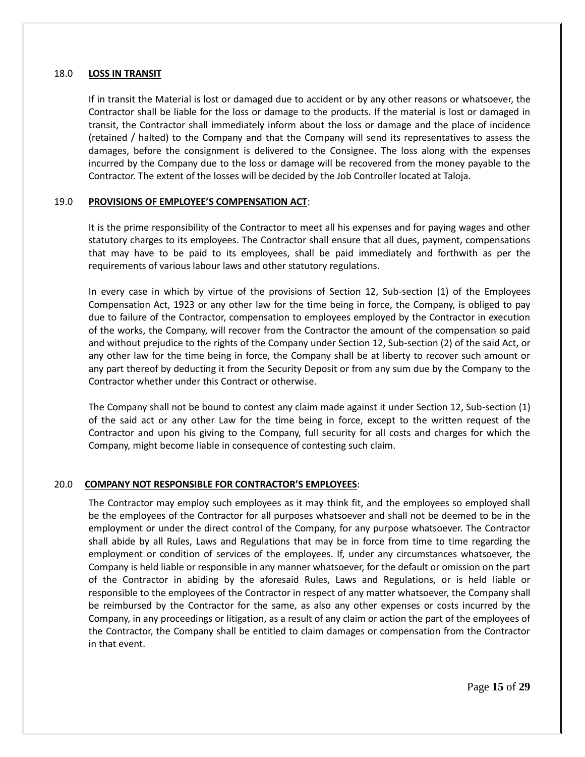### 18.0 **LOSS IN TRANSIT**

If in transit the Material is lost or damaged due to accident or by any other reasons or whatsoever, the Contractor shall be liable for the loss or damage to the products. If the material is lost or damaged in transit, the Contractor shall immediately inform about the loss or damage and the place of incidence (retained / halted) to the Company and that the Company will send its representatives to assess the damages, before the consignment is delivered to the Consignee. The loss along with the expenses incurred by the Company due to the loss or damage will be recovered from the money payable to the Contractor. The extent of the losses will be decided by the Job Controller located at Taloja.

### 19.0 **PROVISIONS OF EMPLOYEE'S COMPENSATION ACT**:

It is the prime responsibility of the Contractor to meet all his expenses and for paying wages and other statutory charges to its employees. The Contractor shall ensure that all dues, payment, compensations that may have to be paid to its employees, shall be paid immediately and forthwith as per the requirements of various labour laws and other statutory regulations.

In every case in which by virtue of the provisions of Section 12, Sub-section (1) of the Employees Compensation Act, 1923 or any other law for the time being in force, the Company, is obliged to pay due to failure of the Contractor, compensation to employees employed by the Contractor in execution of the works, the Company, will recover from the Contractor the amount of the compensation so paid and without prejudice to the rights of the Company under Section 12, Sub-section (2) of the said Act, or any other law for the time being in force, the Company shall be at liberty to recover such amount or any part thereof by deducting it from the Security Deposit or from any sum due by the Company to the Contractor whether under this Contract or otherwise.

The Company shall not be bound to contest any claim made against it under Section 12, Sub-section (1) of the said act or any other Law for the time being in force, except to the written request of the Contractor and upon his giving to the Company, full security for all costs and charges for which the Company, might become liable in consequence of contesting such claim.

## 20.0 **COMPANY NOT RESPONSIBLE FOR CONTRACTOR'S EMPLOYEES**:

The Contractor may employ such employees as it may think fit, and the employees so employed shall be the employees of the Contractor for all purposes whatsoever and shall not be deemed to be in the employment or under the direct control of the Company, for any purpose whatsoever. The Contractor shall abide by all Rules, Laws and Regulations that may be in force from time to time regarding the employment or condition of services of the employees. If, under any circumstances whatsoever, the Company is held liable or responsible in any manner whatsoever, for the default or omission on the part of the Contractor in abiding by the aforesaid Rules, Laws and Regulations, or is held liable or responsible to the employees of the Contractor in respect of any matter whatsoever, the Company shall be reimbursed by the Contractor for the same, as also any other expenses or costs incurred by the Company, in any proceedings or litigation, as a result of any claim or action the part of the employees of the Contractor, the Company shall be entitled to claim damages or compensation from the Contractor in that event.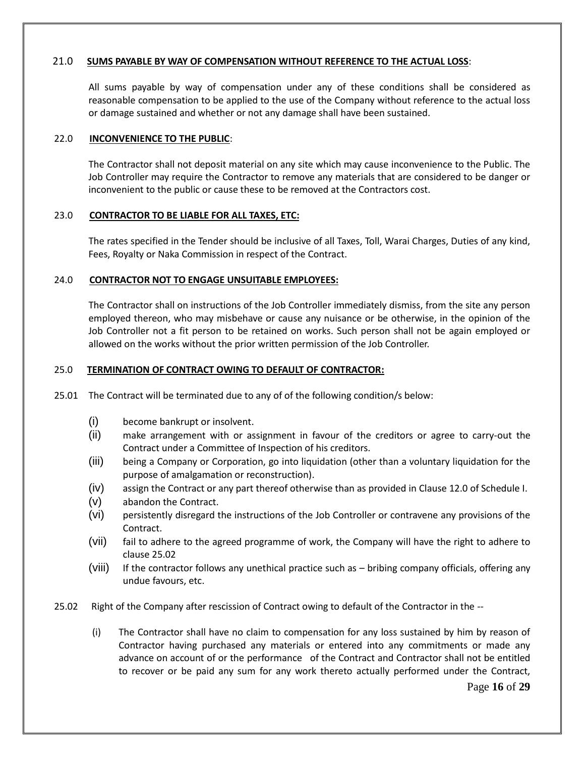### 21.0 **SUMS PAYABLE BY WAY OF COMPENSATION WITHOUT REFERENCE TO THE ACTUAL LOSS**:

All sums payable by way of compensation under any of these conditions shall be considered as reasonable compensation to be applied to the use of the Company without reference to the actual loss or damage sustained and whether or not any damage shall have been sustained.

#### 22.0 **INCONVENIENCE TO THE PUBLIC**:

The Contractor shall not deposit material on any site which may cause inconvenience to the Public. The Job Controller may require the Contractor to remove any materials that are considered to be danger or inconvenient to the public or cause these to be removed at the Contractors cost.

### 23.0 **CONTRACTOR TO BE LIABLE FOR ALL TAXES, ETC:**

The rates specified in the Tender should be inclusive of all Taxes, Toll, Warai Charges, Duties of any kind, Fees, Royalty or Naka Commission in respect of the Contract.

#### 24.0 **CONTRACTOR NOT TO ENGAGE UNSUITABLE EMPLOYEES:**

The Contractor shall on instructions of the Job Controller immediately dismiss, from the site any person employed thereon, who may misbehave or cause any nuisance or be otherwise, in the opinion of the Job Controller not a fit person to be retained on works. Such person shall not be again employed or allowed on the works without the prior written permission of the Job Controller.

#### 25.0 **TERMINATION OF CONTRACT OWING TO DEFAULT OF CONTRACTOR:**

- 25.01 The Contract will be terminated due to any of of the following condition/s below:
	- (i) become bankrupt or insolvent.
	- (ii) make arrangement with or assignment in favour of the creditors or agree to carry-out the Contract under a Committee of Inspection of his creditors.
	- (iii) being a Company or Corporation, go into liquidation (other than a voluntary liquidation for the purpose of amalgamation or reconstruction).
	- (iv) assign the Contract or any part thereof otherwise than as provided in Clause 12.0 of Schedule I.
	- (v) abandon the Contract.
	- (vi) persistently disregard the instructions of the Job Controller or contravene any provisions of the Contract.
	- (vii) fail to adhere to the agreed programme of work, the Company will have the right to adhere to clause 25.02
	- (viii) If the contractor follows any unethical practice such as bribing company officials, offering any undue favours, etc.
- 25.02 Right of the Company after rescission of Contract owing to default of the Contractor in the --
	- (i) The Contractor shall have no claim to compensation for any loss sustained by him by reason of Contractor having purchased any materials or entered into any commitments or made any advance on account of or the performance of the Contract and Contractor shall not be entitled to recover or be paid any sum for any work thereto actually performed under the Contract,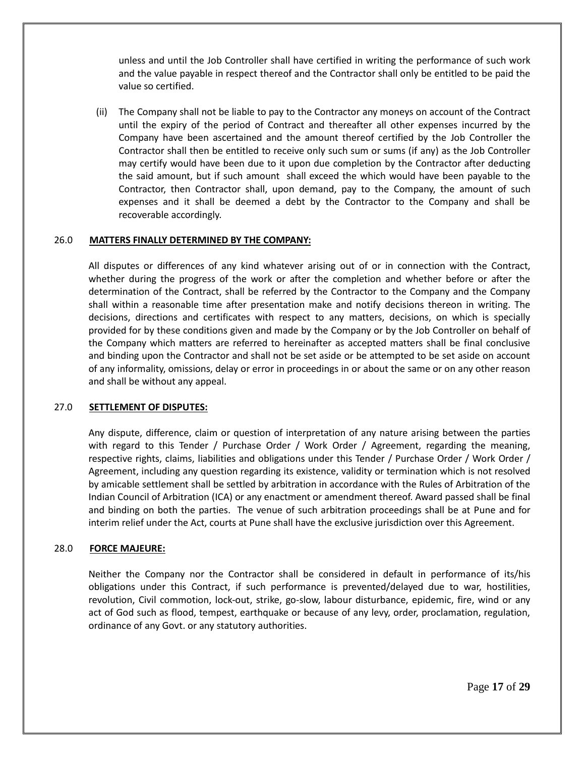unless and until the Job Controller shall have certified in writing the performance of such work and the value payable in respect thereof and the Contractor shall only be entitled to be paid the value so certified.

 (ii) The Company shall not be liable to pay to the Contractor any moneys on account of the Contract until the expiry of the period of Contract and thereafter all other expenses incurred by the Company have been ascertained and the amount thereof certified by the Job Controller the Contractor shall then be entitled to receive only such sum or sums (if any) as the Job Controller may certify would have been due to it upon due completion by the Contractor after deducting the said amount, but if such amount shall exceed the which would have been payable to the Contractor, then Contractor shall, upon demand, pay to the Company, the amount of such expenses and it shall be deemed a debt by the Contractor to the Company and shall be recoverable accordingly.

#### 26.0 **MATTERS FINALLY DETERMINED BY THE COMPANY:**

All disputes or differences of any kind whatever arising out of or in connection with the Contract, whether during the progress of the work or after the completion and whether before or after the determination of the Contract, shall be referred by the Contractor to the Company and the Company shall within a reasonable time after presentation make and notify decisions thereon in writing. The decisions, directions and certificates with respect to any matters, decisions, on which is specially provided for by these conditions given and made by the Company or by the Job Controller on behalf of the Company which matters are referred to hereinafter as accepted matters shall be final conclusive and binding upon the Contractor and shall not be set aside or be attempted to be set aside on account of any informality, omissions, delay or error in proceedings in or about the same or on any other reason and shall be without any appeal.

#### 27.0 **SETTLEMENT OF DISPUTES:**

Any dispute, difference, claim or question of interpretation of any nature arising between the parties with regard to this Tender / Purchase Order / Work Order / Agreement, regarding the meaning, respective rights, claims, liabilities and obligations under this Tender / Purchase Order / Work Order / Agreement, including any question regarding its existence, validity or termination which is not resolved by amicable settlement shall be settled by arbitration in accordance with the Rules of Arbitration of the Indian Council of Arbitration (ICA) or any enactment or amendment thereof. Award passed shall be final and binding on both the parties. The venue of such arbitration proceedings shall be at Pune and for interim relief under the Act, courts at Pune shall have the exclusive jurisdiction over this Agreement.

#### 28.0 **FORCE MAJEURE:**

Neither the Company nor the Contractor shall be considered in default in performance of its/his obligations under this Contract, if such performance is prevented/delayed due to war, hostilities, revolution, Civil commotion, lock-out, strike, go-slow, labour disturbance, epidemic, fire, wind or any act of God such as flood, tempest, earthquake or because of any levy, order, proclamation, regulation, ordinance of any Govt. or any statutory authorities.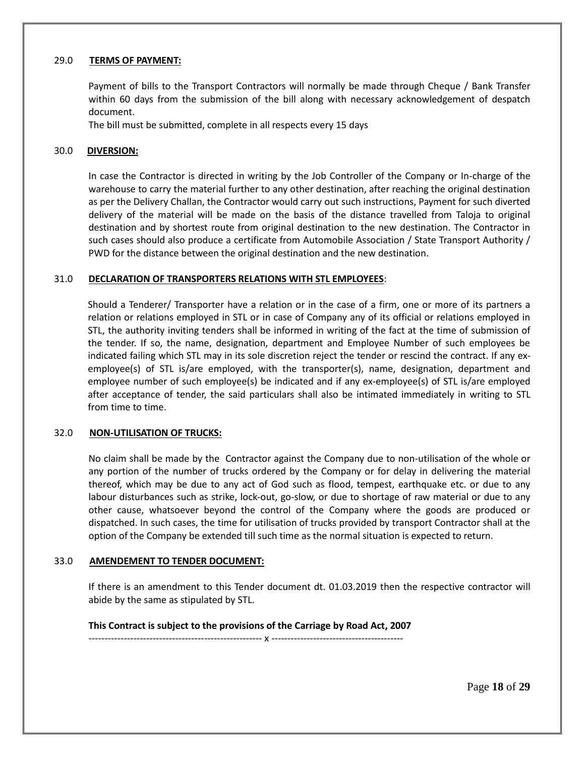### 29.0 **TERMS OF PAYMENT:**

Payment of bills to the Transport Contractors will normally be made through Cheque / Bank Transfer within 60 days from the submission of the bill along with necessary acknowledgement of despatch document.

The bill must be submitted, complete in all respects every 15 days

#### 30.0 **DIVERSION:**

In case the Contractor is directed in writing by the Job Controller of the Company or In-charge of the warehouse to carry the material further to any other destination, after reaching the original destination as per the Delivery Challan, the Contractor would carry out such instructions, Payment for such diverted delivery of the material will be made on the basis of the distance travelled from Taloja to original destination and by shortest route from original destination to the new destination. The Contractor in such cases should also produce a certificate from Automobile Association / State Transport Authority / PWD for the distance between the original destination and the new destination.

#### 31.0 **DECLARATION OF TRANSPORTERS RELATIONS WITH STL EMPLOYEES**:

Should a Tenderer/ Transporter have a relation or in the case of a firm, one or more of its partners a relation or relations employed in STL or in case of Company any of its official or relations employed in STL, the authority inviting tenders shall be informed in writing of the fact at the time of submission of the tender. If so, the name, designation, department and Employee Number of such employees be indicated failing which STL may in its sole discretion reject the tender or rescind the contract. If any exemployee(s) of STL is/are employed, with the transporter(s), name, designation, department and employee number of such employee(s) be indicated and if any ex-employee(s) of STL is/are employed after acceptance of tender, the said particulars shall also be intimated immediately in writing to STL from time to time.

#### 32.0 **NON-UTILISATION OF TRUCKS:**

No claim shall be made by the Contractor against the Company due to non-utilisation of the whole or any portion of the number of trucks ordered by the Company or for delay in delivering the material thereof, which may be due to any act of God such as flood, tempest, earthquake etc. or due to any labour disturbances such as strike, lock-out, go-slow, or due to shortage of raw material or due to any other cause, whatsoever beyond the control of the Company where the goods are produced or dispatched. In such cases, the time for utilisation of trucks provided by transport Contractor shall at the option of the Company be extended till such time as the normal situation is expected to return.

#### 33.0 **AMENDEMENT TO TENDER DOCUMENT:**

If there is an amendment to this Tender document dt. 01.03.2019 then the respective contractor will abide by the same as stipulated by STL.

#### **This Contract is subject to the provisions of the Carriage by Road Act, 2007** ------------------------------------------------------ x -----------------------------------------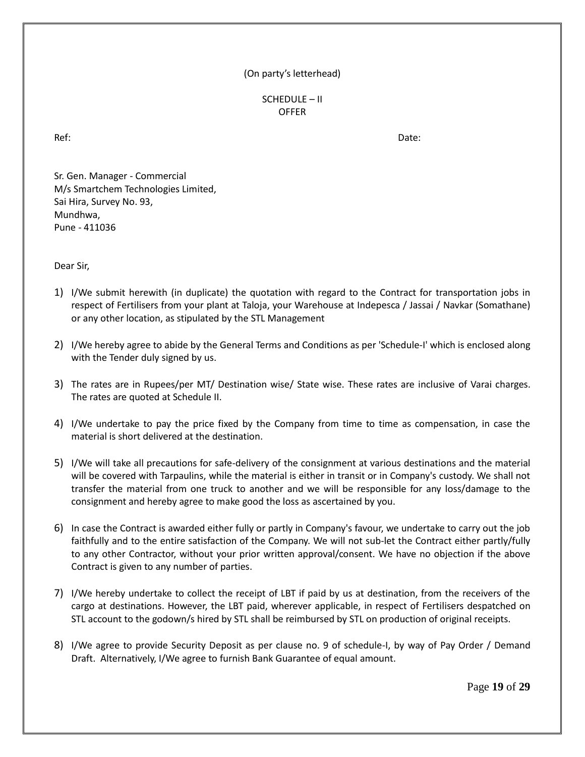## (On party's letterhead)

SCHEDULE – II OFFER

Ref: Date:

Sr. Gen. Manager - Commercial M/s Smartchem Technologies Limited, Sai Hira, Survey No. 93, Mundhwa, Pune - 411036

Dear Sir,

- 1) I/We submit herewith (in duplicate) the quotation with regard to the Contract for transportation jobs in respect of Fertilisers from your plant at Taloja, your Warehouse at Indepesca / Jassai / Navkar (Somathane) or any other location, as stipulated by the STL Management
- 2) I/We hereby agree to abide by the General Terms and Conditions as per 'Schedule-I' which is enclosed along with the Tender duly signed by us.
- 3) The rates are in Rupees/per MT/ Destination wise/ State wise. These rates are inclusive of Varai charges. The rates are quoted at Schedule II.
- 4) I/We undertake to pay the price fixed by the Company from time to time as compensation, in case the material is short delivered at the destination.
- 5) I/We will take all precautions for safe-delivery of the consignment at various destinations and the material will be covered with Tarpaulins, while the material is either in transit or in Company's custody. We shall not transfer the material from one truck to another and we will be responsible for any loss/damage to the consignment and hereby agree to make good the loss as ascertained by you.
- 6) In case the Contract is awarded either fully or partly in Company's favour, we undertake to carry out the job faithfully and to the entire satisfaction of the Company. We will not sub-let the Contract either partly/fully to any other Contractor, without your prior written approval/consent. We have no objection if the above Contract is given to any number of parties.
- 7) I/We hereby undertake to collect the receipt of LBT if paid by us at destination, from the receivers of the cargo at destinations. However, the LBT paid, wherever applicable, in respect of Fertilisers despatched on STL account to the godown/s hired by STL shall be reimbursed by STL on production of original receipts.
- 8) I/We agree to provide Security Deposit as per clause no. 9 of schedule-I, by way of Pay Order / Demand Draft. Alternatively, I/We agree to furnish Bank Guarantee of equal amount.

Page **19** of **29**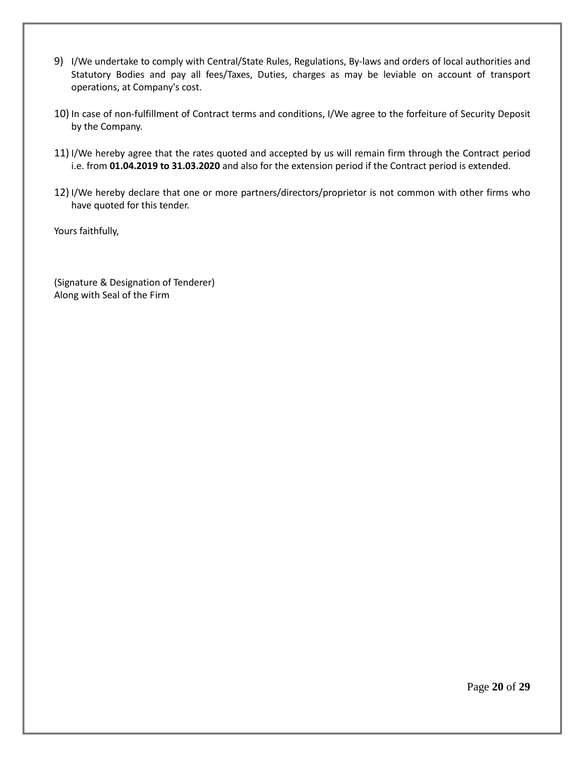- 9) I/We undertake to comply with Central/State Rules, Regulations, By-laws and orders of local authorities and Statutory Bodies and pay all fees/Taxes, Duties, charges as may be leviable on account of transport operations, at Company's cost.
- 10) In case of non-fulfillment of Contract terms and conditions, I/We agree to the forfeiture of Security Deposit by the Company.
- 11) I/We hereby agree that the rates quoted and accepted by us will remain firm through the Contract period i.e. from **01.04.2019 to 31.03.2020** and also for the extension period if the Contract period is extended.
- 12) I/We hereby declare that one or more partners/directors/proprietor is not common with other firms who have quoted for this tender.

Yours faithfully,

(Signature & Designation of Tenderer) Along with Seal of the Firm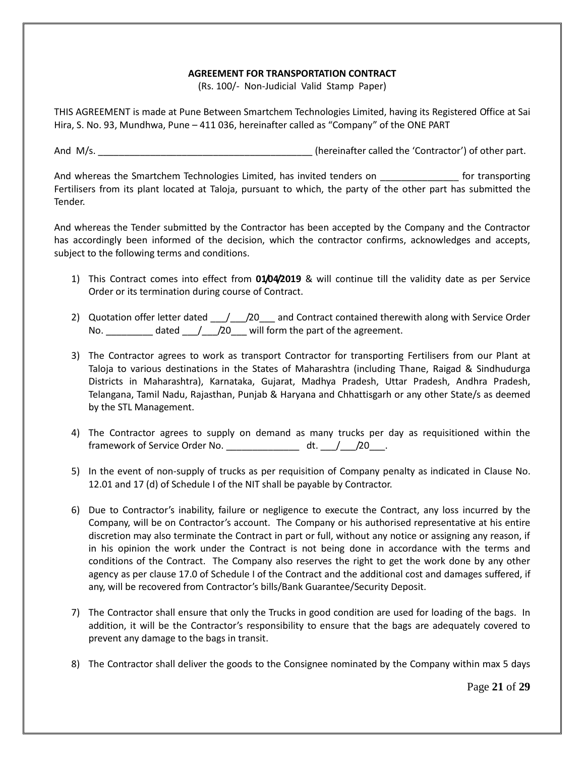## **AGREEMENT FOR TRANSPORTATION CONTRACT**

(Rs. 100/- Non-Judicial Valid Stamp Paper)

THIS AGREEMENT is made at Pune Between Smartchem Technologies Limited, having its Registered Office at Sai Hira, S. No. 93, Mundhwa, Pune – 411 036, hereinafter called as "Company" of the ONE PART

And M/s. \_\_\_\_\_\_\_\_\_\_\_\_\_\_\_\_\_\_\_\_\_\_\_\_\_\_\_\_\_\_\_\_\_\_\_\_\_\_\_\_\_ (hereinafter called the 'Contractor') of other part.

And whereas the Smartchem Technologies Limited, has invited tenders on \_\_\_\_\_\_\_\_\_\_\_\_\_\_\_ for transporting Fertilisers from its plant located at Taloja, pursuant to which, the party of the other part has submitted the Tender.

And whereas the Tender submitted by the Contractor has been accepted by the Company and the Contractor has accordingly been informed of the decision, which the contractor confirms, acknowledges and accepts, subject to the following terms and conditions.

- 1) This Contract comes into effect from **01/04/2019** & will continue till the validity date as per Service Order or its termination during course of Contract.
- 2) Quotation offer letter dated \_\_\_/\_\_\_/20\_\_\_ and Contract contained therewith along with Service Order No.  $\frac{1}{20}$  /20 will form the part of the agreement.
- 3) The Contractor agrees to work as transport Contractor for transporting Fertilisers from our Plant at Taloja to various destinations in the States of Maharashtra (including Thane, Raigad & Sindhudurga Districts in Maharashtra), Karnataka, Gujarat, Madhya Pradesh, Uttar Pradesh, Andhra Pradesh, Telangana, Tamil Nadu, Rajasthan, Punjab & Haryana and Chhattisgarh or any other State/s as deemed by the STL Management.
- 4) The Contractor agrees to supply on demand as many trucks per day as requisitioned within the framework of Service Order No. And the dt.  $/$  /20 .
- 5) In the event of non-supply of trucks as per requisition of Company penalty as indicated in Clause No. 12.01 and 17 (d) of Schedule I of the NIT shall be payable by Contractor.
- 6) Due to Contractor's inability, failure or negligence to execute the Contract, any loss incurred by the Company, will be on Contractor's account. The Company or his authorised representative at his entire discretion may also terminate the Contract in part or full, without any notice or assigning any reason, if in his opinion the work under the Contract is not being done in accordance with the terms and conditions of the Contract. The Company also reserves the right to get the work done by any other agency as per clause 17.0 of Schedule I of the Contract and the additional cost and damages suffered, if any, will be recovered from Contractor's bills/Bank Guarantee/Security Deposit.
- 7) The Contractor shall ensure that only the Trucks in good condition are used for loading of the bags. In addition, it will be the Contractor's responsibility to ensure that the bags are adequately covered to prevent any damage to the bags in transit.
- 8) The Contractor shall deliver the goods to the Consignee nominated by the Company within max 5 days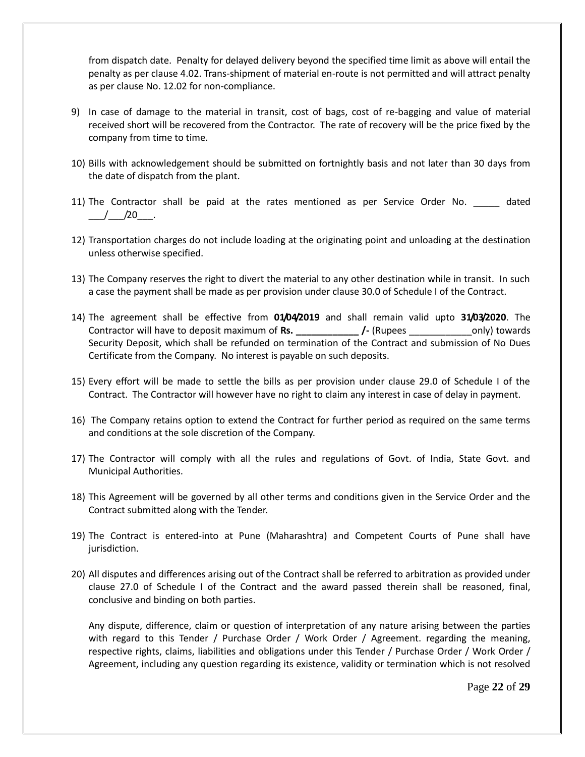from dispatch date. Penalty for delayed delivery beyond the specified time limit as above will entail the penalty as per clause 4.02. Trans-shipment of material en-route is not permitted and will attract penalty as per clause No. 12.02 for non-compliance.

- 9) In case of damage to the material in transit, cost of bags, cost of re-bagging and value of material received short will be recovered from the Contractor. The rate of recovery will be the price fixed by the company from time to time.
- 10) Bills with acknowledgement should be submitted on fortnightly basis and not later than 30 days from the date of dispatch from the plant.
- 11) The Contractor shall be paid at the rates mentioned as per Service Order No. \_\_\_\_\_ dated  $/$   $/$  20  $.$
- 12) Transportation charges do not include loading at the originating point and unloading at the destination unless otherwise specified.
- 13) The Company reserves the right to divert the material to any other destination while in transit. In such a case the payment shall be made as per provision under clause 30.0 of Schedule I of the Contract.
- 14) The agreement shall be effective from **01/04/2019** and shall remain valid upto **31/03/2020**. The Contractor will have to deposit maximum of **Rs. \_\_\_\_\_\_\_\_\_\_\_\_ /-** (Rupees \_\_\_\_\_\_\_\_\_\_\_\_only) towards Security Deposit, which shall be refunded on termination of the Contract and submission of No Dues Certificate from the Company. No interest is payable on such deposits.
- 15) Every effort will be made to settle the bills as per provision under clause 29.0 of Schedule I of the Contract. The Contractor will however have no right to claim any interest in case of delay in payment.
- 16) The Company retains option to extend the Contract for further period as required on the same terms and conditions at the sole discretion of the Company.
- 17) The Contractor will comply with all the rules and regulations of Govt. of India, State Govt. and Municipal Authorities.
- 18) This Agreement will be governed by all other terms and conditions given in the Service Order and the Contract submitted along with the Tender.
- 19) The Contract is entered-into at Pune (Maharashtra) and Competent Courts of Pune shall have jurisdiction.
- 20) All disputes and differences arising out of the Contract shall be referred to arbitration as provided under clause 27.0 of Schedule I of the Contract and the award passed therein shall be reasoned, final, conclusive and binding on both parties.

Any dispute, difference, claim or question of interpretation of any nature arising between the parties with regard to this Tender / Purchase Order / Work Order / Agreement. regarding the meaning, respective rights, claims, liabilities and obligations under this Tender / Purchase Order / Work Order / Agreement, including any question regarding its existence, validity or termination which is not resolved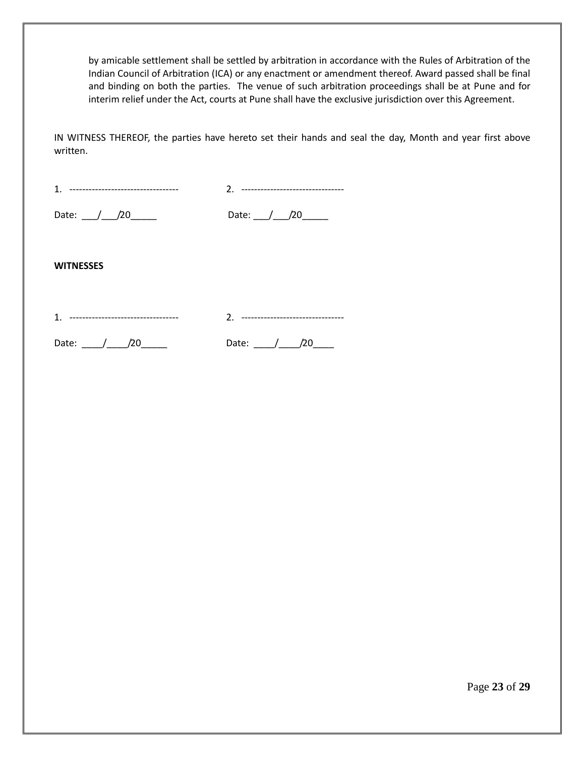by amicable settlement shall be settled by arbitration in accordance with the Rules of Arbitration of the Indian Council of Arbitration (ICA) or any enactment or amendment thereof. Award passed shall be final and binding on both the parties. The venue of such arbitration proceedings shall be at Pune and for interim relief under the Act, courts at Pune shall have the exclusive jurisdiction over this Agreement.

IN WITNESS THEREOF, the parties have hereto set their hands and seal the day, Month and year first above written.

| 4<br>-<br>ᅭ |  | --     | ∽ | <u>.</u> |  |     |  |
|-------------|--|--------|---|----------|--|-----|--|
| <b>P.I.</b> |  | $\sim$ |   |          |  | n o |  |

Date:  $\sqrt{20}$  Date:  $\sqrt{20}$  Date:  $\sqrt{20}$ 

**WITNESSES**

1. ---------------------------------- 2. --------------------------------

Date:  $\frac{1}{20}$  20 Date:  $\frac{1}{20}$  Date:  $\frac{1}{20}$ 

Page **23** of **29**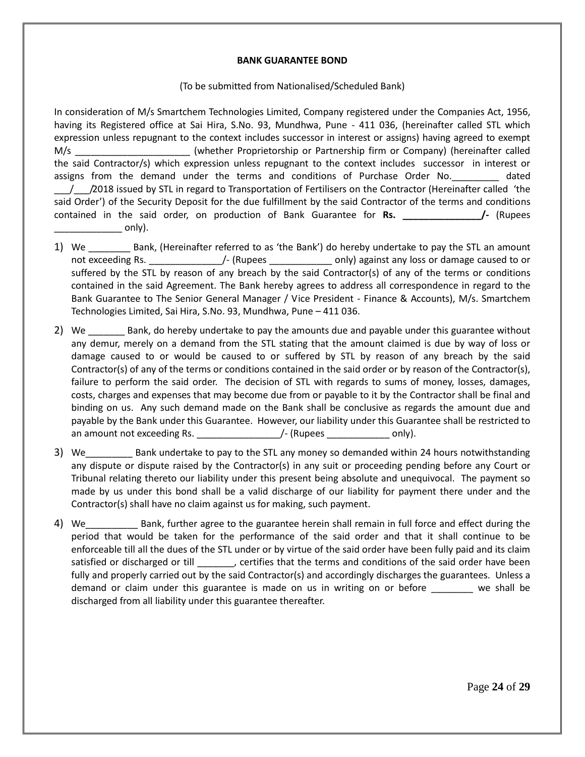### **BANK GUARANTEE BOND**

### (To be submitted from Nationalised/Scheduled Bank)

In consideration of M/s Smartchem Technologies Limited, Company registered under the Companies Act, 1956, having its Registered office at Sai Hira, S.No. 93, Mundhwa, Pune - 411 036, (hereinafter called STL which expression unless repugnant to the context includes successor in interest or assigns) having agreed to exempt M/s \_\_\_\_\_\_\_\_\_\_\_\_\_\_\_\_\_\_\_\_\_\_ (whether Proprietorship or Partnership firm or Company) (hereinafter called the said Contractor/s) which expression unless repugnant to the context includes successor in interest or assigns from the demand under the terms and conditions of Purchase Order No. \_\_\_\_\_\_\_ dated \_\_\_/\_\_\_/2018 issued by STL in regard to Transportation of Fertilisers on the Contractor (Hereinafter called 'the said Order') of the Security Deposit for the due fulfillment by the said Contractor of the terms and conditions contained in the said order, on production of Bank Guarantee for **Rs. \_\_\_\_\_\_\_\_\_\_\_\_\_\_\_/-** (Rupees  $\circ$  only).

- 1) We Bank, (Hereinafter referred to as 'the Bank') do hereby undertake to pay the STL an amount not exceeding Rs.  $\frac{1}{2}$  (Rupees  $\frac{1}{2}$  conly) against any loss or damage caused to or suffered by the STL by reason of any breach by the said Contractor(s) of any of the terms or conditions contained in the said Agreement. The Bank hereby agrees to address all correspondence in regard to the Bank Guarantee to The Senior General Manager / Vice President - Finance & Accounts), M/s. Smartchem Technologies Limited, Sai Hira, S.No. 93, Mundhwa, Pune – 411 036.
- 2) We \_\_\_\_\_\_\_ Bank, do hereby undertake to pay the amounts due and payable under this guarantee without any demur, merely on a demand from the STL stating that the amount claimed is due by way of loss or damage caused to or would be caused to or suffered by STL by reason of any breach by the said Contractor(s) of any of the terms or conditions contained in the said order or by reason of the Contractor(s), failure to perform the said order. The decision of STL with regards to sums of money, losses, damages, costs, charges and expenses that may become due from or payable to it by the Contractor shall be final and binding on us. Any such demand made on the Bank shall be conclusive as regards the amount due and payable by the Bank under this Guarantee. However, our liability under this Guarantee shall be restricted to an amount not exceeding Rs.  $\overline{a}$  | (Rupees  $\overline{a}$  only).
- 3) We Bank undertake to pay to the STL any money so demanded within 24 hours notwithstanding any dispute or dispute raised by the Contractor(s) in any suit or proceeding pending before any Court or Tribunal relating thereto our liability under this present being absolute and unequivocal. The payment so made by us under this bond shall be a valid discharge of our liability for payment there under and the Contractor(s) shall have no claim against us for making, such payment.
- 4) We The Bank, further agree to the guarantee herein shall remain in full force and effect during the period that would be taken for the performance of the said order and that it shall continue to be enforceable till all the dues of the STL under or by virtue of the said order have been fully paid and its claim satisfied or discharged or till \_\_\_\_\_\_, certifies that the terms and conditions of the said order have been fully and properly carried out by the said Contractor(s) and accordingly discharges the guarantees. Unless a demand or claim under this guarantee is made on us in writing on or before \_\_\_\_\_\_\_\_ we shall be discharged from all liability under this guarantee thereafter.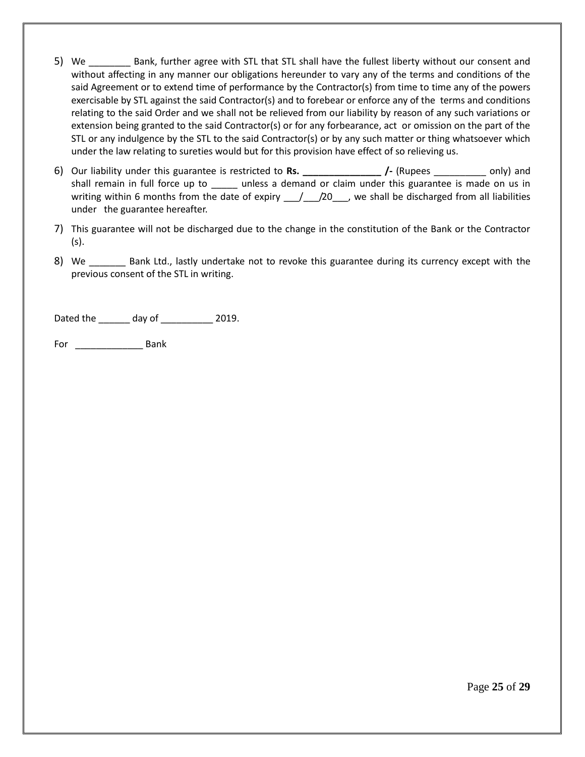- 5) We \_\_\_\_\_\_\_\_ Bank, further agree with STL that STL shall have the fullest liberty without our consent and without affecting in any manner our obligations hereunder to vary any of the terms and conditions of the said Agreement or to extend time of performance by the Contractor(s) from time to time any of the powers exercisable by STL against the said Contractor(s) and to forebear or enforce any of the terms and conditions relating to the said Order and we shall not be relieved from our liability by reason of any such variations or extension being granted to the said Contractor(s) or for any forbearance, act or omission on the part of the STL or any indulgence by the STL to the said Contractor(s) or by any such matter or thing whatsoever which under the law relating to sureties would but for this provision have effect of so relieving us.
- 6) Our liability under this guarantee is restricted to **Rs. \_\_\_\_\_\_\_\_\_\_\_\_\_\_\_ /-** (Rupees \_\_\_\_\_\_\_\_\_\_ only) and shall remain in full force up to \_\_\_\_\_ unless a demand or claim under this guarantee is made on us in writing within 6 months from the date of expiry  $\frac{1}{2}$   $\frac{20}{10}$ , we shall be discharged from all liabilities under the guarantee hereafter.
- 7) This guarantee will not be discharged due to the change in the constitution of the Bank or the Contractor (s).
- 8) We \_\_\_\_\_\_\_ Bank Ltd., lastly undertake not to revoke this guarantee during its currency except with the previous consent of the STL in writing.

Dated the \_\_\_\_\_\_ day of \_\_\_\_\_\_\_\_\_\_ 2019.

For \_\_\_\_\_\_\_\_\_\_\_\_\_ Bank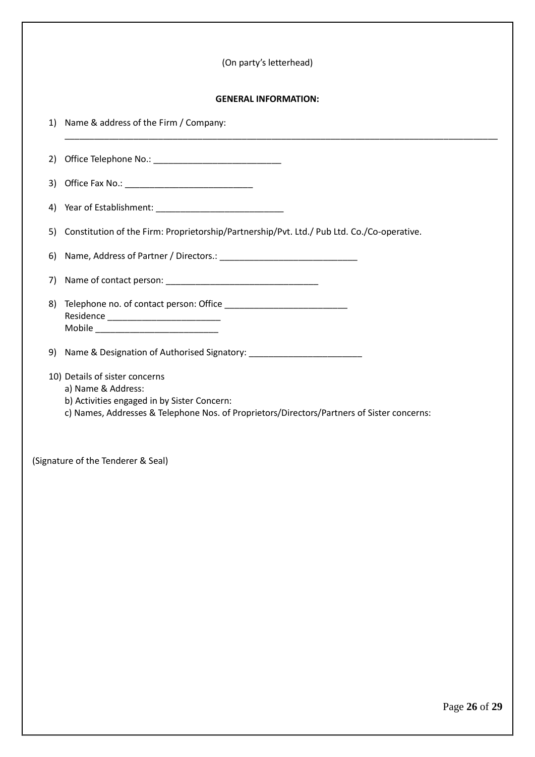|    | (On party's letterhead)                                                                                                                                                                           |
|----|---------------------------------------------------------------------------------------------------------------------------------------------------------------------------------------------------|
|    | <b>GENERAL INFORMATION:</b>                                                                                                                                                                       |
| 1) | Name & address of the Firm / Company:                                                                                                                                                             |
| 2) |                                                                                                                                                                                                   |
| 3) |                                                                                                                                                                                                   |
| 4) |                                                                                                                                                                                                   |
| 5) | Constitution of the Firm: Proprietorship/Partnership/Pvt. Ltd./ Pub Ltd. Co./Co-operative.                                                                                                        |
| 6) |                                                                                                                                                                                                   |
| 7) |                                                                                                                                                                                                   |
| 8) |                                                                                                                                                                                                   |
| 9) |                                                                                                                                                                                                   |
|    | 10) Details of sister concerns<br>a) Name & Address:<br>b) Activities engaged in by Sister Concern:<br>c) Names, Addresses & Telephone Nos. of Proprietors/Directors/Partners of Sister concerns: |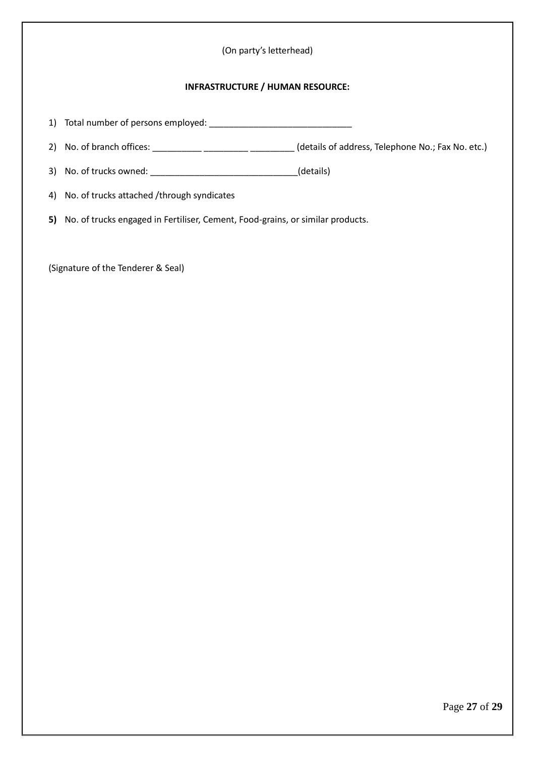## (On party's letterhead)

### **INFRASTRUCTURE / HUMAN RESOURCE:**

1) Total number of persons employed: \_\_\_\_\_\_\_\_\_\_\_\_\_\_\_\_\_\_\_\_\_\_\_\_\_\_\_\_\_

2) No. of branch offices: \_\_\_\_\_\_\_\_\_\_\_\_\_\_\_\_\_\_\_\_\_\_\_\_\_\_\_\_\_\_\_\_\_(details of address, Telephone No.; Fax No. etc.)

3) No. of trucks owned: \_\_\_\_\_\_\_\_\_\_\_\_\_\_\_\_\_\_\_\_\_\_\_\_\_\_\_\_\_\_(details)

4) No. of trucks attached /through syndicates

**5)** No. of trucks engaged in Fertiliser, Cement, Food-grains, or similar products.

(Signature of the Tenderer & Seal)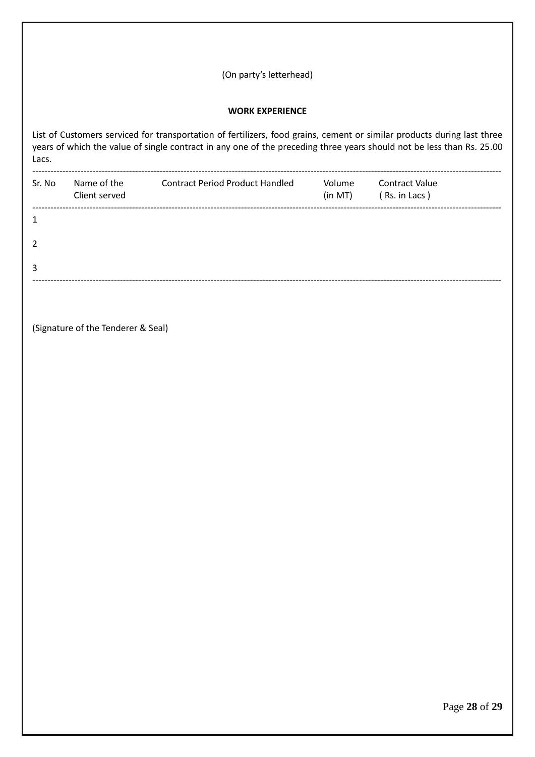| <b>WORK EXPERIENCE</b><br>List of Customers serviced for transportation of fertilizers, food grains, cement or similar products during last three<br>years of which the value of single contract in any one of the preceding three years should not be less than Rs. 25.00<br>Lacs.<br><b>Contract Period Product Handled</b><br>Sr. No<br>Name of the<br>Volume<br><b>Contract Value</b><br>Client served<br>(in MT)<br>(Rs. in Lacs)<br>1<br>$\overline{2}$<br>3 |  |
|--------------------------------------------------------------------------------------------------------------------------------------------------------------------------------------------------------------------------------------------------------------------------------------------------------------------------------------------------------------------------------------------------------------------------------------------------------------------|--|
|                                                                                                                                                                                                                                                                                                                                                                                                                                                                    |  |
|                                                                                                                                                                                                                                                                                                                                                                                                                                                                    |  |
|                                                                                                                                                                                                                                                                                                                                                                                                                                                                    |  |
|                                                                                                                                                                                                                                                                                                                                                                                                                                                                    |  |
|                                                                                                                                                                                                                                                                                                                                                                                                                                                                    |  |
|                                                                                                                                                                                                                                                                                                                                                                                                                                                                    |  |
|                                                                                                                                                                                                                                                                                                                                                                                                                                                                    |  |

(Signature of the Tenderer & Seal)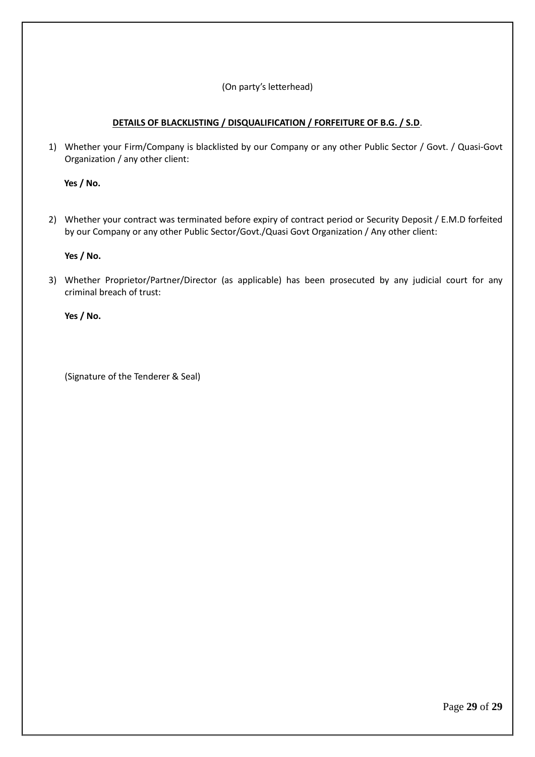## (On party's letterhead)

## **DETAILS OF BLACKLISTING / DISQUALIFICATION / FORFEITURE OF B.G. / S.D**.

1) Whether your Firm/Company is blacklisted by our Company or any other Public Sector / Govt. / Quasi-Govt Organization / any other client:

 **Yes / No.**

2) Whether your contract was terminated before expiry of contract period or Security Deposit / E.M.D forfeited by our Company or any other Public Sector/Govt./Quasi Govt Organization / Any other client:

**Yes / No.**

3) Whether Proprietor/Partner/Director (as applicable) has been prosecuted by any judicial court for any criminal breach of trust:

**Yes / No.**

(Signature of the Tenderer & Seal)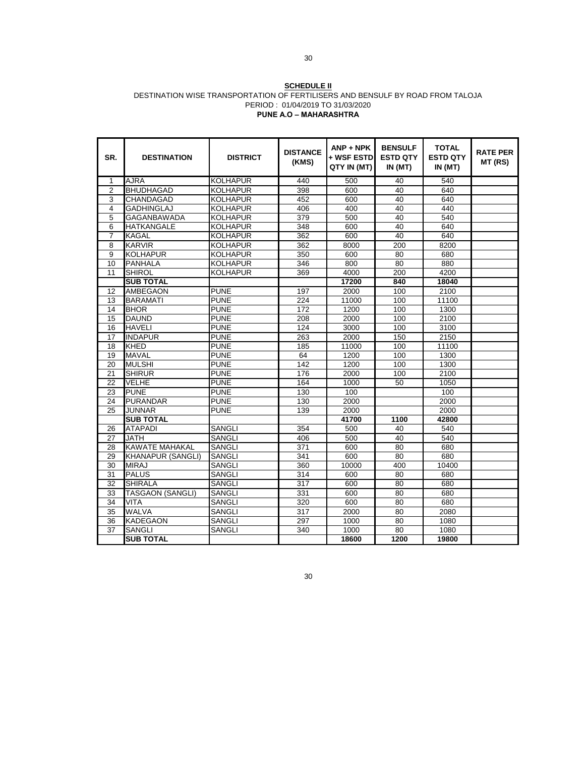#### **SCHEDULE II** DESTINATION WISE TRANSPORTATION OF FERTILISERS AND BENSULF BY ROAD FROM TALOJA PERIOD : 01/04/2019 TO 31/03/2020 **PUNE A.O – MAHARASHTRA**

| SR.             | <b>DESTINATION</b>       | <b>DISTRICT</b> | <b>DISTANCE</b><br>(KMS) | $ANP + NPK$<br>+ WSF ESTD<br>QTY IN (MT) | <b>BENSULF</b><br><b>ESTD QTY</b><br>IN (MT) | <b>TOTAL</b><br><b>ESTD QTY</b><br>IN (MT) | <b>RATE PER</b><br>MT (RS) |
|-----------------|--------------------------|-----------------|--------------------------|------------------------------------------|----------------------------------------------|--------------------------------------------|----------------------------|
| 1               | <b>AJRA</b>              | <b>KOLHAPUR</b> | 440                      | 500                                      | 40                                           | 540                                        |                            |
| $\overline{2}$  | <b>BHUDHAGAD</b>         | <b>KOLHAPUR</b> | 398                      | 600                                      | 40                                           | 640                                        |                            |
| 3               | CHANDAGAD                | <b>KOLHAPUR</b> | 452                      | 600                                      | 40                                           | 640                                        |                            |
| $\overline{4}$  | <b>GADHINGLAJ</b>        | <b>KOLHAPUR</b> | 406                      | 400                                      | 40                                           | 440                                        |                            |
| 5               | <b>GAGANBAWADA</b>       | <b>KOLHAPUR</b> | 379                      | 500                                      | 40                                           | 540                                        |                            |
| 6               | <b>HATKANGALE</b>        | KOLHAPUR        | 348                      | 600                                      | 40                                           | 640                                        |                            |
| $\overline{7}$  | <b>KAGAL</b>             | <b>KOLHAPUR</b> | 362                      | 600                                      | 40                                           | 640                                        |                            |
| 8               | <b>KARVIR</b>            | <b>KOLHAPUR</b> | 362                      | 8000                                     | 200                                          | 8200                                       |                            |
| 9               | <b>KOLHAPUR</b>          | <b>KOLHAPUR</b> | 350                      | 600                                      | 80                                           | 680                                        |                            |
| 10              | <b>PANHALA</b>           | <b>KOLHAPUR</b> | 346                      | 800                                      | 80                                           | 880                                        |                            |
| 11              | <b>SHIROL</b>            | <b>KOLHAPUR</b> | 369                      | 4000                                     | 200                                          | 4200                                       |                            |
|                 | <b>SUB TOTAL</b>         |                 |                          | 17200                                    | 840                                          | 18040                                      |                            |
| 12              | <b>AMBEGAON</b>          | <b>PUNE</b>     | 197                      | 2000                                     | 100                                          | 2100                                       |                            |
| 13              | <b>BARAMATI</b>          | <b>PUNE</b>     | $\overline{224}$         | 11000                                    | 100                                          | 11100                                      |                            |
| 14              | <b>BHOR</b>              | <b>PUNE</b>     | 172                      | 1200                                     | 100                                          | 1300                                       |                            |
| 15              | <b>DAUND</b>             | <b>PUNE</b>     | 208                      | 2000                                     | 100                                          | 2100                                       |                            |
| 16              | <b>HAVELI</b>            | <b>PUNE</b>     | 124                      | 3000                                     | 100                                          | 3100                                       |                            |
| 17              | <b>INDAPUR</b>           | <b>PUNE</b>     | 263                      | 2000                                     | 150                                          | 2150                                       |                            |
| 18              | <b>KHED</b>              | <b>PUNE</b>     | 185                      | 11000                                    | 100                                          | 11100                                      |                            |
| 19              | <b>MAVAL</b>             | <b>PUNE</b>     | 64                       | 1200                                     | 100                                          | 1300                                       |                            |
| 20              | <b>MULSHI</b>            | <b>PUNE</b>     | $\overline{142}$         | 1200                                     | 100                                          | 1300                                       |                            |
| 21              | <b>SHIRUR</b>            | <b>PUNE</b>     | 176                      | 2000                                     | 100                                          | 2100                                       |                            |
| 22              | <b>VELHE</b>             | <b>PUNE</b>     | 164                      | 1000                                     | 50                                           | 1050                                       |                            |
| 23              | <b>PUNE</b>              | <b>PUNE</b>     | 130                      | 100                                      |                                              | 100                                        |                            |
| 24              | <b>PURANDAR</b>          | <b>PUNE</b>     | 130                      | 2000                                     |                                              | 2000                                       |                            |
| 25              | <b>JUNNAR</b>            | <b>PUNE</b>     | 139                      | 2000                                     |                                              | 2000                                       |                            |
|                 | <b>SUB TOTAL</b>         |                 |                          | 41700                                    | 1100                                         | 42800                                      |                            |
| 26              | <b>ATAPADI</b>           | SANGLI          | 354                      | 500                                      | 40                                           | 540                                        |                            |
| 27              | <b>JATH</b>              | SANGLI          | 406                      | 500                                      | 40                                           | 540                                        |                            |
| 28              | <b>KAWATE MAHAKAL</b>    | SANGLI          | 371                      | 600                                      | 80                                           | 680                                        |                            |
| 29              | <b>KHANAPUR (SANGLI)</b> | <b>SANGLI</b>   | 341                      | 600                                      | $\overline{80}$                              | 680                                        |                            |
| 30              | <b>MIRAJ</b>             | SANGLI          | 360                      | 10000                                    | 400                                          | 10400                                      |                            |
| $\overline{31}$ | <b>PALUS</b>             | <b>SANGLI</b>   | $\overline{314}$         | 600                                      | 80                                           | 680                                        |                            |
| $\overline{32}$ | <b>SHIRALA</b>           | <b>SANGLI</b>   | 317                      | 600                                      | 80                                           | 680                                        |                            |
| 33              | <b>TASGAON (SANGLI)</b>  | <b>SANGLI</b>   | 331                      | 600                                      | 80                                           | 680                                        |                            |
| 34              | <b>VITA</b>              | <b>SANGLI</b>   | 320                      | 600                                      | 80                                           | 680                                        |                            |
| 35              | <b>WALVA</b>             | SANGLI          | 317                      | 2000                                     | 80                                           | 2080                                       |                            |
| 36              | <b>KADEGAON</b>          | <b>SANGLI</b>   | 297                      | 1000                                     | 80                                           | 1080                                       |                            |
| $\overline{37}$ | <b>SANGLI</b>            | SANGLI          | 340                      | 1000                                     | 80                                           | 1080                                       |                            |
|                 | <b>SUB TOTAL</b>         |                 |                          | 18600                                    | 1200                                         | 19800                                      |                            |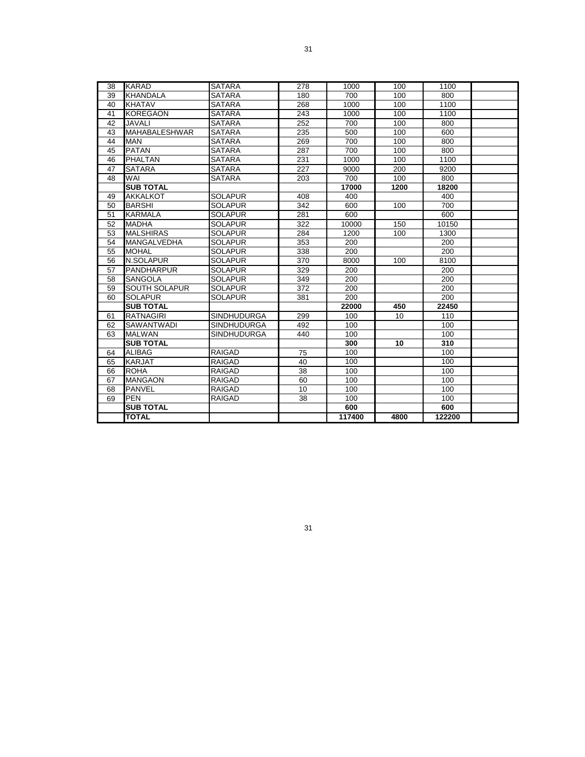| 38 | KARAD                | <b>SATARA</b>      | 278 | 1000   | 100  | 1100   |  |
|----|----------------------|--------------------|-----|--------|------|--------|--|
| 39 | <b>KHANDALA</b>      | <b>SATARA</b>      | 180 | 700    | 100  | 800    |  |
| 40 | <b>KHATAV</b>        | <b>SATARA</b>      | 268 | 1000   | 100  | 1100   |  |
| 41 | <b>KOREGAON</b>      | <b>SATARA</b>      | 243 | 1000   | 100  | 1100   |  |
| 42 | JAVALI               | <b>SATARA</b>      | 252 | 700    | 100  | 800    |  |
| 43 | <b>MAHABALESHWAR</b> | <b>SATARA</b>      | 235 | 500    | 100  | 600    |  |
| 44 | <b>MAN</b>           | <b>SATARA</b>      | 269 | 700    | 100  | 800    |  |
| 45 | <b>PATAN</b>         | <b>SATARA</b>      | 287 | 700    | 100  | 800    |  |
| 46 | PHALTAN              | <b>SATARA</b>      | 231 | 1000   | 100  | 1100   |  |
| 47 | <b>SATARA</b>        | <b>SATARA</b>      | 227 | 9000   | 200  | 9200   |  |
| 48 | WAI                  | <b>SATARA</b>      | 203 | 700    | 100  | 800    |  |
|    | <b>SUB TOTAL</b>     |                    |     | 17000  | 1200 | 18200  |  |
| 49 | <b>AKKALKOT</b>      | <b>SOLAPUR</b>     | 408 | 400    |      | 400    |  |
| 50 | <b>BARSHI</b>        | <b>SOLAPUR</b>     | 342 | 600    | 100  | 700    |  |
| 51 | <b>KARMALA</b>       | <b>SOLAPUR</b>     | 281 | 600    |      | 600    |  |
| 52 | <b>MADHA</b>         | <b>SOLAPUR</b>     | 322 | 10000  | 150  | 10150  |  |
| 53 | <b>MALSHIRAS</b>     | <b>SOLAPUR</b>     | 284 | 1200   | 100  | 1300   |  |
| 54 | <b>MANGALVEDHA</b>   | <b>SOLAPUR</b>     | 353 | 200    |      | 200    |  |
| 55 | <b>MOHAL</b>         | <b>SOLAPUR</b>     | 338 | 200    |      | 200    |  |
| 56 | <b>N.SOLAPUR</b>     | <b>SOLAPUR</b>     | 370 | 8000   | 100  | 8100   |  |
| 57 | <b>PANDHARPUR</b>    | <b>SOLAPUR</b>     | 329 | 200    |      | 200    |  |
| 58 | <b>SANGOLA</b>       | <b>SOLAPUR</b>     | 349 | 200    |      | 200    |  |
| 59 | <b>SOUTH SOLAPUR</b> | <b>SOLAPUR</b>     | 372 | 200    |      | 200    |  |
| 60 | <b>SOLAPUR</b>       | <b>SOLAPUR</b>     | 381 | 200    |      | 200    |  |
|    | <b>SUB TOTAL</b>     |                    |     | 22000  | 450  | 22450  |  |
| 61 | <b>RATNAGIRI</b>     | <b>SINDHUDURGA</b> | 299 | 100    | 10   | 110    |  |
| 62 | <b>SAWANTWADI</b>    | <b>SINDHUDURGA</b> | 492 | 100    |      | 100    |  |
| 63 | <b>MALWAN</b>        | <b>SINDHUDURGA</b> | 440 | 100    |      | 100    |  |
|    | <b>SUB TOTAL</b>     |                    |     | 300    | 10   | 310    |  |
| 64 | <b>ALIBAG</b>        | <b>RAIGAD</b>      | 75  | 100    |      | 100    |  |
| 65 | <b>KARJAT</b>        | RAIGAD             | 40  | 100    |      | 100    |  |
| 66 | <b>ROHA</b>          | <b>RAIGAD</b>      | 38  | 100    |      | 100    |  |
| 67 | <b>MANGAON</b>       | <b>RAIGAD</b>      | 60  | 100    |      | 100    |  |
| 68 | <b>PANVEL</b>        | <b>RAIGAD</b>      | 10  | 100    |      | 100    |  |
| 69 | <b>PEN</b>           | <b>RAIGAD</b>      | 38  | 100    |      | 100    |  |
|    | <b>SUB TOTAL</b>     |                    |     | 600    |      | 600    |  |
|    | <b>TOTAL</b>         |                    |     | 117400 | 4800 | 122200 |  |
|    |                      |                    |     |        |      |        |  |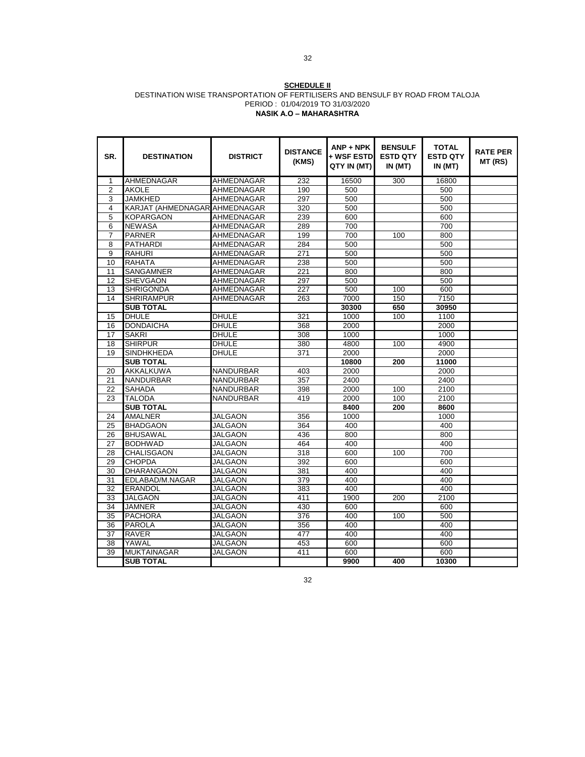#### **SCHEDULE II** DESTINATION WISE TRANSPORTATION OF FERTILISERS AND BENSULF BY ROAD FROM TALOJA PERIOD : 01/04/2019 TO 31/03/2020 **NASIK A.O – MAHARASHTRA**

| SR.            | <b>DESTINATION</b> | <b>DISTRICT</b>   | <b>DISTANCE</b><br>(KMS) | $ANP + NPK$<br>+ WSF ESTD<br>QTY IN (MT) | <b>BENSULF</b><br><b>ESTD QTY</b><br>IN(MT) | <b>TOTAL</b><br><b>ESTD QTY</b><br>IN (MT) | <b>RATE PER</b><br>MT (RS) |
|----------------|--------------------|-------------------|--------------------------|------------------------------------------|---------------------------------------------|--------------------------------------------|----------------------------|
| 1              | AHMEDNAGAR         | <b>AHMEDNAGAR</b> | 232                      | 16500                                    | 300                                         | 16800                                      |                            |
| $\overline{2}$ | <b>AKOLE</b>       | AHMEDNAGAR        | 190                      | 500                                      |                                             | 500                                        |                            |
| 3              | <b>JAMKHED</b>     | <b>AHMEDNAGAR</b> | 297                      | 500                                      |                                             | 500                                        |                            |
| 4              | KARJAT (AHMEDNAGAR | AHMEDNAGAR        | 320                      | 500                                      |                                             | 500                                        |                            |
| 5              | KOPARGAON          | AHMEDNAGAR        | 239                      | 600                                      |                                             | 600                                        |                            |
| 6              | <b>NEWASA</b>      | AHMEDNAGAR        | 289                      | 700                                      |                                             | 700                                        |                            |
| $\overline{7}$ | <b>PARNER</b>      | AHMEDNAGAR        | 199                      | 700                                      | 100                                         | 800                                        |                            |
| 8              | <b>PATHARDI</b>    | AHMEDNAGAR        | 284                      | 500                                      |                                             | 500                                        |                            |
| 9              | <b>RAHURI</b>      | AHMEDNAGAR        | 271                      | 500                                      |                                             | 500                                        |                            |
| 10             | <b>RAHATA</b>      | AHMEDNAGAR        | 238                      | 500                                      |                                             | 500                                        |                            |
| 11             | <b>SANGAMNER</b>   | AHMEDNAGAR        | 221                      | 800                                      |                                             | 800                                        |                            |
| 12             | <b>SHEVGAON</b>    | AHMEDNAGAR        | 297                      | 500                                      |                                             | 500                                        |                            |
| 13             | <b>SHRIGONDA</b>   | AHMEDNAGAR        | 227                      | 500                                      | 100                                         | 600                                        |                            |
| 14             | <b>SHRIRAMPUR</b>  | AHMEDNAGAR        | 263                      | 7000                                     | 150                                         | 7150                                       |                            |
|                | <b>SUB TOTAL</b>   |                   |                          | 30300                                    | 650                                         | 30950                                      |                            |
| 15             | <b>DHULE</b>       | <b>DHULE</b>      | 321                      | 1000                                     | 100                                         | 1100                                       |                            |
| 16             | <b>DONDAICHA</b>   | <b>DHULE</b>      | 368                      | 2000                                     |                                             | 2000                                       |                            |
| 17             | <b>SAKRI</b>       | <b>DHULE</b>      | 308                      | 1000                                     |                                             | 1000                                       |                            |
| 18             | <b>SHIRPUR</b>     | <b>DHULE</b>      | 380                      | 4800                                     | 100                                         | 4900                                       |                            |
| 19             | <b>SINDHKHEDA</b>  | <b>DHULE</b>      | 371                      | 2000                                     |                                             | 2000                                       |                            |
|                | <b>SUB TOTAL</b>   |                   |                          | 10800                                    | 200                                         | 11000                                      |                            |
| 20             | AKKALKUWA          | NANDURBAR         | 403                      | 2000                                     |                                             | 2000                                       |                            |
| 21             | <b>NANDURBAR</b>   | NANDURBAR         | 357                      | 2400                                     |                                             | 2400                                       |                            |
| 22             | <b>SAHADA</b>      | NANDURBAR         | 398                      | 2000                                     | 100                                         | 2100                                       |                            |
| 23             | <b>TALODA</b>      | NANDURBAR         | 419                      | 2000                                     | 100                                         | 2100                                       |                            |
|                | <b>SUB TOTAL</b>   |                   |                          | 8400                                     | 200                                         | 8600                                       |                            |
| 24             | <b>AMALNER</b>     | <b>JALGAON</b>    | 356                      | 1000                                     |                                             | 1000                                       |                            |
| 25             | <b>BHADGAON</b>    | <b>JALGAON</b>    | 364                      | 400                                      |                                             | 400                                        |                            |
| 26             | <b>BHUSAWAL</b>    | JALGAON           | 436                      | 800                                      |                                             | 800                                        |                            |
| 27             | <b>BODHWAD</b>     | JALGAON           | 464                      | 400                                      |                                             | 400                                        |                            |
| 28             | <b>CHALISGAON</b>  | JALGAON           | 318                      | 600                                      | 100                                         | 700                                        |                            |
| 29             | <b>CHOPDA</b>      | <b>JALGAON</b>    | 392                      | 600                                      |                                             | 600                                        |                            |
| 30             | <b>DHARANGAON</b>  | JALGAON           | 381                      | 400                                      |                                             | 400                                        |                            |
| 31             | EDLABAD/M.NAGAR    | <b>JALGAON</b>    | 379                      | 400                                      |                                             | 400                                        |                            |
| 32             | <b>ERANDOL</b>     | JALGAON           | 383                      | 400                                      |                                             | 400                                        |                            |
| 33             | <b>JALGAON</b>     | JALGAON           | 411                      | 1900                                     | 200                                         | 2100                                       |                            |
| 34             | <b>JAMNER</b>      | JALGAON           | 430                      | 600                                      |                                             | 600                                        |                            |
| 35             | <b>PACHORA</b>     | JALGAON           | 376                      | 400                                      | 100                                         | 500                                        |                            |
| 36             | <b>PAROLA</b>      | JALGAON           | 356                      | 400                                      |                                             | 400                                        |                            |
| 37             | RAVER              | JALGAON           | 477                      | 400                                      |                                             | 400                                        |                            |
| 38<br>39       | YAWAL              | JALGAON           | 453                      | 600                                      |                                             | 600                                        |                            |
|                | <b>MUKTAINAGAR</b> | JALGAON           | 411                      | 600                                      |                                             | 600                                        |                            |
|                | <b>SUB TOTAL</b>   |                   |                          | 9900                                     | 400                                         | 10300                                      |                            |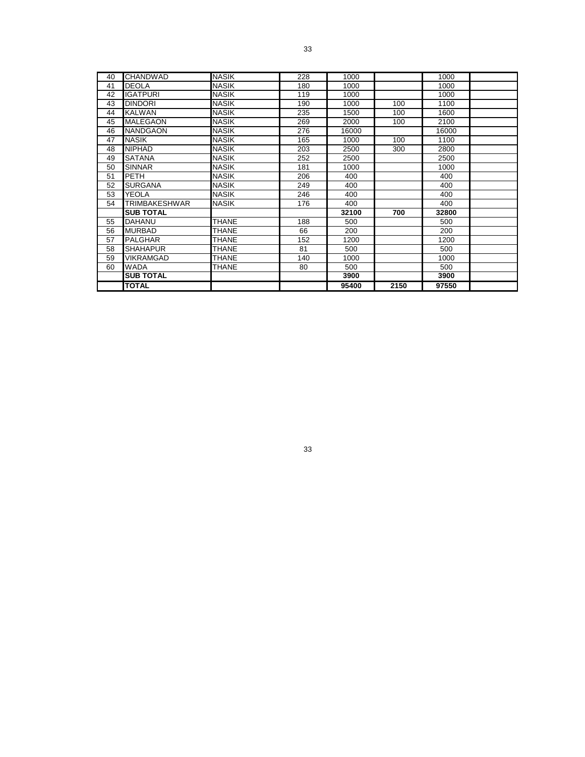| 40 | <b>CHANDWAD</b>  | <b>NASIK</b> | 228 | 1000  |      | 1000  |  |
|----|------------------|--------------|-----|-------|------|-------|--|
| 41 | <b>DEOLA</b>     | <b>NASIK</b> | 180 | 1000  |      | 1000  |  |
| 42 | <b>IGATPURI</b>  | <b>NASIK</b> | 119 | 1000  |      | 1000  |  |
| 43 | <b>DINDORI</b>   | <b>NASIK</b> | 190 | 1000  | 100  | 1100  |  |
| 44 | <b>KALWAN</b>    | <b>NASIK</b> | 235 | 1500  | 100  | 1600  |  |
| 45 | <b>MALEGAON</b>  | <b>NASIK</b> | 269 | 2000  | 100  | 2100  |  |
| 46 | <b>NANDGAON</b>  | <b>NASIK</b> | 276 | 16000 |      | 16000 |  |
| 47 | <b>NASIK</b>     | <b>NASIK</b> | 165 | 1000  | 100  | 1100  |  |
| 48 | <b>NIPHAD</b>    | <b>NASIK</b> | 203 | 2500  | 300  | 2800  |  |
| 49 | <b>SATANA</b>    | <b>NASIK</b> | 252 | 2500  |      | 2500  |  |
| 50 | <b>SINNAR</b>    | <b>NASIK</b> | 181 | 1000  |      | 1000  |  |
| 51 | <b>PETH</b>      | <b>NASIK</b> | 206 | 400   |      | 400   |  |
| 52 | <b>SURGANA</b>   | <b>NASIK</b> | 249 | 400   |      | 400   |  |
| 53 | YEOLA            | <b>NASIK</b> | 246 | 400   |      | 400   |  |
| 54 | TRIMBAKESHWAR    | <b>NASIK</b> | 176 | 400   |      | 400   |  |
|    | <b>SUB TOTAL</b> |              |     | 32100 | 700  | 32800 |  |
| 55 | DAHANU           | <b>THANE</b> | 188 | 500   |      | 500   |  |
| 56 | <b>MURBAD</b>    | <b>THANE</b> | 66  | 200   |      | 200   |  |
| 57 | PALGHAR          | <b>THANE</b> | 152 | 1200  |      | 1200  |  |
| 58 | <b>SHAHAPUR</b>  | <b>THANE</b> | 81  | 500   |      | 500   |  |
| 59 | VIKRAMGAD        | <b>THANE</b> | 140 | 1000  |      | 1000  |  |
| 60 | <b>WADA</b>      | <b>THANE</b> | 80  | 500   |      | 500   |  |
|    | <b>SUB TOTAL</b> |              |     | 3900  |      | 3900  |  |
|    | <b>TOTAL</b>     |              |     | 95400 | 2150 | 97550 |  |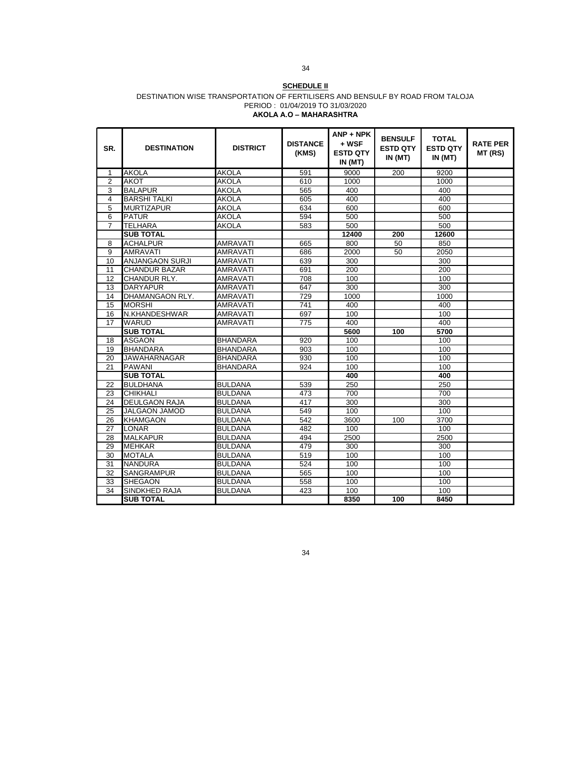#### **SCHEDULE II** DESTINATION WISE TRANSPORTATION OF FERTILISERS AND BENSULF BY ROAD FROM TALOJA PERIOD : 01/04/2019 TO 31/03/2020 **AKOLA A.O – MAHARASHTRA**

| SR.             | <b>DESTINATION</b>     | <b>DISTRICT</b> | <b>DISTANCE</b><br>(KMS) | $ANP + NPK$<br>+ WSF<br><b>ESTD QTY</b><br>IN (MT) | <b>BENSULF</b><br><b>ESTD QTY</b><br>IN(MT) | <b>TOTAL</b><br><b>ESTD QTY</b><br>IN(MT) | <b>RATE PER</b><br>MT (RS) |
|-----------------|------------------------|-----------------|--------------------------|----------------------------------------------------|---------------------------------------------|-------------------------------------------|----------------------------|
| $\mathbf{1}$    | <b>AKOLA</b>           | <b>AKOLA</b>    | 591                      | 9000                                               | 200                                         | 9200                                      |                            |
| $\overline{2}$  | <b>AKOT</b>            | <b>AKOLA</b>    | 610                      | 1000                                               |                                             | 1000                                      |                            |
| 3               | <b>BALAPUR</b>         | <b>AKOLA</b>    | 565                      | 400                                                |                                             | 400                                       |                            |
| 4               | <b>BARSHI TALKI</b>    | <b>AKOLA</b>    | 605                      | 400                                                |                                             | 400                                       |                            |
| $\overline{5}$  | <b>MURTIZAPUR</b>      | <b>AKOLA</b>    | 634                      | 600                                                |                                             | 600                                       |                            |
| 6               | <b>PATUR</b>           | <b>AKOLA</b>    | 594                      | 500                                                |                                             | 500                                       |                            |
| 7               | <b>TELHARA</b>         | <b>AKOLA</b>    | 583                      | 500                                                |                                             | 500                                       |                            |
|                 | <b>SUB TOTAL</b>       |                 |                          | 12400                                              | 200                                         | 12600                                     |                            |
| 8               | <b>ACHALPUR</b>        | <b>AMRAVATI</b> | 665                      | 800                                                | 50                                          | 850                                       |                            |
| 9               | <b>AMRAVATI</b>        | <b>AMRAVATI</b> | 686                      | 2000                                               | 50                                          | 2050                                      |                            |
| 10              | <b>ANJANGAON SURJI</b> | <b>AMRAVATI</b> | 639                      | 300                                                |                                             | 300                                       |                            |
| 11              | <b>CHANDUR BAZAR</b>   | <b>AMRAVATI</b> | 691                      | 200                                                |                                             | 200                                       |                            |
| 12              | CHANDUR RLY.           | <b>AMRAVATI</b> | 708                      | 100                                                |                                             | 100                                       |                            |
| 13              | <b>DARYAPUR</b>        | <b>AMRAVATI</b> | 647                      | 300                                                |                                             | $\overline{300}$                          |                            |
| 14              | DHAMANGAON RLY.        | <b>AMRAVATI</b> | 729                      | 1000                                               |                                             | 1000                                      |                            |
| 15              | <b>MORSHI</b>          | <b>AMRAVATI</b> | $\overline{741}$         | 400                                                |                                             | 400                                       |                            |
| 16              | N.KHANDESHWAR          | <b>AMRAVATI</b> | 697                      | 100                                                |                                             | 100                                       |                            |
| 17              | <b>WARUD</b>           | AMRAVATI        | 775                      | 400                                                |                                             | 400                                       |                            |
|                 | <b>SUB TOTAL</b>       |                 |                          | 5600                                               | 100                                         | 5700                                      |                            |
| 18              | <b>ASGAON</b>          | <b>BHANDARA</b> | 920                      | 100                                                |                                             | 100                                       |                            |
| 19              | <b>BHANDARA</b>        | <b>BHANDARA</b> | 903                      | 100                                                |                                             | 100                                       |                            |
| 20              | <b>JAWAHARNAGAR</b>    | <b>BHANDARA</b> | 930                      | 100                                                |                                             | 100                                       |                            |
| 21              | <b>PAWANI</b>          | <b>BHANDARA</b> | 924                      | 100                                                |                                             | 100                                       |                            |
|                 | <b>SUB TOTAL</b>       |                 |                          | 400                                                |                                             | 400                                       |                            |
| 22              | <b>BULDHANA</b>        | <b>BULDANA</b>  | 539                      | 250                                                |                                             | 250                                       |                            |
| 23              | <b>CHIKHALI</b>        | <b>BULDANA</b>  | 473                      | 700                                                |                                             | 700                                       |                            |
| 24              | DEULGAON RAJA          | <b>BULDANA</b>  | 417                      | 300                                                |                                             | 300                                       |                            |
| 25              | <b>JALGAON JAMOD</b>   | <b>BULDANA</b>  | 549                      | 100                                                |                                             | 100                                       |                            |
| 26              | <b>KHAMGAON</b>        | <b>BULDANA</b>  | 542                      | 3600                                               | 100                                         | 3700                                      |                            |
| $\overline{27}$ | <b>LONAR</b>           | <b>BULDANA</b>  | 482                      | 100                                                |                                             | 100                                       |                            |
| 28              | <b>MALKAPUR</b>        | <b>BULDANA</b>  | 494                      | 2500                                               |                                             | 2500                                      |                            |
| 29              | <b>MEHKAR</b>          | <b>BULDANA</b>  | 479                      | 300                                                |                                             | 300                                       |                            |
| 30              | <b>MOTALA</b>          | <b>BULDANA</b>  | 519                      | 100                                                |                                             | 100                                       |                            |
| $\overline{31}$ | <b>NANDURA</b>         | <b>BULDANA</b>  | 524                      | 100                                                |                                             | 100                                       |                            |
| 32              | SANGRAMPUR             | <b>BULDANA</b>  | 565                      | 100                                                |                                             | 100                                       |                            |
| 33              | <b>SHEGAON</b>         | <b>BULDANA</b>  | 558                      | 100                                                |                                             | 100                                       |                            |
| 34              | <b>SINDKHED RAJA</b>   | <b>BULDANA</b>  | 423                      | 100                                                |                                             | 100                                       |                            |
|                 | <b>SUB TOTAL</b>       |                 |                          | 8350                                               | 100                                         | 8450                                      |                            |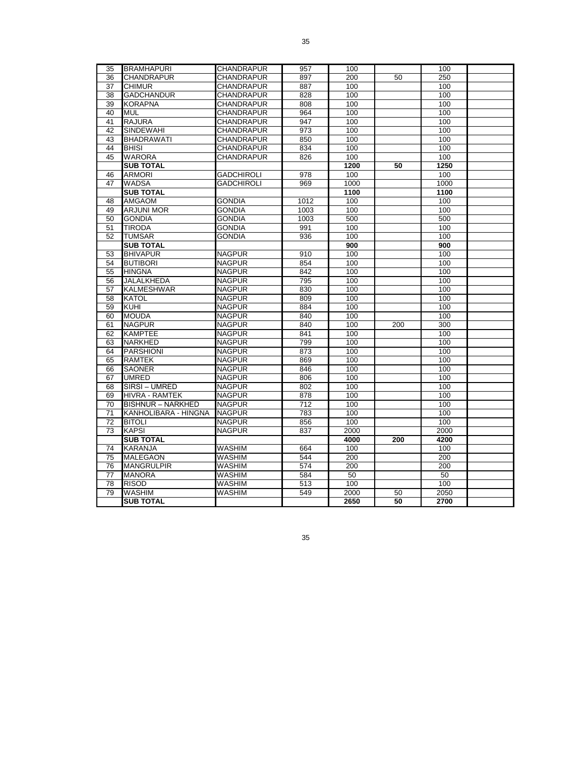| 35 | <b>BRAMHAPURI</b>        | <b>CHANDRAPUR</b> | 957  | 100  |     | 100  |  |
|----|--------------------------|-------------------|------|------|-----|------|--|
| 36 | <b>CHANDRAPUR</b>        | <b>CHANDRAPUR</b> | 897  | 200  | 50  | 250  |  |
| 37 | <b>CHIMUR</b>            | CHANDRAPUR        | 887  | 100  |     | 100  |  |
| 38 | <b>GADCHANDUR</b>        | CHANDRAPUR        | 828  | 100  |     | 100  |  |
| 39 | <b>KORAPNA</b>           | <b>CHANDRAPUR</b> | 808  | 100  |     | 100  |  |
| 40 | <b>MUL</b>               | <b>CHANDRAPUR</b> | 964  | 100  |     | 100  |  |
| 41 | <b>RAJURA</b>            | <b>CHANDRAPUR</b> | 947  | 100  |     | 100  |  |
| 42 | <b>SINDEWAHI</b>         | CHANDRAPUR        | 973  | 100  |     | 100  |  |
| 43 | <b>BHADRAWATI</b>        | <b>CHANDRAPUR</b> | 850  | 100  |     | 100  |  |
| 44 | <b>BHISI</b>             | <b>CHANDRAPUR</b> | 834  | 100  |     | 100  |  |
| 45 | <b>WARORA</b>            | CHANDRAPUR        | 826  | 100  |     | 100  |  |
|    | <b>SUB TOTAL</b>         |                   |      | 1200 | 50  | 1250 |  |
| 46 | <b>ARMORI</b>            | <b>GADCHIROLI</b> | 978  | 100  |     | 100  |  |
| 47 | <b>WADSA</b>             | <b>GADCHIROLI</b> | 969  | 1000 |     | 1000 |  |
|    | <b>SUB TOTAL</b>         |                   |      | 1100 |     | 1100 |  |
| 48 | <b>AMGAOM</b>            | <b>GONDIA</b>     | 1012 | 100  |     | 100  |  |
| 49 | <b>ARJUNI MOR</b>        | <b>GONDIA</b>     | 1003 | 100  |     | 100  |  |
| 50 | <b>GONDIA</b>            | GONDIA            | 1003 | 500  |     | 500  |  |
| 51 | <b>TIRODA</b>            | <b>GONDIA</b>     | 991  | 100  |     | 100  |  |
| 52 | <b>TUMSAR</b>            | GONDIA            | 936  | 100  |     | 100  |  |
|    | <b>SUB TOTAL</b>         |                   |      | 900  |     | 900  |  |
| 53 | <b>BHIVAPUR</b>          | <b>NAGPUR</b>     | 910  | 100  |     | 100  |  |
| 54 | <b>BUTIBORI</b>          | <b>NAGPUR</b>     | 854  | 100  |     | 100  |  |
| 55 | <b>HINGNA</b>            | <b>NAGPUR</b>     | 842  | 100  |     | 100  |  |
| 56 | JALALKHEDA               | <b>NAGPUR</b>     | 795  | 100  |     | 100  |  |
| 57 | <b>KALMESHWAR</b>        | <b>NAGPUR</b>     | 830  | 100  |     | 100  |  |
| 58 | <b>KATOL</b>             | <b>NAGPUR</b>     | 809  | 100  |     | 100  |  |
| 59 | KUHI                     | <b>NAGPUR</b>     | 884  | 100  |     | 100  |  |
| 60 | <b>MOUDA</b>             | <b>NAGPUR</b>     | 840  | 100  |     | 100  |  |
| 61 | <b>NAGPUR</b>            | <b>NAGPUR</b>     | 840  | 100  | 200 | 300  |  |
| 62 | <b>KAMPTEE</b>           | <b>NAGPUR</b>     | 841  | 100  |     | 100  |  |
| 63 | NARKHED                  | <b>NAGPUR</b>     | 799  | 100  |     | 100  |  |
| 64 | <b>PARSHIONI</b>         | <b>NAGPUR</b>     | 873  | 100  |     | 100  |  |
| 65 | <b>RAMTEK</b>            | <b>NAGPUR</b>     | 869  | 100  |     | 100  |  |
| 66 | <b>SAONER</b>            | <b>NAGPUR</b>     | 846  | 100  |     | 100  |  |
| 67 | <b>UMRED</b>             | <b>NAGPUR</b>     | 806  | 100  |     | 100  |  |
| 68 | SIRSI - UMRED            | <b>NAGPUR</b>     | 802  | 100  |     | 100  |  |
| 69 | <b>HIVRA - RAMTEK</b>    | <b>NAGPUR</b>     | 878  | 100  |     | 100  |  |
| 70 | <b>BISHNUR - NARKHED</b> | <b>NAGPUR</b>     | 712  | 100  |     | 100  |  |
| 71 | KANHOLIBARA - HINGNA     | <b>NAGPUR</b>     | 783  | 100  |     | 100  |  |
| 72 | <b>BITOLI</b>            | <b>NAGPUR</b>     | 856  | 100  |     | 100  |  |
| 73 | <b>KAPSI</b>             | <b>NAGPUR</b>     | 837  | 2000 |     | 2000 |  |
|    | <b>SUB TOTAL</b>         |                   |      | 4000 | 200 | 4200 |  |
| 74 | <b>KARANJA</b>           | WASHIM            | 664  | 100  |     | 100  |  |
| 75 | <b>MALEGAON</b>          | WASHIM            | 544  | 200  |     | 200  |  |
| 76 | <b>MANGRULPIR</b>        | WASHIM            | 574  | 200  |     | 200  |  |
| 77 | <b>MANORA</b>            | WASHIM            | 584  | 50   |     | 50   |  |
| 78 | <b>RISOD</b>             | WASHIM            | 513  | 100  |     | 100  |  |
| 79 | <b>WASHIM</b>            | WASHIM            | 549  | 2000 | 50  | 2050 |  |
|    | <b>SUB TOTAL</b>         |                   |      | 2650 | 50  | 2700 |  |
|    |                          |                   |      |      |     |      |  |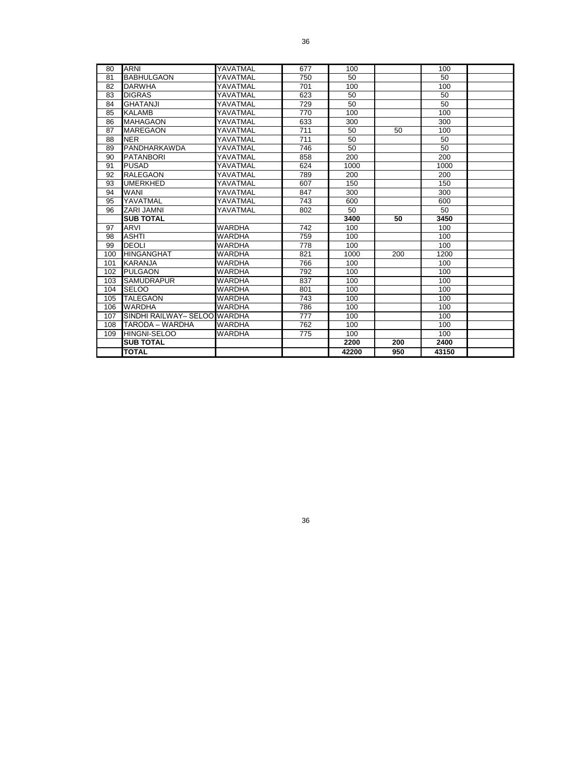| 80  | <b>ARNI</b>                  | YAVATMAL      | 677 | 100   |     | 100   |  |
|-----|------------------------------|---------------|-----|-------|-----|-------|--|
| 81  | <b>BABHULGAON</b>            | YAVATMAL      | 750 | 50    |     | 50    |  |
| 82  | <b>DARWHA</b>                | YAVATMAL      | 701 | 100   |     | 100   |  |
| 83  | <b>DIGRAS</b>                | YAVATMAL      | 623 | 50    |     | 50    |  |
| 84  | <b>GHATANJI</b>              | YAVATMAL      | 729 | 50    |     | 50    |  |
| 85  | <b>KALAMB</b>                | YAVATMAL      | 770 | 100   |     | 100   |  |
| 86  | <b>MAHAGAON</b>              | YAVATMAL      | 633 | 300   |     | 300   |  |
| 87  | <b>MAREGAON</b>              | YAVATMAL      | 711 | 50    | 50  | 100   |  |
| 88  | <b>NER</b>                   | YAVATMAL      | 711 | 50    |     | 50    |  |
| 89  | PANDHARKAWDA                 | YAVATMAL      | 746 | 50    |     | 50    |  |
| 90  | <b>PATANBORI</b>             | YAVATMAL      | 858 | 200   |     | 200   |  |
| 91  | <b>PUSAD</b>                 | YAVATMAL      | 624 | 1000  |     | 1000  |  |
| 92  | <b>RALEGAON</b>              | YAVATMAL      | 789 | 200   |     | 200   |  |
| 93  | UMERKHED                     | YAVATMAL      | 607 | 150   |     | 150   |  |
| 94  | <b>WANI</b>                  | YAVATMAL      | 847 | 300   |     | 300   |  |
| 95  | YAVATMAL                     | YAVATMAL      | 743 | 600   |     | 600   |  |
| 96  | ZARI JAMNI                   | YAVATMAL      | 802 | 50    |     | 50    |  |
|     | <b>SUB TOTAL</b>             |               |     | 3400  | 50  | 3450  |  |
| 97  | <b>ARVI</b>                  | WARDHA        | 742 | 100   |     | 100   |  |
| 98  | <b>ASHTI</b>                 | <b>WARDHA</b> | 759 | 100   |     | 100   |  |
| 99  | <b>DEOLI</b>                 | WARDHA        | 778 | 100   |     | 100   |  |
| 100 | <b>HINGANGHAT</b>            | WARDHA        | 821 | 1000  | 200 | 1200  |  |
| 101 | <b>KARANJA</b>               | WARDHA        | 766 | 100   |     | 100   |  |
| 102 | <b>PULGAON</b>               | WARDHA        | 792 | 100   |     | 100   |  |
| 103 | <b>SAMUDRAPUR</b>            | WARDHA        | 837 | 100   |     | 100   |  |
| 104 | <b>SELOO</b>                 | WARDHA        | 801 | 100   |     | 100   |  |
| 105 | <b>TALEGAON</b>              | <b>WARDHA</b> | 743 | 100   |     | 100   |  |
| 106 | <b>WARDHA</b>                | <b>WARDHA</b> | 786 | 100   |     | 100   |  |
| 107 | SINDHI RAILWAY- SELOO WARDHA |               | 777 | 100   |     | 100   |  |
| 108 | TARODA – WARDHA              | WARDHA        | 762 | 100   |     | 100   |  |
| 109 | <b>HINGNI-SELOO</b>          | WARDHA        | 775 | 100   |     | 100   |  |
|     | <b>SUB TOTAL</b>             |               |     | 2200  | 200 | 2400  |  |
|     | <b>TOTAL</b>                 |               |     | 42200 | 950 | 43150 |  |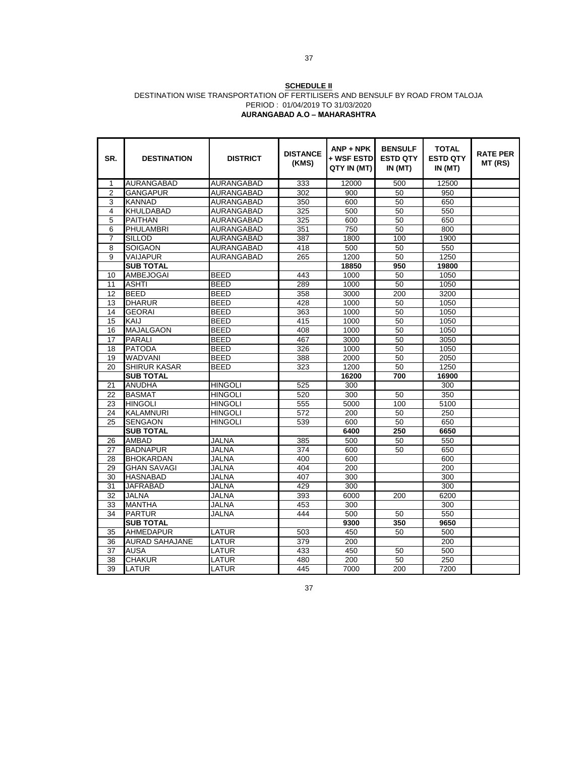#### **SCHEDULE II** DESTINATION WISE TRANSPORTATION OF FERTILISERS AND BENSULF BY ROAD FROM TALOJA PERIOD : 01/04/2019 TO 31/03/2020 **AURANGABAD A.O – MAHARASHTRA**

| SR.             | <b>DESTINATION</b>    | <b>DISTRICT</b>   | <b>DISTANCE</b><br>(KMS) | $ANP + NPK$<br>+ WSF ESTD<br>QTY IN (MT) | <b>BENSULF</b><br><b>ESTD QTY</b><br>IN(MT) | <b>TOTAL</b><br><b>ESTD QTY</b><br>IN(MT) | <b>RATE PER</b><br>MT (RS) |
|-----------------|-----------------------|-------------------|--------------------------|------------------------------------------|---------------------------------------------|-------------------------------------------|----------------------------|
| 1               | AURANGABAD            | AURANGABAD        | 333                      | 12000                                    | 500                                         | 12500                                     |                            |
| $\overline{c}$  | <b>GANGAPUR</b>       | AURANGABAD        | 302                      | 900                                      | 50                                          | 950                                       |                            |
| 3               | <b>KANNAD</b>         | AURANGABAD        | 350                      | 600                                      | 50                                          | 650                                       |                            |
| 4               | <b>KHULDABAD</b>      | AURANGABAD        | 325                      | 500                                      | 50                                          | 550                                       |                            |
| 5               | <b>PAITHAN</b>        | AURANGABAD        | 325                      | 600                                      | 50                                          | 650                                       |                            |
| 6               | <b>PHULAMBRI</b>      | AURANGABAD        | 351                      | 750                                      | 50                                          | 800                                       |                            |
| $\overline{7}$  | <b>SILLOD</b>         | AURANGABAD        | 387                      | 1800                                     | 100                                         | 1900                                      |                            |
| 8               | <b>SOIGAON</b>        | <b>AURANGABAD</b> | 418                      | 500                                      | 50                                          | 550                                       |                            |
| 9               | <b>VAIJAPUR</b>       | AURANGABAD        | 265                      | 1200                                     | 50                                          | 1250                                      |                            |
|                 | <b>SUB TOTAL</b>      |                   |                          | 18850                                    | 950                                         | 19800                                     |                            |
| 10              | <b>AMBEJOGAI</b>      | <b>BEED</b>       | 443                      | 1000                                     | 50                                          | 1050                                      |                            |
| 11              | <b>ASHTI</b>          | <b>BEED</b>       | 289                      | 1000                                     | 50                                          | 1050                                      |                            |
| 12              | <b>BEED</b>           | <b>BEED</b>       | 358                      | 3000                                     | 200                                         | 3200                                      |                            |
| 13              | <b>DHARUR</b>         | <b>BEED</b>       | 428                      | 1000                                     | 50                                          | 1050                                      |                            |
| 14              | <b>GEORAI</b>         | <b>BEED</b>       | 363                      | 1000                                     | 50                                          | 1050                                      |                            |
| 15              | KAIJ                  | <b>BEED</b>       | 415                      | 1000                                     | 50                                          | 1050                                      |                            |
| 16              | <b>MAJALGAON</b>      | <b>BEED</b>       | 408                      | 1000                                     | 50                                          | 1050                                      |                            |
| 17              | <b>PARALI</b>         | <b>BEED</b>       | 467                      | 3000                                     | 50                                          | 3050                                      |                            |
| 18              | <b>PATODA</b>         | BEED              | 326                      | 1000                                     | 50                                          | 1050                                      |                            |
| 19              | <b>WADVANI</b>        | <b>BEED</b>       | 388                      | 2000                                     | 50                                          | 2050                                      |                            |
| 20              | <b>SHIRUR KASAR</b>   | <b>BEED</b>       | 323                      | 1200                                     | 50                                          | 1250                                      |                            |
|                 | <b>SUB TOTAL</b>      |                   |                          | 16200                                    | 700                                         | 16900                                     |                            |
| 21              | <b>ANUDHA</b>         | <b>HINGOLI</b>    | 525                      | 300                                      |                                             | 300                                       |                            |
| 22              | <b>BASMAT</b>         | HINGOLI           | 520                      | 300                                      | 50                                          | 350                                       |                            |
| 23              | <b>HINGOLI</b>        | <b>HINGOLI</b>    | 555                      | 5000                                     | 100                                         | 5100                                      |                            |
| 24              | <b>KALAMNURI</b>      | HINGOLI           | 572                      | 200                                      | 50                                          | 250                                       |                            |
| 25              | <b>SENGAON</b>        | <b>HINGOLI</b>    | 539                      | 600                                      | 50                                          | 650                                       |                            |
|                 | <b>SUB TOTAL</b>      |                   |                          | 6400                                     | 250                                         | 6650                                      |                            |
| 26              | <b>AMBAD</b>          | <b>JALNA</b>      | 385                      | 500                                      | 50                                          | 550                                       |                            |
| $\overline{27}$ | <b>BADNAPUR</b>       | <b>JALNA</b>      | 374                      | 600                                      | 50                                          | 650                                       |                            |
| 28              | <b>BHOKARDAN</b>      | <b>JALNA</b>      | 400                      | 600                                      |                                             | 600                                       |                            |
| 29              | <b>GHAN SAVAGI</b>    | <b>JALNA</b>      | 404                      | 200                                      |                                             | 200                                       |                            |
| 30              | <b>HASNABAD</b>       | JALNA             | 407                      | 300                                      |                                             | 300                                       |                            |
| 31              | <b>JAFRABAD</b>       | <b>JALNA</b>      | 429                      | 300                                      |                                             | 300                                       |                            |
| 32              | JALNA                 | JALNA             | 393                      | 6000                                     | 200                                         | 6200                                      |                            |
| 33              | <b>MANTHA</b>         | <b>JALNA</b>      | 453                      | 300                                      |                                             | 300                                       |                            |
| 34              | <b>PARTUR</b>         | <b>JALNA</b>      | 444                      | 500                                      | 50                                          | 550                                       |                            |
|                 | <b>SUB TOTAL</b>      |                   |                          | 9300                                     | 350                                         | 9650                                      |                            |
| 35              | <b>AHMEDAPUR</b>      | LATUR             | 503                      | 450                                      | 50                                          | 500                                       |                            |
| 36              | <b>AURAD SAHAJANE</b> | LATUR             | 379                      | 200                                      |                                             | 200                                       |                            |
| 37              | <b>AUSA</b>           | LATUR             | 433                      | 450                                      | 50                                          | 500                                       |                            |
| 38              | <b>CHAKUR</b>         | LATUR             | 480                      | 200                                      | 50                                          | 250                                       |                            |
| 39              | <b>LATUR</b>          | LATUR             | 445                      | 7000                                     | 200                                         | 7200                                      |                            |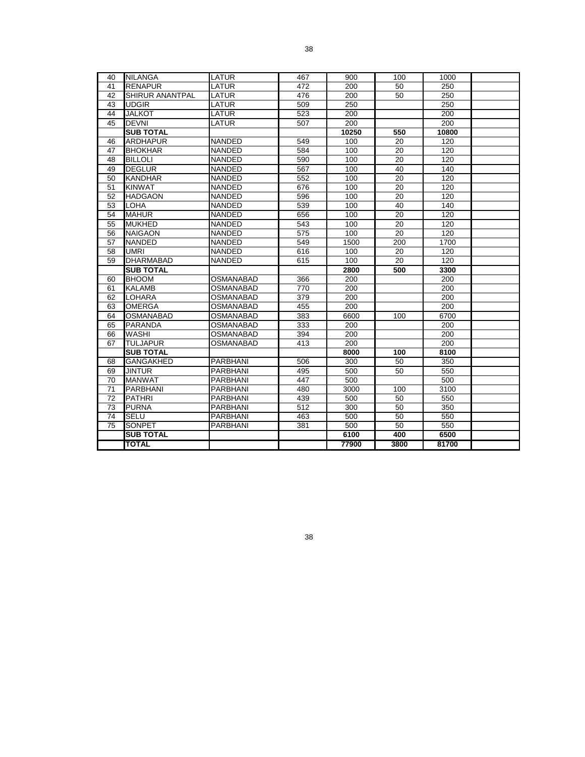| 40              | <b>NILANGA</b>         | LATUR            | 467 | 900   | 100             | 1000  |  |
|-----------------|------------------------|------------------|-----|-------|-----------------|-------|--|
| 41              | <b>RENAPUR</b>         | LATUR            | 472 | 200   | 50              | 250   |  |
| 42              | <b>SHIRUR ANANTPAL</b> | LATUR            | 476 | 200   | 50              | 250   |  |
| 43              | <b>UDGIR</b>           | LATUR            | 509 | 250   |                 | 250   |  |
| 44              | JALKOT                 | LATUR            | 523 | 200   |                 | 200   |  |
| 45              | <b>DEVNI</b>           | LATUR            | 507 | 200   |                 | 200   |  |
|                 | <b>SUB TOTAL</b>       |                  |     | 10250 | 550             | 10800 |  |
| 46              | <b>ARDHAPUR</b>        | <b>NANDED</b>    | 549 | 100   | 20              | 120   |  |
| 47              | <b>BHOKHAR</b>         | <b>NANDED</b>    | 584 | 100   | 20              | 120   |  |
| 48              | <b>BILLOLI</b>         | NANDED           | 590 | 100   | 20              | 120   |  |
| 49              | <b>DEGLUR</b>          | <b>NANDED</b>    | 567 | 100   | 40              | 140   |  |
| 50              | <b>KANDHAR</b>         | <b>NANDED</b>    | 552 | 100   | $\overline{20}$ | 120   |  |
| 51              | <b>KINWAT</b>          | <b>NANDED</b>    | 676 | 100   | 20              | 120   |  |
| 52              | <b>HADGAON</b>         | <b>NANDED</b>    | 596 | 100   | 20              | 120   |  |
| 53              | <b>LOHA</b>            | NANDED           | 539 | 100   | 40              | 140   |  |
| 54              | <b>MAHUR</b>           | <b>NANDED</b>    | 656 | 100   | 20              | 120   |  |
| 55              | <b>MUKHED</b>          | <b>NANDED</b>    | 543 | 100   | $\overline{20}$ | 120   |  |
| 56              | <b>NAIGAON</b>         | <b>NANDED</b>    | 575 | 100   | 20              | 120   |  |
| 57              | <b>NANDED</b>          | <b>NANDED</b>    | 549 | 1500  | 200             | 1700  |  |
| 58              | UMRI                   | NANDED           | 616 | 100   | 20              | 120   |  |
| 59              | <b>DHARMABAD</b>       | <b>NANDED</b>    | 615 | 100   | 20              | 120   |  |
|                 | <b>SUB TOTAL</b>       |                  |     | 2800  | 500             | 3300  |  |
| 60              | <b>BHOOM</b>           | <b>OSMANABAD</b> | 366 | 200   |                 | 200   |  |
| 61              | <b>KALAMB</b>          | <b>OSMANABAD</b> | 770 | 200   |                 | 200   |  |
| 62              | LOHARA                 | OSMANABAD        | 379 | 200   |                 | 200   |  |
| 63              | <b>OMERGA</b>          | <b>OSMANABAD</b> | 455 | 200   |                 | 200   |  |
| 64              | <b>OSMANABAD</b>       | OSMANABAD        | 383 | 6600  | 100             | 6700  |  |
| 65              | <b>PARANDA</b>         | <b>OSMANABAD</b> | 333 | 200   |                 | 200   |  |
| 66              | WASHI                  | OSMANABAD        | 394 | 200   |                 | 200   |  |
| 67              | <b>TULJAPUR</b>        | OSMANABAD        | 413 | 200   |                 | 200   |  |
|                 | <b>SUB TOTAL</b>       |                  |     | 8000  | 100             | 8100  |  |
| 68              | GANGAKHED              | <b>PARBHANI</b>  | 506 | 300   | 50              | 350   |  |
| 69              | <b>JINTUR</b>          | <b>PARBHANI</b>  | 495 | 500   | 50              | 550   |  |
| 70              | <b>MANWAT</b>          | <b>PARBHANI</b>  | 447 | 500   |                 | 500   |  |
| 71              | <b>PARBHANI</b>        | PARBHANI         | 480 | 3000  | 100             | 3100  |  |
| 72              | <b>PATHRI</b>          | PARBHANI         | 439 | 500   | 50              | 550   |  |
| 73              | <b>PURNA</b>           | <b>PARBHANI</b>  | 512 | 300   | 50              | 350   |  |
| 74              | <b>SELU</b>            | <b>PARBHANI</b>  | 463 | 500   | 50              | 550   |  |
| $\overline{75}$ | <b>SONPET</b>          | <b>PARBHANI</b>  | 381 | 500   | 50              | 550   |  |
|                 | <b>SUB TOTAL</b>       |                  |     | 6100  | 400             | 6500  |  |
|                 | <b>TOTAL</b>           |                  |     | 77900 | 3800            | 81700 |  |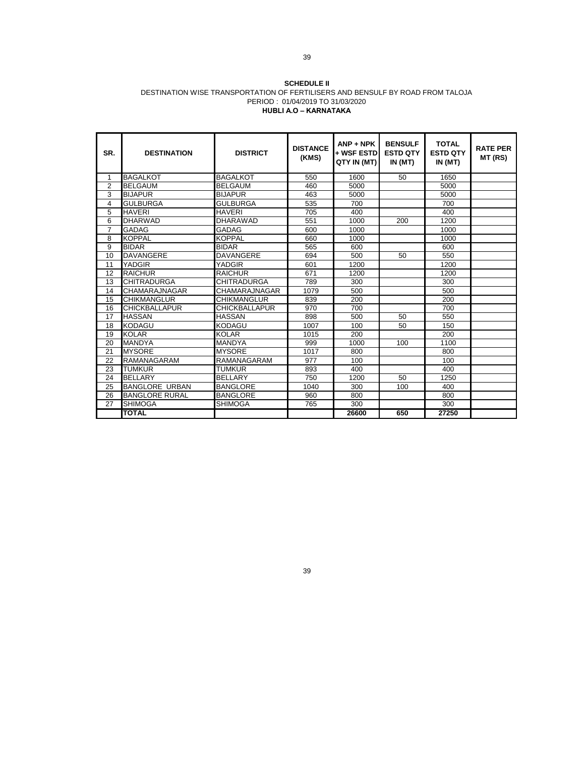#### **SCHEDULE II** DESTINATION WISE TRANSPORTATION OF FERTILISERS AND BENSULF BY ROAD FROM TALOJA PERIOD : 01/04/2019 TO 31/03/2020 **HUBLI A.O – KARNATAKA**

| SR.            | <b>DESTINATION</b>    | <b>DISTRICT</b>      | <b>DISTANCE</b><br>(KMS) | $ANP + NPK$<br>+ WSF ESTD<br>QTY IN (MT) | <b>BENSULF</b><br><b>ESTD QTY</b><br>IN(MT) | <b>TOTAL</b><br><b>ESTD QTY</b><br>IN (MT) | <b>RATE PER</b><br>MT (RS) |
|----------------|-----------------------|----------------------|--------------------------|------------------------------------------|---------------------------------------------|--------------------------------------------|----------------------------|
| 1              | <b>BAGALKOT</b>       | <b>BAGALKOT</b>      | 550                      | 1600                                     | 50                                          | 1650                                       |                            |
| $\overline{2}$ | <b>BELGAUM</b>        | <b>BELGAUM</b>       | 460                      | 5000                                     |                                             | 5000                                       |                            |
| 3              | <b>BIJAPUR</b>        | <b>BIJAPUR</b>       | 463                      | 5000                                     |                                             | 5000                                       |                            |
| 4              | <b>GULBURGA</b>       | <b>GULBURGA</b>      | 535                      | 700                                      |                                             | 700                                        |                            |
| 5              | <b>HAVERI</b>         | <b>HAVFRI</b>        | 705                      | 400                                      |                                             | 400                                        |                            |
| 6              | <b>DHARWAD</b>        | <b>DHARAWAD</b>      | 551                      | 1000                                     | 200                                         | 1200                                       |                            |
| $\overline{7}$ | <b>GADAG</b>          | GADAG                | 600                      | 1000                                     |                                             | 1000                                       |                            |
| 8              | <b>KOPPAL</b>         | <b>KOPPAL</b>        | 660                      | 1000                                     |                                             | 1000                                       |                            |
| 9              | <b>BIDAR</b>          | <b>BIDAR</b>         | 565                      | 600                                      |                                             | 600                                        |                            |
| 10             | <b>DAVANGERE</b>      | <b>DAVANGERE</b>     | 694                      | 500                                      | 50                                          | 550                                        |                            |
| 11             | YADGIR                | YADGIR               | 601                      | 1200                                     |                                             | 1200                                       |                            |
| 12             | <b>RAICHUR</b>        | <b>RAICHUR</b>       | 671                      | 1200                                     |                                             | 1200                                       |                            |
| 13             | <b>CHITRADURGA</b>    | CHITRADURGA          | 789                      | 300                                      |                                             | 300                                        |                            |
| 14             | CHAMARAJNAGAR         | CHAMARAJNAGAR        | 1079                     | 500                                      |                                             | 500                                        |                            |
| 15             | <b>CHIKMANGLUR</b>    | CHIKMANGLUR          | 839                      | 200                                      |                                             | 200                                        |                            |
| 16             | <b>CHICKBALLAPUR</b>  | <b>CHICKBALLAPUR</b> | 970                      | 700                                      |                                             | 700                                        |                            |
| 17             | <b>HASSAN</b>         | <b>HASSAN</b>        | 898                      | 500                                      | 50                                          | 550                                        |                            |
| 18             | <b>KODAGU</b>         | <b>KODAGU</b>        | 1007                     | 100                                      | 50                                          | 150                                        |                            |
| 19             | <b>KOLAR</b>          | <b>KOLAR</b>         | 1015                     | 200                                      |                                             | 200                                        |                            |
| 20             | <b>MANDYA</b>         | <b>MANDYA</b>        | 999                      | 1000                                     | 100                                         | 1100                                       |                            |
| 21             | <b>MYSORE</b>         | <b>MYSORE</b>        | 1017                     | 800                                      |                                             | 800                                        |                            |
| 22             | RAMANAGARAM           | RAMANAGARAM          | 977                      | 100                                      |                                             | 100                                        |                            |
| 23             | <b>TUMKUR</b>         | TUMKUR               | 893                      | 400                                      |                                             | 400                                        |                            |
| 24             | <b>BELLARY</b>        | <b>BELLARY</b>       | 750                      | 1200                                     | 50                                          | 1250                                       |                            |
| 25             | <b>BANGLORE URBAN</b> | <b>BANGLORE</b>      | 1040                     | 300                                      | 100                                         | 400                                        |                            |
| 26             | <b>BANGLORE RURAL</b> | <b>BANGLORE</b>      | 960                      | 800                                      |                                             | 800                                        |                            |
| 27             | <b>SHIMOGA</b>        | SHIMOGA              | 765                      | 300                                      |                                             | 300                                        |                            |
|                | <b>TOTAL</b>          |                      |                          | 26600                                    | 650                                         | 27250                                      |                            |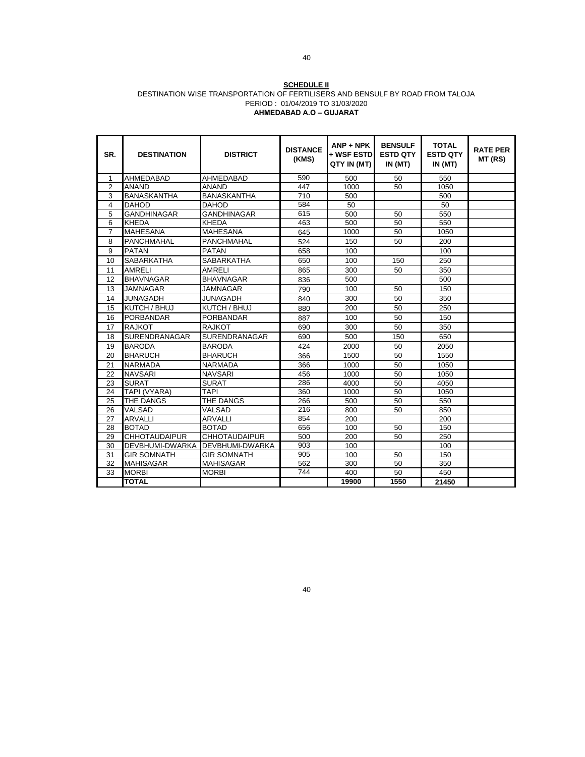#### **SCHEDULE II** DESTINATION WISE TRANSPORTATION OF FERTILISERS AND BENSULF BY ROAD FROM TALOJA PERIOD : 01/04/2019 TO 31/03/2020 **AHMEDABAD A.O – GUJARAT**

| SR.            | <b>DESTINATION</b>   | <b>DISTRICT</b>        | <b>DISTANCE</b><br>(KMS) | $ANP + NPK$<br>+ WSF ESTD<br>QTY IN (MT) | <b>BENSULF</b><br><b>ESTD QTY</b><br>IN(MT) | <b>TOTAL</b><br><b>ESTD QTY</b><br>IN(MT) | <b>RATE PER</b><br>MT (RS) |
|----------------|----------------------|------------------------|--------------------------|------------------------------------------|---------------------------------------------|-------------------------------------------|----------------------------|
| 1              | AHMEDABAD            | <b>AHMEDABAD</b>       | 590                      | 500                                      | 50                                          | 550                                       |                            |
| $\overline{2}$ | <b>ANAND</b>         | <b>ANAND</b>           | 447                      | 1000                                     | 50                                          | 1050                                      |                            |
| 3              | <b>BANASKANTHA</b>   | <b>BANASKANTHA</b>     | 710                      | 500                                      |                                             | 500                                       |                            |
| 4              | <b>DAHOD</b>         | <b>DAHOD</b>           | 584                      | 50                                       |                                             | 50                                        |                            |
| 5              | <b>GANDHINAGAR</b>   | <b>GANDHINAGAR</b>     | 615                      | 500                                      | 50                                          | 550                                       |                            |
| 6              | <b>KHEDA</b>         | <b>KHEDA</b>           | 463                      | 500                                      | 50                                          | 550                                       |                            |
| $\overline{7}$ | <b>MAHESANA</b>      | <b>MAHESANA</b>        | 645                      | 1000                                     | 50                                          | 1050                                      |                            |
| 8              | PANCHMAHAL           | PANCHMAHAL             | 524                      | 150                                      | 50                                          | 200                                       |                            |
| 9              | <b>PATAN</b>         | <b>PATAN</b>           | 658                      | 100                                      |                                             | 100                                       |                            |
| 10             | <b>SABARKATHA</b>    | <b>SABARKATHA</b>      | 650                      | 100                                      | 150                                         | 250                                       |                            |
| 11             | <b>AMRELI</b>        | <b>AMRELI</b>          | 865                      | 300                                      | 50                                          | 350                                       |                            |
| 12             | <b>BHAVNAGAR</b>     | <b>BHAVNAGAR</b>       | 836                      | 500                                      |                                             | 500                                       |                            |
| 13             | <b>JAMNAGAR</b>      | <b>JAMNAGAR</b>        | 790                      | 100                                      | 50                                          | 150                                       |                            |
| 14             | <b>JUNAGADH</b>      | <b>JUNAGADH</b>        | 840                      | 300                                      | 50                                          | 350                                       |                            |
| 15             | KUTCH / BHUJ         | KUTCH / BHUJ           | 880                      | 200                                      | 50                                          | 250                                       |                            |
| 16             | <b>PORBANDAR</b>     | <b>PORBANDAR</b>       | 887                      | 100                                      | 50                                          | 150                                       |                            |
| 17             | <b>RAJKOT</b>        | <b>RAJKOT</b>          | 690                      | 300                                      | 50                                          | 350                                       |                            |
| 18             | <b>SURENDRANAGAR</b> | <b>SURENDRANAGAR</b>   | 690                      | 500                                      | 150                                         | 650                                       |                            |
| 19             | <b>BARODA</b>        | <b>BARODA</b>          | 424                      | 2000                                     | 50                                          | 2050                                      |                            |
| 20             | <b>BHARUCH</b>       | <b>BHARUCH</b>         | 366                      | 1500                                     | 50                                          | 1550                                      |                            |
| 21             | <b>NARMADA</b>       | <b>NARMADA</b>         | 366                      | 1000                                     | 50                                          | 1050                                      |                            |
| 22             | <b>NAVSARI</b>       | <b>NAVSARI</b>         | 456                      | 1000                                     | 50                                          | 1050                                      |                            |
| 23             | <b>SURAT</b>         | <b>SURAT</b>           | 286                      | 4000                                     | 50                                          | 4050                                      |                            |
| 24             | TAPI (VYARA)         | <b>TAPI</b>            | 360                      | 1000                                     | 50                                          | 1050                                      |                            |
| 25             | THE DANGS            | THE DANGS              | 266                      | 500                                      | 50                                          | 550                                       |                            |
| 26             | <b>VALSAD</b>        | VALSAD                 | 216                      | 800                                      | 50                                          | 850                                       |                            |
| 27             | <b>ARVALLI</b>       | <b>ARVALLI</b>         | 854                      | 200                                      |                                             | 200                                       |                            |
| 28             | <b>BOTAD</b>         | <b>BOTAD</b>           | 656                      | 100                                      | 50                                          | 150                                       |                            |
| 29             | <b>CHHOTAUDAIPUR</b> | <b>CHHOTAUDAIPUR</b>   | 500                      | 200                                      | 50                                          | 250                                       |                            |
| 30             | DEVBHUMI-DWARKA      | <b>DEVBHUMI-DWARKA</b> | 903                      | 100                                      |                                             | 100                                       |                            |
| 31             | <b>GIR SOMNATH</b>   | <b>GIR SOMNATH</b>     | 905                      | 100                                      | 50                                          | 150                                       |                            |
| 32             | <b>MAHISAGAR</b>     | <b>MAHISAGAR</b>       | 562                      | 300                                      | 50                                          | 350                                       |                            |
| 33             | <b>MORBI</b>         | <b>MORBI</b>           | 744                      | 400                                      | 50                                          | 450                                       |                            |
|                | <b>TOTAL</b>         |                        |                          | 19900                                    | 1550                                        | 21450                                     |                            |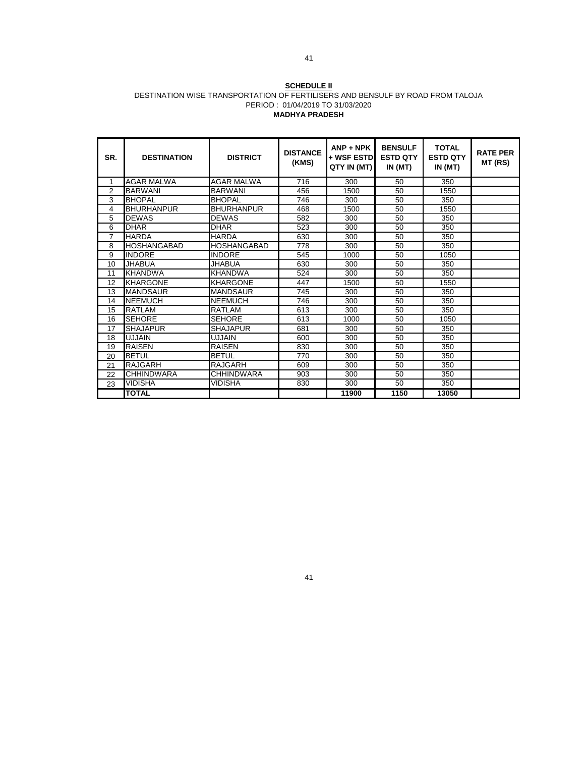#### **SCHEDULE II** DESTINATION WISE TRANSPORTATION OF FERTILISERS AND BENSULF BY ROAD FROM TALOJA PERIOD : 01/04/2019 TO 31/03/2020 **MADHYA PRADESH**

| SR.            | <b>DESTINATION</b> | <b>DISTRICT</b>   | <b>DISTANCE</b><br>(KMS) | $ANP + NPK$<br>+ WSF ESTD<br>QTY IN (MT) | <b>BENSULF</b><br><b>ESTD QTY</b><br>IN (MT) | <b>TOTAL</b><br><b>ESTD QTY</b><br>IN (MT) | <b>RATE PER</b><br>MT (RS) |
|----------------|--------------------|-------------------|--------------------------|------------------------------------------|----------------------------------------------|--------------------------------------------|----------------------------|
| 1              | <b>AGAR MALWA</b>  | <b>AGAR MALWA</b> | 716                      | 300                                      | 50                                           | 350                                        |                            |
| $\overline{2}$ | <b>BARWANI</b>     | <b>BARWANI</b>    | 456                      | 1500                                     | 50                                           | 1550                                       |                            |
| 3              | <b>BHOPAL</b>      | <b>BHOPAL</b>     | 746                      | 300                                      | 50                                           | 350                                        |                            |
| 4              | <b>BHURHANPUR</b>  | <b>BHURHANPUR</b> | 468                      | 1500                                     | 50                                           | 1550                                       |                            |
| 5              | <b>DEWAS</b>       | <b>DEWAS</b>      | 582                      | 300                                      | 50                                           | 350                                        |                            |
| 6              | <b>DHAR</b>        | <b>DHAR</b>       | 523                      | 300                                      | 50                                           | 350                                        |                            |
| $\overline{7}$ | <b>HARDA</b>       | <b>HARDA</b>      | 630                      | 300                                      | 50                                           | 350                                        |                            |
| 8              | <b>HOSHANGABAD</b> | HOSHANGABAD       | 778                      | 300                                      | 50                                           | 350                                        |                            |
| 9              | <b>INDORE</b>      | <b>INDORE</b>     | 545                      | 1000                                     | 50                                           | 1050                                       |                            |
| 10             | <b>JHABUA</b>      | JHABUA            | 630                      | 300                                      | 50                                           | 350                                        |                            |
| 11             | <b>KHANDWA</b>     | <b>KHANDWA</b>    | 524                      | 300                                      | 50                                           | 350                                        |                            |
| 12             | <b>KHARGONE</b>    | <b>KHARGONE</b>   | 447                      | 1500                                     | 50                                           | 1550                                       |                            |
| 13             | <b>MANDSAUR</b>    | <b>MANDSAUR</b>   | 745                      | 300                                      | 50                                           | 350                                        |                            |
| 14             | <b>NEEMUCH</b>     | <b>NEEMUCH</b>    | 746                      | 300                                      | 50                                           | 350                                        |                            |
| 15             | RATLAM             | RATLAM            | 613                      | 300                                      | 50                                           | 350                                        |                            |
| 16             | <b>SEHORE</b>      | <b>SEHORE</b>     | 613                      | 1000                                     | 50                                           | 1050                                       |                            |
| 17             | <b>SHAJAPUR</b>    | <b>SHAJAPUR</b>   | 681                      | 300                                      | 50                                           | 350                                        |                            |
| 18             | <b>UJJAIN</b>      | <b>UJJAIN</b>     | 600                      | 300                                      | 50                                           | 350                                        |                            |
| 19             | <b>RAISEN</b>      | <b>RAISEN</b>     | 830                      | 300                                      | 50                                           | 350                                        |                            |
| 20             | <b>BETUL</b>       | <b>BETUL</b>      | 770                      | 300                                      | 50                                           | 350                                        |                            |
| 21             | RAJGARH            | RAJGARH           | 609                      | 300                                      | 50                                           | 350                                        |                            |
| 22             | <b>CHHINDWARA</b>  | <b>CHHINDWARA</b> | 903                      | 300                                      | 50                                           | 350                                        |                            |
| 23             | VIDISHA            | <b>VIDISHA</b>    | 830                      | 300                                      | 50                                           | 350                                        |                            |
|                | <b>TOTAL</b>       |                   |                          | 11900                                    | 1150                                         | 13050                                      |                            |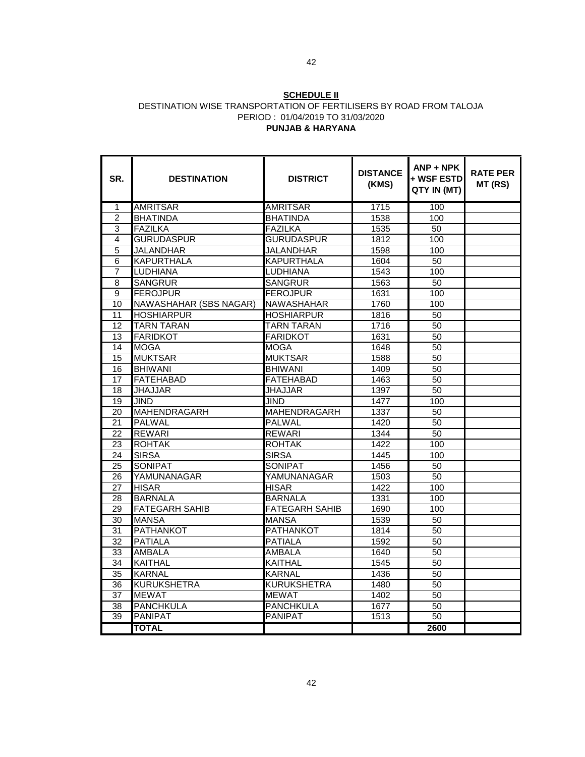#### **SCHEDULE II** DESTINATION WISE TRANSPORTATION OF FERTILISERS BY ROAD FROM TALOJA PERIOD : 01/04/2019 TO 31/03/2020 **PUNJAB & HARYANA**

| SR.             | <b>DESTINATION</b>     | <b>DISTRICT</b>       | <b>DISTANCE</b><br>(KMS) | $ANP + NPK$<br>+ WSF ESTD<br>QTY IN (MT) | <b>RATE PER</b><br>MT (RS) |
|-----------------|------------------------|-----------------------|--------------------------|------------------------------------------|----------------------------|
| 1               | <b>AMRITSAR</b>        | <b>AMRITSAR</b>       | 1715                     | 100                                      |                            |
| $\overline{2}$  | <b>BHATINDA</b>        | <b>BHATINDA</b>       | 1538                     | 100                                      |                            |
| 3               | <b>FAZILKA</b>         | <b>FAZILKA</b>        | 1535                     | $\overline{50}$                          |                            |
| 4               | <b>GURUDASPUR</b>      | <b>GURUDASPUR</b>     | 1812                     | 100                                      |                            |
| 5               | <b>JALANDHAR</b>       | <b>JALANDHAR</b>      | 1598                     | 100                                      |                            |
| 6               | <b>KAPURTHALA</b>      | <b>KAPURTHALA</b>     | 1604                     | 50                                       |                            |
| 7               | LUDHIANA               | LUDHIANA              | 1543                     | 100                                      |                            |
| 8               | <b>SANGRUR</b>         | <b>SANGRUR</b>        | 1563                     | 50                                       |                            |
| 9               | <b>FEROJPUR</b>        | <b>FEROJPUR</b>       | 1631                     | 100                                      |                            |
| 10              | NAWASHAHAR (SBS NAGAR) | <b>NAWASHAHAR</b>     | 1760                     | 100                                      |                            |
| 11              | <b>HOSHIARPUR</b>      | <b>HOSHIARPUR</b>     | 1816                     | 50                                       |                            |
| 12              | <b>TARN TARAN</b>      | <b>TARN TARAN</b>     | 1716                     | $\overline{50}$                          |                            |
| 13              | <b>FARIDKOT</b>        | <b>FARIDKOT</b>       | 1631                     | 50                                       |                            |
| 14              | <b>MOGA</b>            | <b>MOGA</b>           | 1648                     | 50                                       |                            |
| 15              | <b>MUKTSAR</b>         | <b>MUKTSAR</b>        | 1588                     | 50                                       |                            |
| $\overline{16}$ | <b>BHIWANI</b>         | <b>BHIWANI</b>        | 1409                     | $\overline{50}$                          |                            |
| 17              | <b>FATEHABAD</b>       | <b>FATEHABAD</b>      | 1463                     | 50                                       |                            |
| 18              | <b>JHAJJAR</b>         | JHAJJAR               | 1397                     | 50                                       |                            |
| 19              | <b>JIND</b>            | JIND                  | 1477                     | 100                                      |                            |
| 20              | MAHENDRAGARH           | <b>MAHENDRAGARH</b>   | 1337                     | 50                                       |                            |
| 21              | <b>PALWAL</b>          | <b>PALWAL</b>         | 1420                     | 50                                       |                            |
| $\overline{22}$ | <b>REWARI</b>          | <b>REWARI</b>         | 1344                     | 50                                       |                            |
| 23              | <b>ROHTAK</b>          | <b>ROHTAK</b>         | 1422                     | 100                                      |                            |
| 24              | <b>SIRSA</b>           | <b>SIRSA</b>          | 1445                     | 100                                      |                            |
| $\overline{25}$ | <b>SONIPAT</b>         | <b>SONIPAT</b>        | 1456                     | 50                                       |                            |
| 26              | YAMUNANAGAR            | YAMUNANAGAR           | 1503                     | $\overline{50}$                          |                            |
| 27              | <b>HISAR</b>           | <b>HISAR</b>          | 1422                     | 100                                      |                            |
| 28              | <b>BARNALA</b>         | <b>BARNALA</b>        | 1331                     | 100                                      |                            |
| 29              | <b>FATEGARH SAHIB</b>  | <b>FATEGARH SAHIB</b> | 1690                     | 100                                      |                            |
| 30              | <b>MANSA</b>           | <b>MANSA</b>          | 1539                     | 50                                       |                            |
| 31              | <b>PATHANKOT</b>       | <b>PATHANKOT</b>      | 1814                     | 50                                       |                            |
| 32              | <b>PATIALA</b>         | <b>PATIALA</b>        | 1592                     | 50                                       |                            |
| $\overline{33}$ | AMBALA                 | AMBALA                | 1640                     | 50                                       |                            |
| 34              | <b>KAITHAL</b>         | <b>KAITHAL</b>        | 1545                     | 50                                       |                            |
| 35              | <b>KARNAL</b>          | <b>KARNAL</b>         | 1436                     | 50                                       |                            |
| 36              | <b>KURUKSHETRA</b>     | <b>KURUKSHETRA</b>    | 1480                     | 50                                       |                            |
| $\overline{37}$ | <b>MEWAT</b>           | <b>MEWAT</b>          | 1402                     | 50                                       |                            |
| $\overline{38}$ | <b>PANCHKULA</b>       | <b>PANCHKULA</b>      | 1677                     | $\overline{50}$                          |                            |
| 39              | <b>PANIPAT</b>         | <b>PANIPAT</b>        | 1513                     | 50                                       |                            |
|                 | <b>TOTAL</b>           |                       |                          | 2600                                     |                            |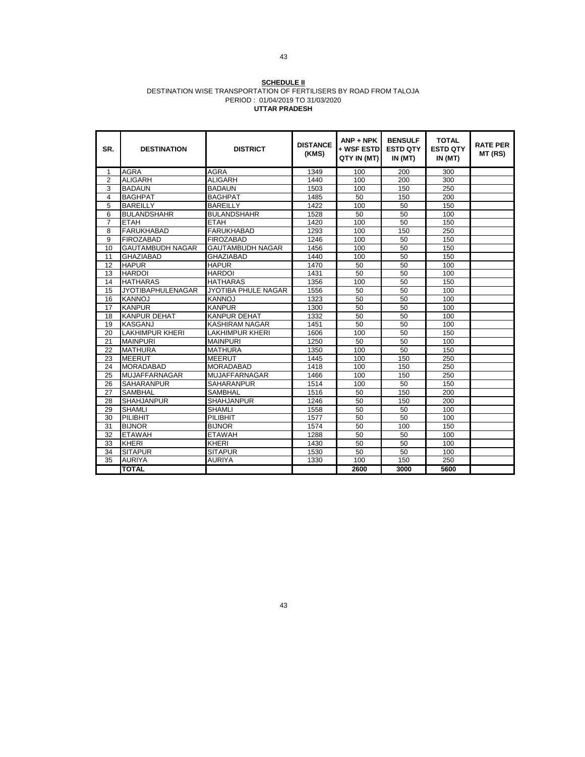#### **SCHEDULE II** DESTINATION WISE TRANSPORTATION OF FERTILISERS BY ROAD FROM TALOJA PERIOD : 01/04/2019 TO 31/03/2020 **UTTAR PRADESH**

| SR.                     | <b>DESTINATION</b>       | <b>DISTRICT</b>         | <b>DISTANCE</b><br>(KMS) | $ANP + NPK$<br>+ WSF ESTD<br>QTY IN (MT) | <b>BENSULF</b><br><b>ESTD QTY</b><br>IN (MT) | <b>TOTAL</b><br><b>ESTD QTY</b><br>IN (MT) | <b>RATE PER</b><br>MT (RS) |
|-------------------------|--------------------------|-------------------------|--------------------------|------------------------------------------|----------------------------------------------|--------------------------------------------|----------------------------|
| $\mathbf 1$             | <b>AGRA</b>              | <b>AGRA</b>             | 1349                     | 100                                      | 200                                          | 300                                        |                            |
| 2                       | <b>ALIGARH</b>           | <b>ALIGARH</b>          | 1440                     | 100                                      | 200                                          | 300                                        |                            |
| 3                       | <b>BADAUN</b>            | <b>BADAUN</b>           | 1503                     | 100                                      | 150                                          | 250                                        |                            |
| $\overline{\mathbf{4}}$ | <b>BAGHPAT</b>           | <b>BAGHPAT</b>          | 1485                     | 50                                       | 150                                          | 200                                        |                            |
| 5                       | <b>BAREILLY</b>          | <b>BAREILLY</b>         | 1422                     | 100                                      | 50                                           | 150                                        |                            |
| 6                       | <b>BULANDSHAHR</b>       | <b>BULANDSHAHR</b>      | 1528                     | 50                                       | 50                                           | 100                                        |                            |
| $\overline{7}$          | <b>ETAH</b>              | <b>ETAH</b>             | 1420                     | 100                                      | 50                                           | 150                                        |                            |
| 8                       | <b>FARUKHABAD</b>        | <b>FARUKHABAD</b>       | 1293                     | 100                                      | 150                                          | 250                                        |                            |
| 9                       | <b>FIROZABAD</b>         | <b>FIROZABAD</b>        | 1246                     | 100                                      | 50                                           | 150                                        |                            |
| 10                      | <b>GAUTAMBUDH NAGAR</b>  | <b>GAUTAMBUDH NAGAR</b> | 1456                     | 100                                      | 50                                           | 150                                        |                            |
| 11                      | <b>GHAZIABAD</b>         | <b>GHAZIABAD</b>        | 1440                     | 100                                      | 50                                           | 150                                        |                            |
| 12                      | <b>HAPUR</b>             | <b>HAPUR</b>            | 1470                     | 50                                       | 50                                           | 100                                        |                            |
| 13                      | <b>HARDOI</b>            | <b>HARDOI</b>           | 1431                     | 50                                       | 50                                           | 100                                        |                            |
| 14                      | <b>HATHARAS</b>          | <b>HATHARAS</b>         | 1356                     | 100                                      | 50                                           | 150                                        |                            |
| 15                      | <b>JYOTIBAPHULENAGAR</b> | JYOTIBA PHULE NAGAR     | 1556                     | 50                                       | 50                                           | 100                                        |                            |
| 16                      | <b>KANNOJ</b>            | <b>KANNOJ</b>           | 1323                     | 50                                       | 50                                           | 100                                        |                            |
| 17                      | <b>KANPUR</b>            | <b>KANPUR</b>           | 1300                     | 50                                       | 50                                           | 100                                        |                            |
| 18                      | <b>KANPUR DEHAT</b>      | <b>KANPUR DEHAT</b>     | 1332                     | 50                                       | 50                                           | 100                                        |                            |
| 19                      | <b>KASGANJ</b>           | KASHIRAM NAGAR          | 1451                     | 50                                       | 50                                           | 100                                        |                            |
| 20                      | <b>LAKHIMPUR KHERI</b>   | <b>LAKHIMPUR KHERI</b>  | 1606                     | 100                                      | 50                                           | 150                                        |                            |
| 21                      | <b>MAINPURI</b>          | <b>MAINPURI</b>         | 1250                     | 50                                       | 50                                           | 100                                        |                            |
| 22                      | <b>MATHURA</b>           | <b>MATHURA</b>          | 1350                     | 100                                      | 50                                           | 150                                        |                            |
| 23                      | <b>MEERUT</b>            | <b>MEERUT</b>           | 1445                     | 100                                      | 150                                          | 250                                        |                            |
| 24                      | <b>MORADABAD</b>         | <b>MORADABAD</b>        | 1418                     | 100                                      | 150                                          | 250                                        |                            |
| 25                      | <b>MUJAFFARNAGAR</b>     | <b>MUJAFFARNAGAR</b>    | 1466                     | 100                                      | 150                                          | 250                                        |                            |
| 26                      | <b>SAHARANPUR</b>        | <b>SAHARANPUR</b>       | 1514                     | 100                                      | 50                                           | 150                                        |                            |
| 27                      | <b>SAMBHAL</b>           | <b>SAMBHAL</b>          | 1516                     | 50                                       | 150                                          | 200                                        |                            |
| 28                      | <b>SHAHJANPUR</b>        | <b>SHAHJANPUR</b>       | 1246                     | 50                                       | 150                                          | 200                                        |                            |
| 29                      | <b>SHAMLI</b>            | <b>SHAMLI</b>           | 1558                     | 50                                       | 50                                           | 100                                        |                            |
| 30                      | PILIBHIT                 | PILIBHIT                | 1577                     | 50                                       | 50                                           | 100                                        |                            |
| 31                      | <b>BIJNOR</b>            | <b>BIJNOR</b>           | 1574                     | 50                                       | 100                                          | 150                                        |                            |
| 32                      | <b>ETAWAH</b>            | <b>ETAWAH</b>           | 1288                     | 50                                       | 50                                           | 100                                        |                            |
| 33                      | <b>KHERI</b>             | <b>KHERI</b>            | 1430                     | 50                                       | 50                                           | 100                                        |                            |
| 34                      | <b>SITAPUR</b>           | <b>SITAPUR</b>          | 1530                     | 50                                       | 50                                           | 100                                        |                            |
| $\overline{35}$         | <b>AURIYA</b>            | <b>AURIYA</b>           | 1330                     | 100                                      | 150                                          | 250                                        |                            |
|                         | <b>TOTAL</b>             |                         |                          | 2600                                     | 3000                                         | 5600                                       |                            |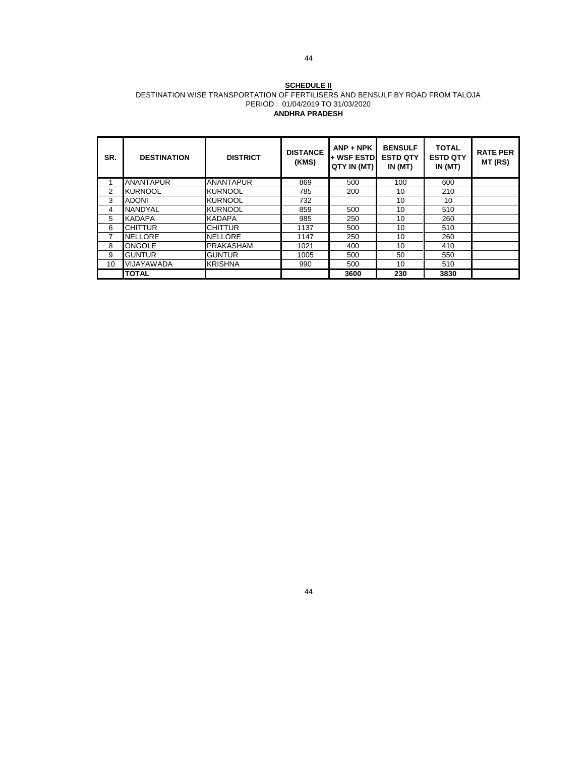#### **SCHEDULE II** DESTINATION WISE TRANSPORTATION OF FERTILISERS AND BENSULF BY ROAD FROM TALOJA PERIOD : 01/04/2019 TO 31/03/2020 **ANDHRA PRADESH**

| SR. | <b>DESTINATION</b> | <b>DISTRICT</b>  | <b>DISTANCE</b><br>(KMS) | $ANP + NPK$<br>+ WSF ESTDI<br>QTY IN (MT) | <b>BENSULF</b><br><b>ESTD QTY</b><br>IN(MT) | <b>TOTAL</b><br><b>ESTD QTY</b><br>IN(MT) | <b>RATE PER</b><br>MT (RS) |
|-----|--------------------|------------------|--------------------------|-------------------------------------------|---------------------------------------------|-------------------------------------------|----------------------------|
|     | <b>ANANTAPUR</b>   | <b>ANANTAPUR</b> | 869                      | 500                                       | 100                                         | 600                                       |                            |
| 2   | <b>KURNOOL</b>     | <b>KURNOOL</b>   | 785                      | 200                                       | 10                                          | 210                                       |                            |
| 3   | <b>ADONI</b>       | <b>KURNOOL</b>   | 732                      |                                           | 10                                          | 10                                        |                            |
| 4   | <b>NANDYAL</b>     | <b>KURNOOL</b>   | 859                      | 500                                       | 10                                          | 510                                       |                            |
| 5   | <b>KADAPA</b>      | <b>KADAPA</b>    | 985                      | 250                                       | 10                                          | 260                                       |                            |
| 6   | <b>CHITTUR</b>     | <b>CHITTUR</b>   | 1137                     | 500                                       | 10                                          | 510                                       |                            |
| 7   | <b>NELLORE</b>     | <b>NELLORE</b>   | 1147                     | 250                                       | 10                                          | 260                                       |                            |
| 8   | <b>ONGOLE</b>      | <b>PRAKASHAM</b> | 1021                     | 400                                       | 10                                          | 410                                       |                            |
| 9   | <b>GUNTUR</b>      | <b>GUNTUR</b>    | 1005                     | 500                                       | 50                                          | 550                                       |                            |
| 10  | VIJAYAWADA         | <b>KRISHNA</b>   | 990                      | 500                                       | 10                                          | 510                                       |                            |
|     | <b>TOTAL</b>       |                  |                          | 3600                                      | 230                                         | 3830                                      |                            |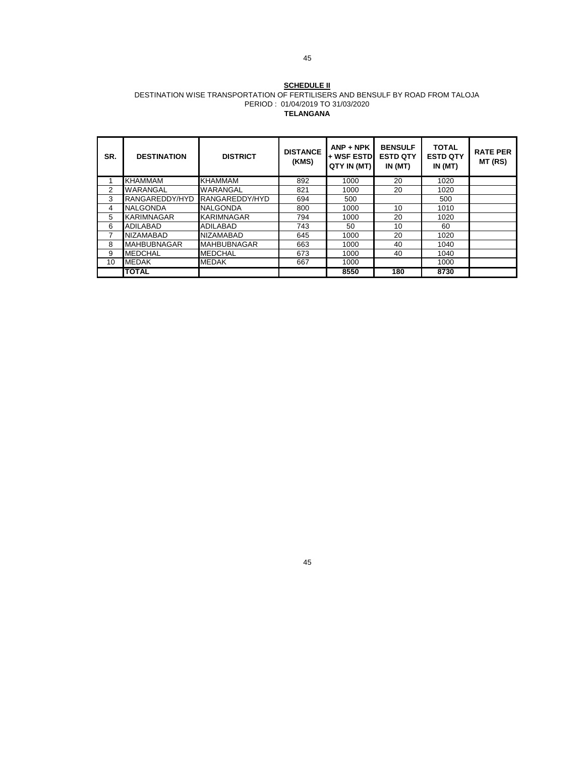#### **SCHEDULE II** DESTINATION WISE TRANSPORTATION OF FERTILISERS AND BENSULF BY ROAD FROM TALOJA PERIOD : 01/04/2019 TO 31/03/2020 **TELANGANA**

| SR.            | <b>DESTINATION</b> | <b>DISTRICT</b>    | <b>DISTANCE</b><br>(KMS) | $ANP + NPK$<br><b>+ WSF ESTDI</b><br>QTY IN (MT) | <b>BENSULF</b><br><b>ESTD QTY</b><br>IN(MT) | <b>TOTAL</b><br><b>ESTD QTY</b><br>IN(MT) | <b>RATE PER</b><br>MT (RS) |
|----------------|--------------------|--------------------|--------------------------|--------------------------------------------------|---------------------------------------------|-------------------------------------------|----------------------------|
|                | <b>KHAMMAM</b>     | <b>KHAMMAM</b>     | 892                      | 1000                                             | 20                                          | 1020                                      |                            |
| $\overline{2}$ | WARANGAL           | WARANGAL           | 821                      | 1000                                             | 20                                          | 1020                                      |                            |
| 3              | RANGAREDDY/HYD     | RANGAREDDY/HYD     | 694                      | 500                                              |                                             | 500                                       |                            |
| 4              | <b>NALGONDA</b>    | <b>NALGONDA</b>    | 800                      | 1000                                             | 10                                          | 1010                                      |                            |
| 5              | KARIMNAGAR         | KARIMNAGAR         | 794                      | 1000                                             | 20                                          | 1020                                      |                            |
| 6              | <b>ADILABAD</b>    | ADILABAD           | 743                      | 50                                               | 10                                          | 60                                        |                            |
| 7              | <b>NIZAMABAD</b>   | <b>NIZAMABAD</b>   | 645                      | 1000                                             | 20                                          | 1020                                      |                            |
| 8              | <b>MAHBUBNAGAR</b> | <b>MAHBUBNAGAR</b> | 663                      | 1000                                             | 40                                          | 1040                                      |                            |
| 9              | <b>MEDCHAL</b>     | <b>MEDCHAL</b>     | 673                      | 1000                                             | 40                                          | 1040                                      |                            |
| 10             | <b>MEDAK</b>       | <b>MEDAK</b>       | 667                      | 1000                                             |                                             | 1000                                      |                            |
|                | <b>TOTAL</b>       |                    |                          | 8550                                             | 180                                         | 8730                                      |                            |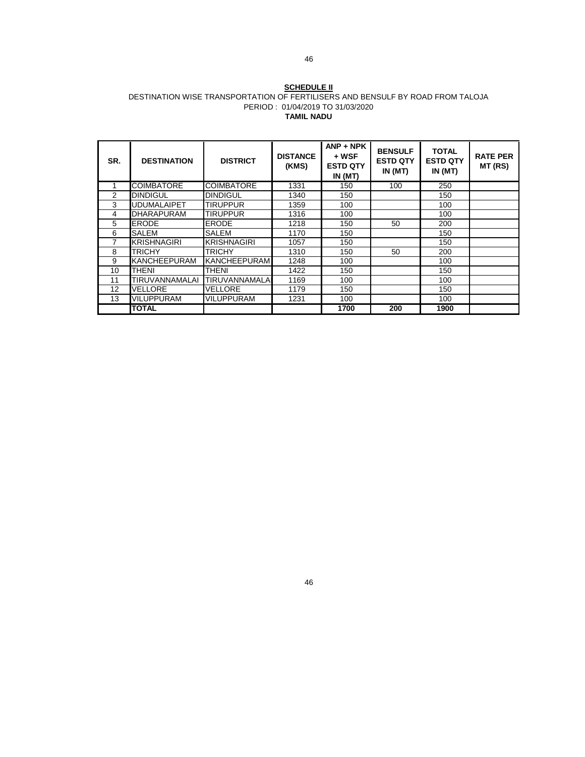#### **SCHEDULE II** DESTINATION WISE TRANSPORTATION OF FERTILISERS AND BENSULF BY ROAD FROM TALOJA PERIOD : 01/04/2019 TO 31/03/2020 **TAMIL NADU**

| SR.            | <b>DESTINATION</b> | <b>DISTRICT</b>     | <b>DISTANCE</b><br>(KMS) | $ANP + NPK$<br>+ WSF<br><b>ESTD QTY</b><br>IN(MT) | <b>BENSULF</b><br><b>ESTD QTY</b><br>IN(MT) | <b>TOTAL</b><br><b>ESTD QTY</b><br>IN(MT) | <b>RATE PER</b><br>MT (RS) |
|----------------|--------------------|---------------------|--------------------------|---------------------------------------------------|---------------------------------------------|-------------------------------------------|----------------------------|
|                | <b>COIMBATORE</b>  | <b>COIMBATORE</b>   | 1331                     | 150                                               | 100                                         | 250                                       |                            |
| $\overline{2}$ | <b>DINDIGUL</b>    | <b>DINDIGUL</b>     | 1340                     | 150                                               |                                             | 150                                       |                            |
| 3              | <b>UDUMALAIPET</b> | <b>TIRUPPUR</b>     | 1359                     | 100                                               |                                             | 100                                       |                            |
| 4              | <b>DHARAPURAM</b>  | TIRUPPUR            | 1316                     | 100                                               |                                             | 100                                       |                            |
| 5              | <b>ERODE</b>       | <b>ERODE</b>        | 1218                     | 150                                               | 50                                          | 200                                       |                            |
| 6              | SALEM              | <b>SALEM</b>        | 1170                     | 150                                               |                                             | 150                                       |                            |
| 7              | <b>KRISHNAGIRI</b> | <b>KRISHNAGIRI</b>  | 1057                     | 150                                               |                                             | 150                                       |                            |
| 8              | <b>TRICHY</b>      | <b>TRICHY</b>       | 1310                     | 150                                               | 50                                          | 200                                       |                            |
| 9              | KANCHEEPURAM       | <b>KANCHEEPURAM</b> | 1248                     | 100                                               |                                             | 100                                       |                            |
| 10             | <b>THENI</b>       | <b>THENI</b>        | 1422                     | 150                                               |                                             | 150                                       |                            |
| 11             | TIRUVANNAMALAI     | TIRUVANNAMALA       | 1169                     | 100                                               |                                             | 100                                       |                            |
| 12             | <b>VELLORE</b>     | VELLORE             | 1179                     | 150                                               |                                             | 150                                       |                            |
| 13             | <b>VILUPPURAM</b>  | <b>VILUPPURAM</b>   | 1231                     | 100                                               |                                             | 100                                       |                            |
|                | <b>TOTAL</b>       |                     |                          | 1700                                              | 200                                         | 1900                                      |                            |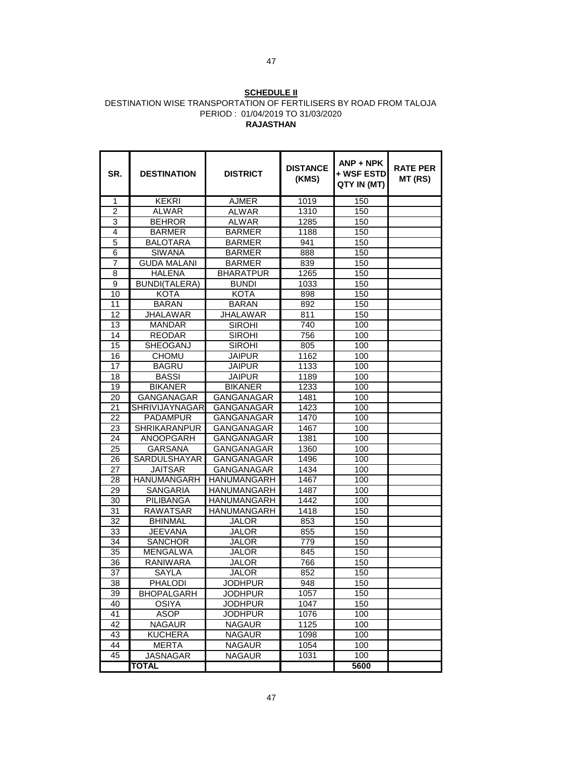#### **SCHEDULE II** DESTINATION WISE TRANSPORTATION OF FERTILISERS BY ROAD FROM TALOJA PERIOD : 01/04/2019 TO 31/03/2020 **RAJASTHAN**

| SR.             | <b>DESTINATION</b>                           | <b>DISTRICT</b>    | <b>DISTANCE</b><br>(KMS) | $ANP + NPK$<br>+ WSF ESTD<br>QTY IN (MT) | <b>RATE PER</b><br>MT (RS) |
|-----------------|----------------------------------------------|--------------------|--------------------------|------------------------------------------|----------------------------|
| 1               | <b>KEKRI</b>                                 | <b>AJMER</b>       | 1019                     | 150                                      |                            |
| $\overline{2}$  | <b>ALWAR</b>                                 | <b>ALWAR</b>       | 1310                     | 150                                      |                            |
| 3               | <b>BEHROR</b>                                | <b>ALWAR</b>       | 1285                     | 150                                      |                            |
| 4               | <b>BARMER</b>                                | <b>BARMER</b>      | 1188                     | 150                                      |                            |
| 5               | <b>BALOTARA</b>                              | <b>BARMER</b>      | 941                      | 150                                      |                            |
| 6               | <b>SIWANA</b>                                | <b>BARMER</b>      | 888                      | 150                                      |                            |
| 7               | <b>GUDA MALANI</b>                           | <b>BARMER</b>      | 839                      | 150                                      |                            |
| 8               | <b>HALENA</b>                                | <b>BHARATPUR</b>   | 1265                     | 150                                      |                            |
| 9               | <b>BUNDI(TALERA)</b><br><b>BUNDI</b><br>1033 |                    | 150                      |                                          |                            |
| 10              | KOTA                                         | <b>KOTA</b>        | 898                      | 150                                      |                            |
| 11              | <b>BARAN</b>                                 | <b>BARAN</b>       | 892                      | 150                                      |                            |
| 12              | <b>JHALAWAR</b>                              | <b>JHALAWAR</b>    | 811                      | 150                                      |                            |
| 13              | <b>MANDAR</b>                                | <b>SIROHI</b>      | 740                      | 100                                      |                            |
| 14              | <b>REODAR</b>                                | <b>SIROHI</b>      | 756                      | 100                                      |                            |
| 15              | SHEOGANJ                                     | <b>SIROHI</b>      | 805                      | 100                                      |                            |
| 16              | <b>CHOMU</b>                                 | <b>JAIPUR</b>      | 1162                     | 100                                      |                            |
| 17              | <b>BAGRU</b>                                 | <b>JAIPUR</b>      | 1133                     | 100                                      |                            |
| 18              | <b>BASSI</b>                                 | <b>JAIPUR</b>      | 1189                     | 100                                      |                            |
| 19              | <b>BIKANER</b>                               | <b>BIKANER</b>     | 1233                     | 100                                      |                            |
| 20              | <b>GANGANAGAR</b>                            | <b>GANGANAGAR</b>  | 1481                     | 100                                      |                            |
| $\overline{21}$ | <b>SHRIVIJAYNAGAR</b>                        | <b>GANGANAGAR</b>  | 1423                     | 100                                      |                            |
| 22              | <b>PADAMPUR</b>                              | <b>GANGANAGAR</b>  | 1470                     | 100                                      |                            |
| 23              | <b>SHRIKARANPUR</b>                          | GANGANAGAR         | 1467                     | 100                                      |                            |
| 24              | <b>ANOOPGARH</b>                             | <b>GANGANAGAR</b>  | 1381                     | 100                                      |                            |
| 25              | GARSANA                                      | <b>GANGANAGAR</b>  | 1360                     | 100                                      |                            |
| 26              | <b>SARDULSHAYAR</b>                          | <b>GANGANAGAR</b>  | 1496                     | 100                                      |                            |
| 27              | JAITSAR                                      | <b>GANGANAGAR</b>  | 1434                     | 100                                      |                            |
| 28              | <b>HANUMANGARH</b>                           | <b>HANUMANGARH</b> | 1467                     | 100                                      |                            |
| 29              | <b>SANGARIA</b>                              | <b>HANUMANGARH</b> | 1487                     | 100                                      |                            |
| 30              | PILIBANGA                                    | HANUMANGARH        | 1442                     | 100                                      |                            |
| $\overline{31}$ | <b>RAWATSAR</b>                              | <b>HANUMANGARH</b> | 1418                     | 150                                      |                            |
| 32              | <b>BHINMAL</b>                               | JALOR              | 853                      | 150                                      |                            |
| 33              | <b>JEEVANA</b>                               | JALOR              | 855                      | 150                                      |                            |
| 34              | <b>SANCHOR</b>                               | <b>JALOR</b>       | 779                      | 150                                      |                            |
| 35              | MENGALWA                                     | <b>JALOR</b>       | 845                      | 150                                      |                            |
| 36              | <b>RANIWARA</b>                              | <b>JALOR</b>       | 766                      | 150                                      |                            |
| 37              | SAYLA                                        | JALOR              | 852                      | 150                                      |                            |
| 38              | <b>PHALODI</b>                               | JODHPUR            | 948                      | 150                                      |                            |
| 39              | <b>BHOPALGARH</b>                            | <b>JODHPUR</b>     | 1057                     | 150                                      |                            |
| 40              | <b>OSIYA</b>                                 | <b>JODHPUR</b>     | 1047                     | 150                                      |                            |
| 41              | ASOP                                         | <b>JODHPUR</b>     | 1076                     | 100                                      |                            |
| 42              | <b>NAGAUR</b>                                | <b>NAGAUR</b>      | 1125                     | 100                                      |                            |
| 43              | <b>KUCHERA</b>                               | <b>NAGAUR</b>      | 1098                     | 100                                      |                            |
| 44              | <b>MERTA</b>                                 | <b>NAGAUR</b>      | 1054                     | 100                                      |                            |
| 45              | <b>JASNAGAR</b>                              | <b>NAGAUR</b>      | 1031                     | 100                                      |                            |
|                 | <b>TOTAL</b>                                 |                    |                          | 5600                                     |                            |